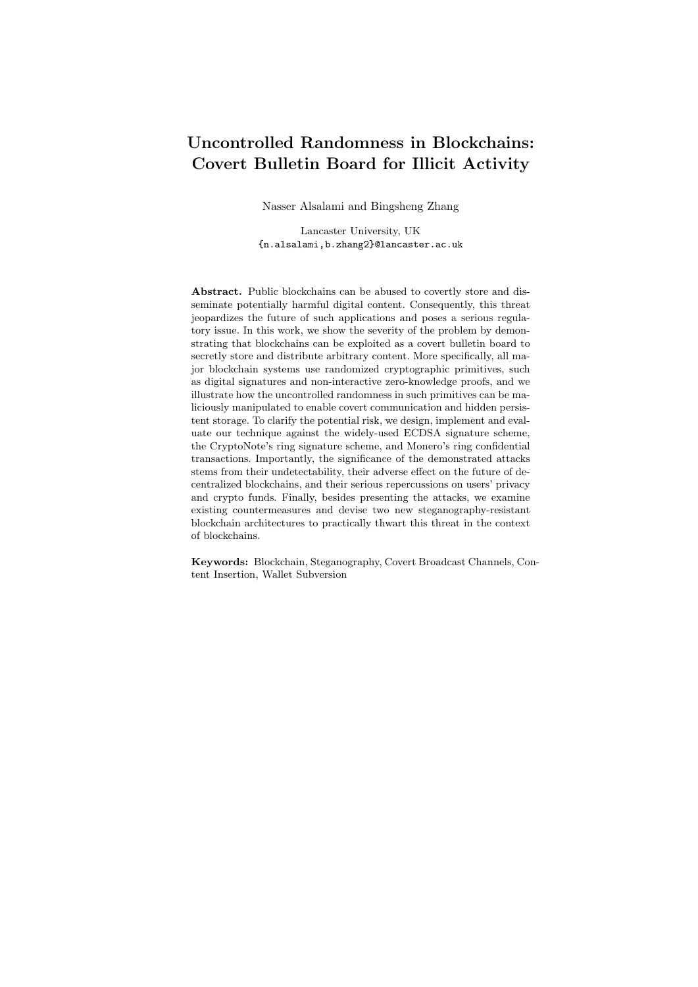## Uncontrolled Randomness in Blockchains: Covert Bulletin Board for Illicit Activity

Nasser Alsalami and Bingsheng Zhang

Lancaster University, UK {n.alsalami,b.zhang2}@lancaster.ac.uk

Abstract. Public blockchains can be abused to covertly store and disseminate potentially harmful digital content. Consequently, this threat jeopardizes the future of such applications and poses a serious regulatory issue. In this work, we show the severity of the problem by demonstrating that blockchains can be exploited as a covert bulletin board to secretly store and distribute arbitrary content. More specifically, all major blockchain systems use randomized cryptographic primitives, such as digital signatures and non-interactive zero-knowledge proofs, and we illustrate how the uncontrolled randomness in such primitives can be maliciously manipulated to enable covert communication and hidden persistent storage. To clarify the potential risk, we design, implement and evaluate our technique against the widely-used ECDSA signature scheme, the CryptoNote's ring signature scheme, and Monero's ring confidential transactions. Importantly, the significance of the demonstrated attacks stems from their undetectability, their adverse effect on the future of decentralized blockchains, and their serious repercussions on users' privacy and crypto funds. Finally, besides presenting the attacks, we examine existing countermeasures and devise two new steganography-resistant blockchain architectures to practically thwart this threat in the context of blockchains.

Keywords: Blockchain, Steganography, Covert Broadcast Channels, Content Insertion, Wallet Subversion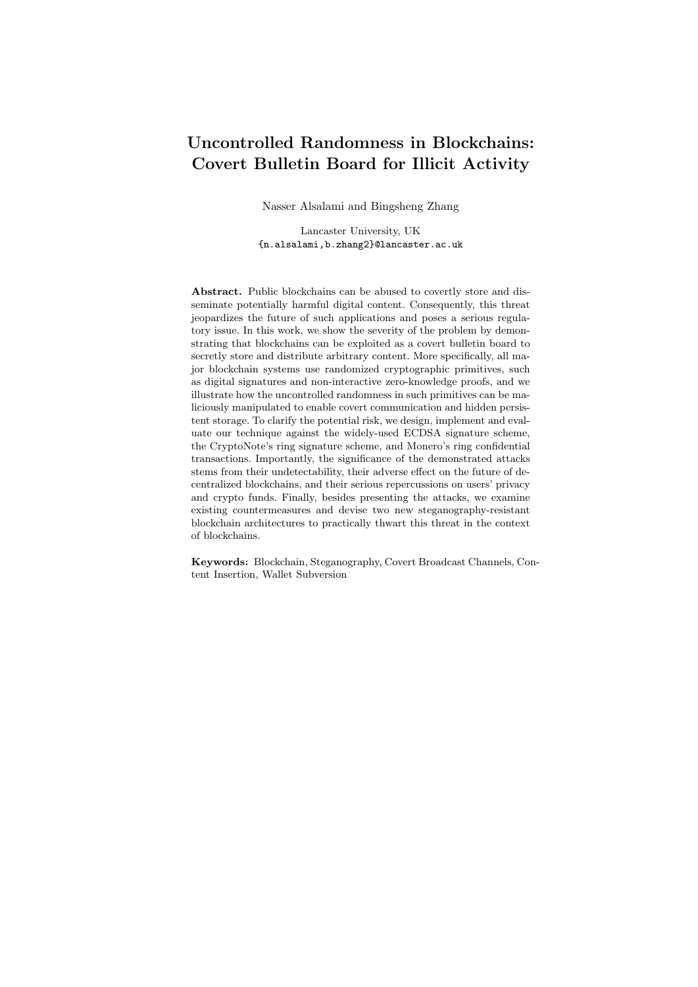# Table of Contents

| 1              |                                                                | $\overline{4}$ |  |  |  |  |  |
|----------------|----------------------------------------------------------------|----------------|--|--|--|--|--|
|                | 1.1                                                            | 8              |  |  |  |  |  |
| $\overline{2}$ |                                                                | 8              |  |  |  |  |  |
|                | 2.1                                                            | 8              |  |  |  |  |  |
|                | 2.2                                                            | 8              |  |  |  |  |  |
|                | 2.3                                                            | 9              |  |  |  |  |  |
|                | 2.4                                                            | 9              |  |  |  |  |  |
|                | 2.5<br>Brief description of Monero (Version 0.12.0.0)          | 10             |  |  |  |  |  |
|                | 2.6                                                            | 12             |  |  |  |  |  |
|                | Kleptography/Algorithm-substitution attacks<br>2.7             | 13             |  |  |  |  |  |
|                | 2.8                                                            | 14             |  |  |  |  |  |
| 3              |                                                                | 14             |  |  |  |  |  |
|                | 3.1<br>Our generic steganographic attack on CryptoNote         | 15             |  |  |  |  |  |
|                | 3.2                                                            | 17             |  |  |  |  |  |
|                | 3.3                                                            | 18             |  |  |  |  |  |
| 4              |                                                                | 19             |  |  |  |  |  |
|                | 4.1                                                            | 19             |  |  |  |  |  |
|                | 4.2                                                            | 22             |  |  |  |  |  |
| 5              |                                                                | 23             |  |  |  |  |  |
|                | Attack Scenario 1: Covert Broadcast Channel<br>5.1             | 23             |  |  |  |  |  |
|                | 5.2<br>Attack Scenario 2: Covert Data Storage and Distribution | 24             |  |  |  |  |  |
|                | 5.3                                                            | 24             |  |  |  |  |  |
| 6              |                                                                | 27             |  |  |  |  |  |
|                | 6.1                                                            | 28             |  |  |  |  |  |
|                | 6.2<br>Stego-Resistant Blockchain Framework (SRBF)             | 30             |  |  |  |  |  |
|                | 6.3<br>Randomness-Externalized Architecture                    | 31             |  |  |  |  |  |
| 7              |                                                                | 34             |  |  |  |  |  |
| 8              |                                                                | 35             |  |  |  |  |  |
|                |                                                                | 36             |  |  |  |  |  |
|                |                                                                | 40             |  |  |  |  |  |
| $\mathbf{A}$   |                                                                | 40             |  |  |  |  |  |
|                | A.1                                                            | 40             |  |  |  |  |  |
|                |                                                                | 40             |  |  |  |  |  |
| B              | Bytecoin Psuedo-code and Demo Transaction                      | 41             |  |  |  |  |  |
| С              | Detailed Implementation of Steganographic Attack in Monero     | 41             |  |  |  |  |  |
| D              | ECDSA-Signature Rejection-Sampling Experiment                  | 43             |  |  |  |  |  |
| Е              |                                                                | 44             |  |  |  |  |  |
| F              | 45                                                             |                |  |  |  |  |  |
| G              |                                                                | 46             |  |  |  |  |  |
|                |                                                                | 46             |  |  |  |  |  |
|                | G.2 Preventative Trust-Based Countermeasures                   | 47             |  |  |  |  |  |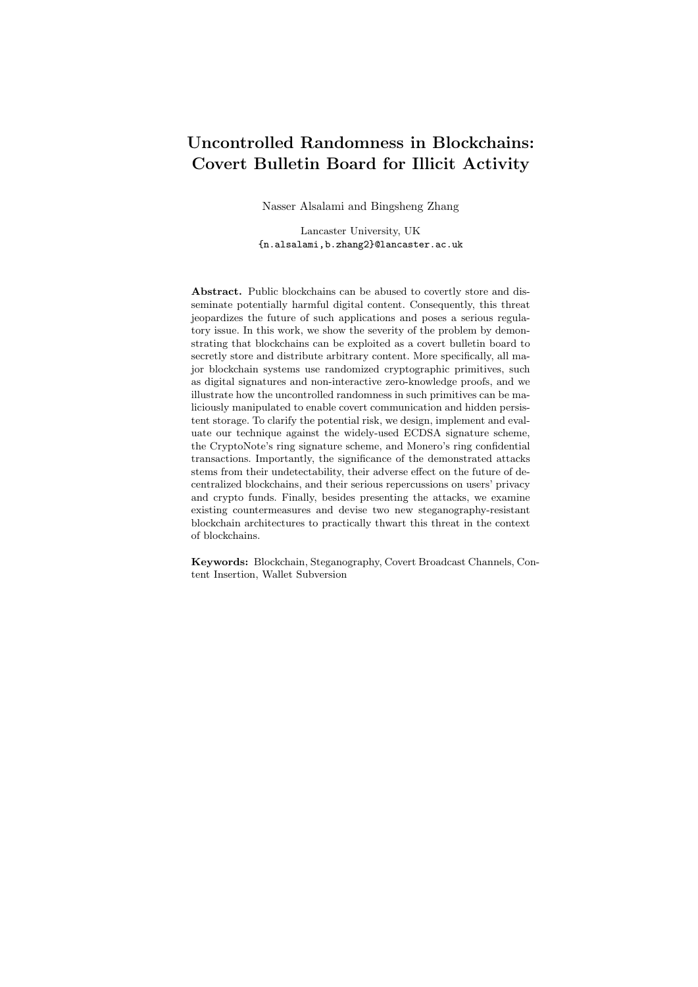| Uncontrolled Randomness in Blockchains | - 3 |
|----------------------------------------|-----|
|                                        |     |
|                                        |     |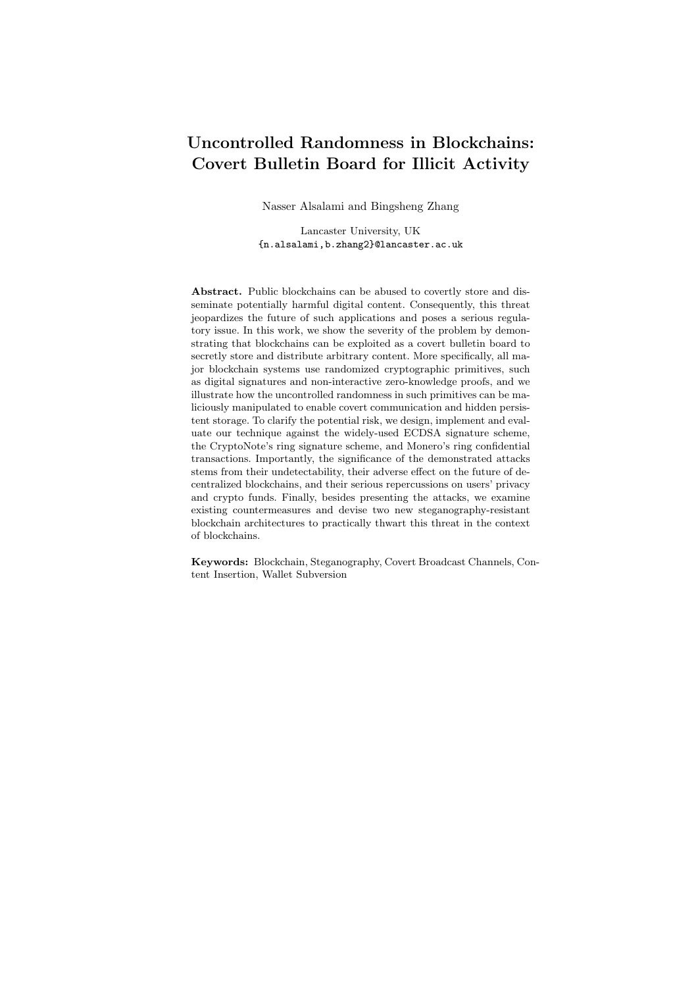### 1 Introduction

The blockchain technology has pioneered a new paradigm to realize large-scale immutable, persistent, and append-only distributed ledgers. Nowadays, blockchainpowered systems have become largely ubiquitous across various sectors including technology, academia, medicine, economics, finance, etc. While the blockchain technology is promising in a great number of application scenarios, it can also be abused to anonymously store and disseminate potentially harmful digital content. A recent study [1] has shown that 1.4% of all Bitcoin transactions contain non-financial data, some of which contain objectionable content, e.g. links to child pornography. Though the absence of a central censor makes blockchains appealing in some use cases, the increasing amount of illicit content posted to the blockchains poses a serious regulatory issue [2]. Subsequently, several techniques have been discussed to either filter unwanted content before it is added to the ledger  $[3]$  or remove content from the blockchain  $[4, 5]$ .

However, all of the proposed countermeasures can only be effective if the malicious content attached to the transactions can be detected. The situation gets worse when the attackers hide data into normal transactions and use blockchain platforms for covert communications. Naively, one can encrypt the malicious content and attach its ciphertext to a transaction, but it is noticeable to the public that there is suspicious data attached. In 2018, Partala [6] showed a proof-ofconcept steganography technique that allows an adversary to covertly embed one bit into a standard Bitcoin transaction's recipient address without being distinguished from an innocuous transaction and without burning the funds.

In this work, we further advance this line of research by demonstrating an effective steganographic method that offers high throughput and can be launched against any blockchain platforms that use randomized, i.e. probabilistic, cryptographic primitives, such as digital signatures and non-interactive zero-knowledge proofs. The main observation is that all randomized cryptographic algorithms need to consume random coins somewhere along the execution, and these random coins are not audited or certified publicly. By intentionally manipulating the random coin supplied to a randomized algorithm, an attacker is able to embed arbitrary information into the outputs of the algorithm. The output that contains steganographic data is computationally indistinguishable from normal output.

Besides using the demonstrated attack for covert channels and persistent storage, the same attack is applicable in another scenario. The attacker(s) may try to subvert, or mis-implement, cryptocurrency wallets and re-distribute them to unsuspecting users. The subverted wallets can then surreptitiously leak the victim's secret, such as the signing key, via standard transactions. Importantly, the transactions generated by the subverted wallets are computationally indistinguishable from normal transactions for any black-box observer.

Moreover, the current focus of research regarding blockchain subversion vulnerabilities is mainly on the trusted parameter setup process, such as common reference string  $(CRS)$  generation  $[7, 8]$ , while software subversion vulnerabilities in blockchain cryptocurrency applications has not been extensively studied.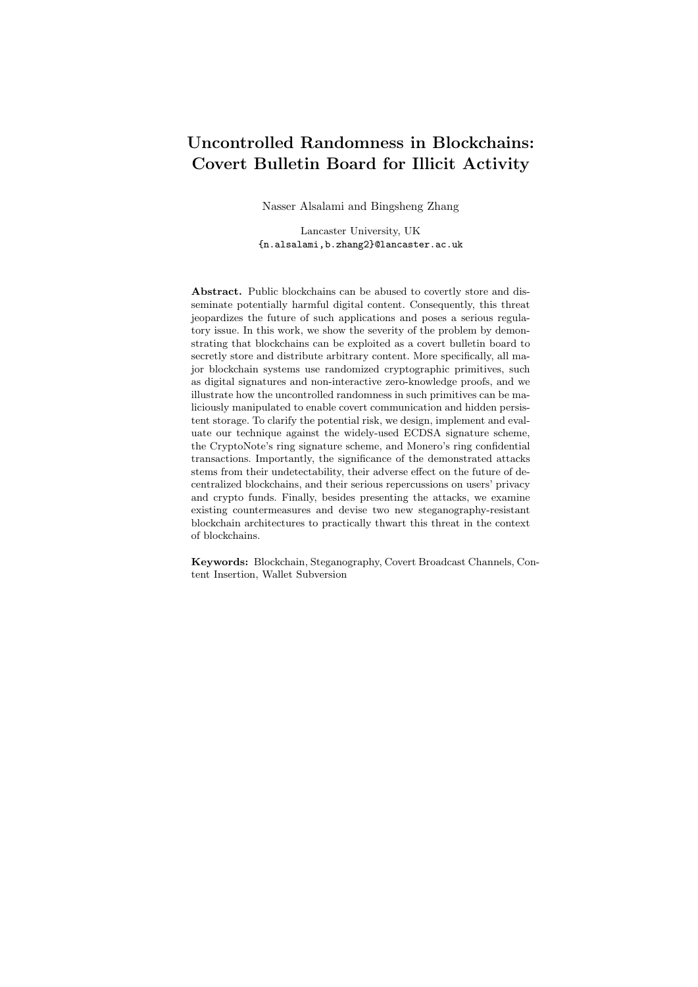The plausibility of algorithm-substitution attacks against cryptocurrency can be attributed to the following three reasons. Firstly, cryptocurrencies have very complex cryptographic primitives and structures that makes them prone to unseen mis-implementations. An example of such mis-implementations is shown in [9] where the Tencent's QQ browser is said to have used textbook RSA algorithm with no padding, which is well-known to be insecure as it is a deterministic encryption scheme. This is further demonstrated in [10] which notes that over 1/3 of the open-source smart contracts contain at least one bug, and some of them are maliciously embedded and can be triggered later by the attackers in a similar manner to the infamous Ethereum DAO hack [11] (\$55 million).

Secondly, although many cryptocurrencies are marketed as decentralized projects, studies have found that the development of many blockchain applications is highly centralized. For example, 30% of the source files in Bitcoin are written by a single author, and 7% of the code is written by the same author [12]. Similarly, 20% of the source code in Ethereum is attributed to the same author [12]. This high centralization may cause bias and introduce intentional and unintentional flaws. Thirdly, most end users lack the ability and the means to check the conformity of an executable wallet with its reference source code. In fact, in some platforms, such as iOS, users can not directly access the binary files without jailbreaking their devices, which paradoxically is not advisable and may render a device unsafe to run a cryptocurrency wallet. Besides, it is uncommon for users to compile the source code of any application by themselves; instead, they usually relay on downloading readily prepared executable applications. The difficulty to examine the implementation of a cryptocurrency wallet is even more pertinent to hardware wallets, such as the various Swiss-Army-Knife hardware wallets [13]. These hardware wallets are typically manufactured in an outsourced loosely-controlled environment, and it is practically impossible to audit the integrity of their implementation through the standard functionality 'correctness' test by observing input/output pairs in a black-box manner.

Our contributions. The primary objective of this work is to draw attention to the potential threat of abusing uncontrolled randomness in blockchain algorithms, and attempt to devise practical countermeasures. To the best of our knowledge, this work is the first in literature that discusses such a widely spread vulnerability in the blockchain context. More specifically, we summarize our contributions as follows:

- Novel blockchain steganographic technique. We propose a steganographic technique that greatly increases the throughput of the state-of-theart blockchain steganographic attack that affects many cryptocurrencies. We present our general attack against the widely-used CryptoNote framework, and as a demonstration, we design, implement and evaluate the attack on Monero and Bytecoin currencies.
- Covert broadcast channels. As an immediate application, we show blockchain platforms can be exploited to act as covert broadcast channels. Once deployed, this would be the world's first practical covert broadcast channel. The exis-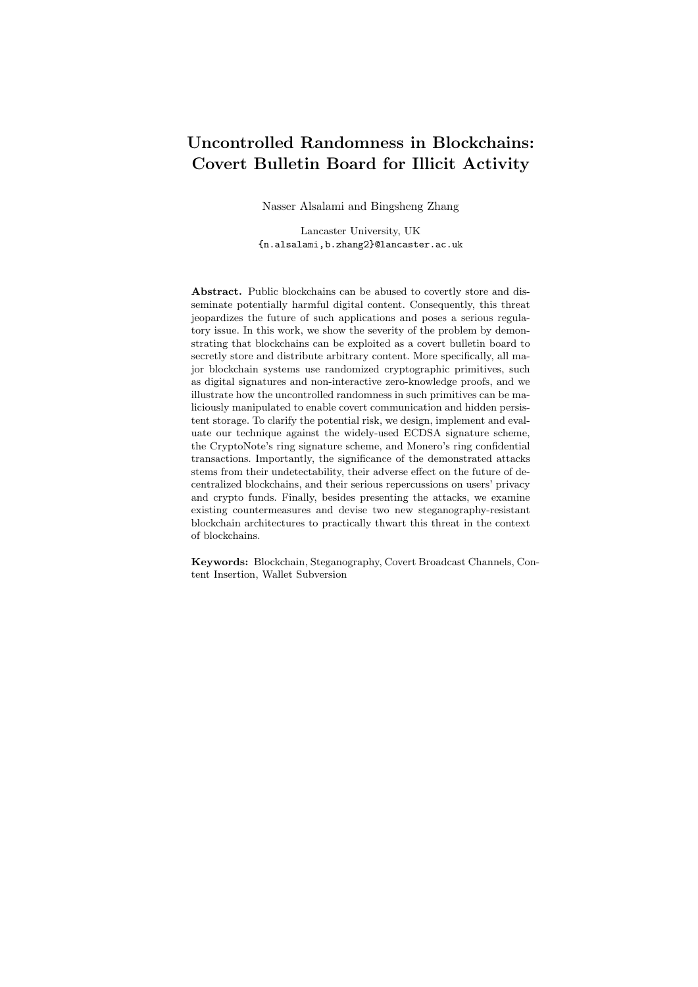tence of such a channel will be untraceable, unlinkable, and even unobservable. Such broadcast channels could be disastrous if used by outlaws, e.g. terrorists.

- Persistent storage. With the proposed steganographic technique, anyone can use the blockchain as a cheap hidden persistent storage along with their daily transactions. For instance, this can be used for uncensorable cyberlockers. At the time of submission, persistently storing 1 GB of data on Bytecoin blockchain and using its P2P network as CDN costs less than \$ 3. In theory, data storage is just a communication channel between the current user and the user himself in the future. Nevertheless, there is a subtle difference between hidden storage and covert channels, that is how long the channel (data) would exist. Also some countermeasures are effective against persistent storage but not against covert channels.
- Wallet subversion attacks. For the first time, we point out that there is a troubling high risk of massive coin stealing among all of the current cryptocurrency wallets by demonstrating efficient and effective subversion attacks within the realm of *Kleptography* and *Algorithm Substitution* Attacks. This attack possesses the following properties:

Passive attack. After the victim user downloads and installs the subverted wallet, the attacker does not need to interact directly with the victim's wallet. The communication channel between the subverted wallets and the attacker is simply through the transactions posted on the blockchain.

Undetectability in black-box setting. The transactions generated by compromised wallets are computationally indistinguishable from the honestlygenerated transactions. Therefore, no online/offline watchdog can detect the subversion. It is important to note that *undetectability in this context does* not mean the in-ability to detect source code discrepancies between genuine and subverted wallets, or the in-ability to reverse-engineer the subverted wallet, but rather the computational indistinguishability between transactions generated by the two types of wallets.

Interoperability. The subverted wallets transact seamlessly with normal wallets; i.e. they can send to and receive from other wallets regardless whether other wallets are subverted or not.

Subtlety. In accordance with the definition of kleptography and Algorithm-Substitution Attacks, shown in Sec. 2, we consider our attack exclusively in the black-box setting. However, if optimized, the difference between a subverted wallet source code, e.g. Bytecoin wallet, and the original code is only about ten lines of code in two functions. This subtlety makes it difficult even for technology-savvy users to review and detect the subversion even if the subverted wallet is open source.

We have implemented our subversion attacks against the ECDSA signature scheme, and the ring signature used in the CryptoNote framework which is implemented by many cryptocurrencies, such as Bytecoin. Because ECDSA and ring signature are widely used among cryptocurrencies, this work has direct impact on 18 of the top 25 cryptocurrencies in terms of market capitalization [14] (as of the time of writting) as depicted in Table 1.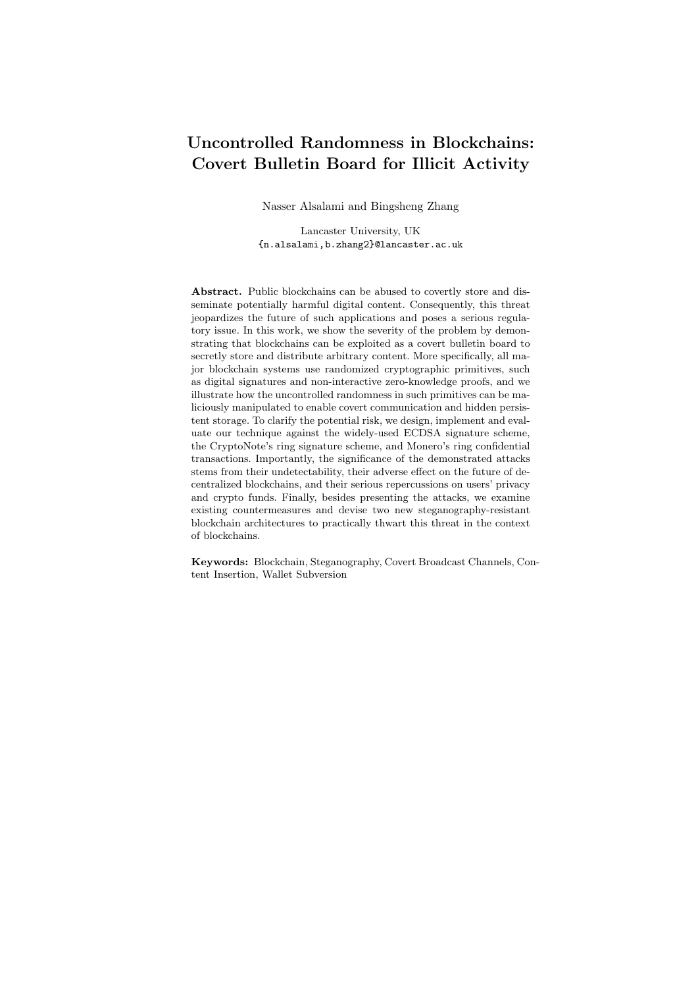| Cryptocurrencies' Signatures |                                           |                     |                         |  |                     |             |  |
|------------------------------|-------------------------------------------|---------------------|-------------------------|--|---------------------|-------------|--|
| $^{\#}$                      | Cryptocurrency ECDSA EdDSA Ring Signature |                     |                         |  |                     | <b>Note</b> |  |
| 1                            | <b>Bitcoin</b>                            | X                   |                         |  |                     |             |  |
| $\overline{2}$               | Ethereum                                  | $\overline{\times}$ |                         |  |                     |             |  |
| 3                            | Ripple                                    | $\overline{\times}$ | $\overline{\mathsf{x}}$ |  |                     |             |  |
| 4                            | <b>Bitcoin Cash</b>                       | X                   |                         |  |                     |             |  |
| 5                            | Litecoin                                  | $\overline{\times}$ |                         |  |                     |             |  |
| 6                            | Cardanos                                  |                     | X                       |  |                     |             |  |
| 7                            | Stellar                                   |                     | $\overline{\times}$     |  |                     |             |  |
| 8                            | $Z$ cash                                  |                     | $\overline{\mathsf{x}}$ |  |                     |             |  |
| 9                            | <b>IOTA</b>                               |                     |                         |  |                     | Winternitz  |  |
| 10                           | Monero                                    |                     |                         |  | $\times$            |             |  |
| 11                           | Dash                                      | $\overline{\times}$ |                         |  |                     |             |  |
| 12                           | <b>NEM</b>                                |                     | $\times$                |  |                     |             |  |
| 13                           | Ethereum Classic                          | $\times$            |                         |  |                     |             |  |
| 14                           | Komodo                                    | $\overline{\times}$ |                         |  |                     |             |  |
| 15                           | Verge                                     | Χ                   |                         |  |                     |             |  |
| 16                           | Lisk                                      |                     | $\times$                |  |                     |             |  |
| 17                           | Dogecoin                                  | $\times$            |                         |  |                     |             |  |
| 18                           | Decred                                    | $\overline{\times}$ | X                       |  |                     |             |  |
| 19                           | Nano                                      |                     | $\overline{\times}$     |  |                     |             |  |
| 20                           | Wanchain                                  | X                   |                         |  | $\times$            |             |  |
| 21                           | <b>Bytecoin</b>                           |                     |                         |  | $\overline{\times}$ |             |  |
| 22                           | Siacoin                                   |                     | X                       |  |                     |             |  |
| 23                           | <b>Bitcoin Diamond</b>                    | $\times$            |                         |  |                     |             |  |
| 24                           | <b>BitShares</b>                          | $\overline{\times}$ |                         |  |                     |             |  |
| 25                           | Waves                                     |                     | X                       |  |                     |             |  |

Table 1. Cryptocurrencies and Digital Signature Schemes (currencies checked with either the ECDSA signature or the Ring signature are potentially susceptible to the our wallet subversion attacks.)

– Countermeasures. We provide two practical and effective countermeasures to prevent the stego-use of the cryptographic components in a transaction. In particular, we propose a stego-resistant blockchain framework (SRBF) that can be readily applied to all of the off-the-shelf blockchain systems. It is a generic solution that is suitable to any blockchain with randomized signature schemes. More specifically, in this proposal, the miners are trusted. Upon receiving a (randomized) signature associated with a transaction, instead of directly including it into the transactions in the next block, the miner replaces the signature with an non-interactive zero-knowledge proof showing that the miner has seen a valid signature for the transaction. Subsequently, the miner drops the possibly stego-generated signature and puts the transaction together with the miner's proof on the next block. As a long-term solution to malicious substitution attacks, we also propose randomness-externalized architecture as to enable implementation auditing.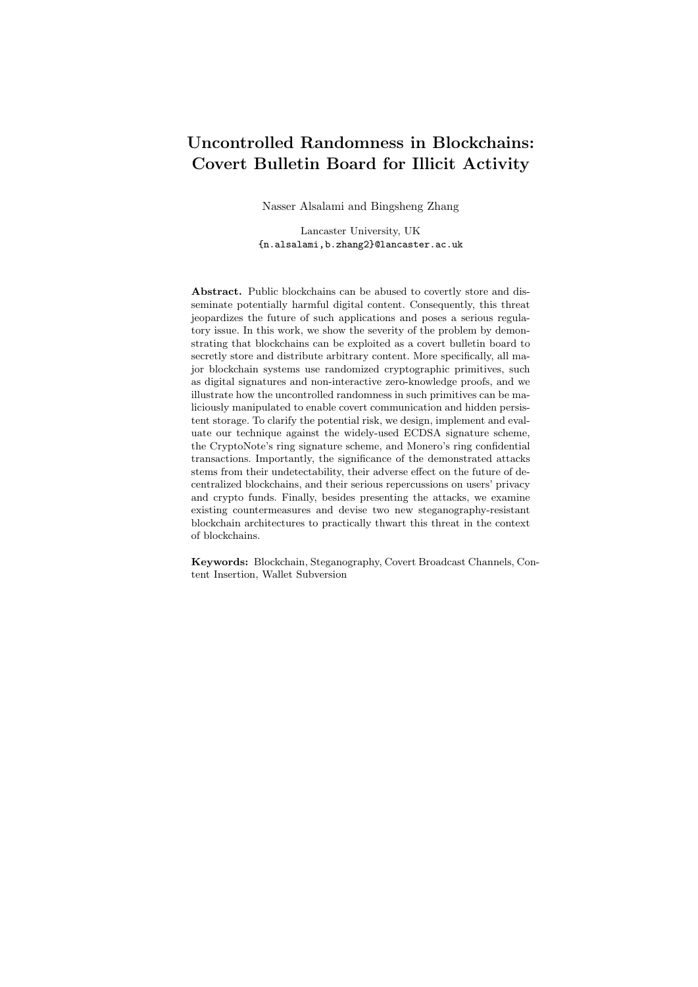#### 1.1 Paper Roadmap

The rest of this document is organized as follows: Sec. 2 provides background and definitions, and explains some preliminary concepts. In Sec. 3, we illustrate our generic steganographic attack against CryptoNote-based cryptocurrencies, assess its effectiveness, and prove its security. After that, we demonstrate our implementation of the generic steganographic attack in Bytecoin and Monero in Sec. 4. In Sec. 5 we explore three different scenarios in which our generic attack could be applied. Besides, Sec. 5.3 presents two more subversion attacks on ECDSA-signature wallets. Also, we discuss the existing countermeasures and suggest two new techniques in Sec. 6. In addition, we present the related work in Sec. 7. Finally, Sec. 8 restates the main objectives and findings, concludes the document, and explains potential future work.

## 2 Preliminaries

Below we describe the necessary notations to used in this document, and provide description of some preliminary concepts that are related to this work.

#### 2.1 Notations

We use the following notations throughout this paper. The notation  $[n]$  stands for the set  $f_1, 2, \ldots, n$ . For a randomized algorithm  $A()$ , we write  $y = A(x; r)$  to denote the unique output of A on input x and randomness r, and write  $y = A(x)$ denote the unique output of  $A$  on input  $x$  and randomness  $r$ , and write  $y$ to denote the process of picking randomness  $r$  uniformly at random and setting  $y = A(x; r)$ . We use s<sup>\$</sup> S to denote sampling an element s uniformly at random from a set S. We use  $\lambda$  2 N as the security parameter. Let poly() denote a polynomially-bounded function and negl( ) denote a negligible function. Unless specified in the context, we use  $\text{hash}_p : f0, 1g \not\subseteq Z_p$  and  $\text{hash}_q : f0, 1g \not\subseteq G$ as two collision resistant hash functions that map an arbitrary length string to a group element in  $Z_p$  and G, respectively.  $m_{[a:b]}$  stands for the truncation that contains from the  $a$ -th bit to the  $b$ -th bit of  $m$ .

#### 2.2 Blockchain

The term *blockchain* encompasses a broader range of distributed ledger technologies initiated by Bitcoin [15]. There are two types of blockchains; permissioned (private) and permissionless (public). In this work, we mainly focus on permissionless blockchains. Typically, a permissionless blockchain uses a Proof-of-X mechanism, such as Proof-of-Work (PoW) and Proof-of-Stake (PoS), to randomly nominate a node which will propose the next block. The valid transactions contained in a block need to be signed by the owner(s) of the corresponding consumed coins. Most blockchain systems use randomized signature algorithms, which makes them vulnerable to our attacks.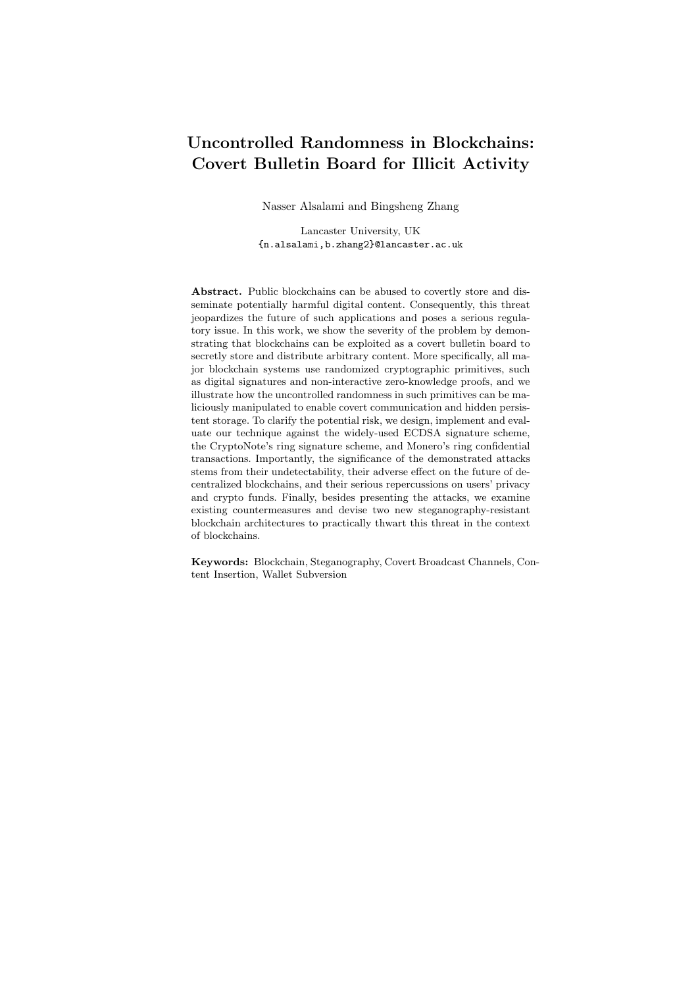#### 2.3 (Ring) Signature schemes

For notation simplicity, we unify the syntax of signature schemes and ring signature schemes. A (ring) signature scheme consists of a tuple of algorithms  $S = (Setup, KeyGen, Sign, Verify)$  as follows:

- param Setup( $1^{\lambda}$ ) is the setup algorithm that takes as input the security parameter  $1^{\lambda}$ , and it outputs a system parameter param. The rest of the algorithms implicitly take param as an input.
- $-$  (PK, SK) KeyGen(param) is the key generation algorithm that takes as input the setup parameter param, and outputs a pair of public and secret keys (PK, SK).
- $-\sigma$  Sign(P, SK,  $\ell, m$ ) is the signing algorithm that takes as input a set of public keys  $P := fP K_1, \ldots, P K_n g$ , the secret key SK, the index  $\ell$  such that SK is the corresponding secret key of  $PK_\ell$ , and the message  $m$ , and it outputs the signature  $\sigma$ . (For a standard signature scheme, we have  $\beta j = 1$ and  $\ell = 1.$ )
- $b$  Verify( $P, m, \sigma$ ) is the verification algorithm that takes as input a set of public keys P, the message m and the signature  $\sigma$ , and it outputs  $b := 1$  if only if the signature is valid.

Signature Unforgeability. In a blockchain application, a signature scheme needs to achieve existential unforgeability under an adaptive chosen-message attack (EUF-CMA). While there are various unforgeability definitions for ring signature schemes; in this work, we adopt the most commonly used unforgeability against fixed-ring attacks and unify it with EUF-CMA. We refer interested readers to [16] for more ring signature security definition variants and their differences.

**Definition 1.** We say a (ring) signature scheme  $S = ($ Setup, KeyGen, Sign, Verify) is EUF-CMA if for any PPT adversary A, any integer  $\lambda$  2 N, any  $n = \text{poly}(\lambda)$ , any param Setup(1<sup> $\lambda$ </sup>), any  $f(\text{PK}_i, \text{SK}_i)q_{i-1}^n$  output by KeyGen(param), we any param Setup( $1^{\lambda}$ ), any  $f(PK_i, SK_i)g_{i=1}^n$  output by KeyGen(param), we have:

$$
\Pr\left[\begin{matrix} (m_{\rightarrow}\sigma_{\rightarrow}) & A^{O(\rightarrow)}(\mathit{fPK}_ig_{i=1}^n) \, : \\ \mathsf{Verify}(\mathit{fPK}_ig_{i=1}^n, m_{\rightarrow}\sigma_{\rightarrow}) = 1 \, \wedge \, m_{\rightarrow} \, \mathscr{Q} \, O \end{matrix}\right] = \mathsf{negl}(\lambda)
$$

where  $O(s, m) := \text{Sign}(f P K_i g_{i=1}^n, SK_s, s, m)$  be the signing oracle, and  $O :=$  $f_{m_1}, \ldots, m_q$ g is the set of queries to the signing oracle  $O($ ,  $).$ 

#### 2.4 Brief description of CryptoNote

CryptoNote is a protocol proposed by Nicolas van Saberhagen [17], and it has been implemented in many emerging cryptocurrencies, such as Bytecoin [18], CryptoNoteCoin [19], Fantomcoin [20], etc. Compared to Bitcoin-like cryptocurrencies, CryptoNote offers two main features: (i) stealth address via non-interactive key exchange and (ii) set anonymity via (linkable) ring signatures.

More specifically, the user's private key consists of  $a, b \nightharpoonup \mathbb{Z}_p$ , and the corresponding public key  $(A, B)$  consists of  $A := g^a$  and  $B := g^b$ . Note that in a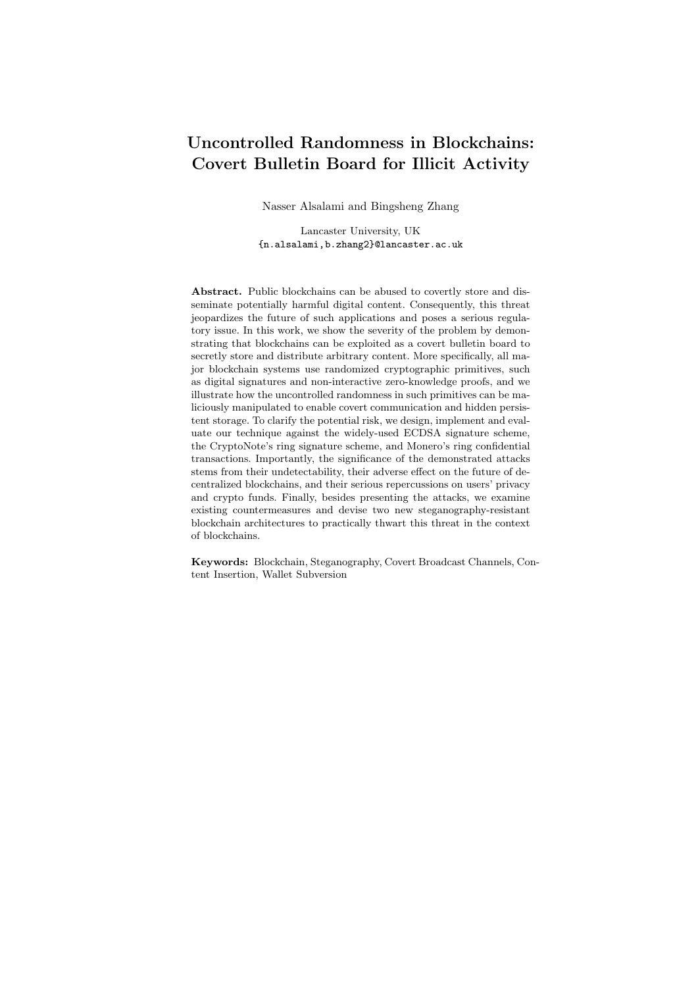| CryptoNote Long-term Key Generation                                                                                                                                                      |
|------------------------------------------------------------------------------------------------------------------------------------------------------------------------------------------|
| KeyGen(param):                                                                                                                                                                           |
| - Pick random $b \overset{\$}{\sim} \mathbb{Z}_n$ ;<br>- Set $a := \text{hash}_p(b)$ , $A := g^a$ , and $B := g^b$ ;<br>- Return (PK := $(A, B)$ , SK := $(a, b)$ ) and TK := $(a, B)$ . |

Fig. 1. CryptoNote Long-term Key Generation Algorithm.

standard CryptoNote implementation, a is usually defined as  $\text{hash}_n(b)$ ; therefore, b is the actual secret key. In CryptoNote, to transfer funds to a recipient, the payer needs to generate a transaction public key  $R := g<sup>r</sup>$  and compute the corresponding one-time address  $T := (g^{\text{hash}_p(A^r)} \ B)$ . The recipient is then able to compute the corresponding one-time private key as  $t := (\text{hash}_p(R^a) + b)$ . By the property of Diffie-Hellman exchange, we have  $A^r = R^a$ . With regards to the one-time ring signature schemes, it is transformed from the OR-composition of Schnorr's identification Sigma protocols. There exists a LNK algorithm that can link two signatures together if they are produced by the same signing key. By design, the one-time signature key can only be used once, and it can be detected if the same key is used to sign two transactions, which prevents double spending. More specifically, let  $T := g^t$  be the one-time public key, and define  $I := (\text{hash}_{q}(T))^{t}$  as a "key image" as part of the signature. The ring signatures signed by the same secret key would have identical key image; therefore, double spending can be defeated efficiently by simply checking if the key image has already been used.

Let  $P := FP_i g_{i=1}^n$  be a set of public keys, and the signer knows the secret key  $t_\ell$  such that  $P_\ell = g^{t_\ell}, \ell \geq [n]$ . Denote  $I := \text{hash}_g(P_\ell)$  as the key image. The param is defined as the parameters of the ED25519 twisted Edwards curve. For completeness, we provide the key generation and signing algorithms in Fig. 1 and Fig. 2, respectively. Fig. 1 shows a third key called the tracking key TK that can be given to a third party to track all transactions destined to the owner of this key without revealing their secret key SK.

#### 2.5 Brief description of Monero (Version 0.12.0.0)

Monero [21] is one of the most successful CryptoNote-based cryptocurrencies, and its source code is available on GitHub [22]. Although the original Monero was based on the CryptoNote protocol, its transaction signature has evolved beyond this protocol<sup>1</sup>. As mentioned in  $[24]$ , CryptoNote suffers from a shortcoming where amounts in transactions are not hidden. To address this issue,

<sup>1</sup> The Monero project is very active and evolves rapidly. In fact they have two major releases each year. In Oct. 2018, Monero released version 0.13.0.0 "Beryllium Bullet", which switched to Bulletproofs [23]. Since the technical specification of the latest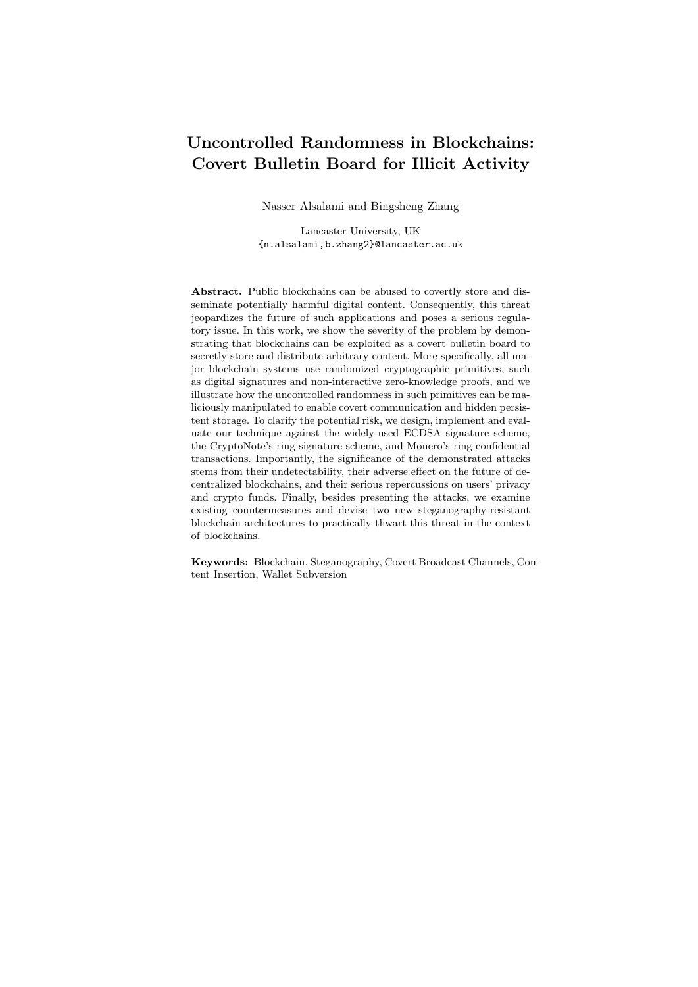| CryptoNote Signing Algorithm                                                        |
|-------------------------------------------------------------------------------------|
|                                                                                     |
| $Sign(\mathit{FP}_i\mathit{G}_{i=1}^n, t_\ell, \ell, m)$ :                          |
| $-$ Set $I := \text{hash}_g(P_\ell);$                                               |
| - For $i \n\mathcal{Q}[k]$ , pick $q_i \triangleq Z_p$ ;                            |
| - For $i \n\mathcal{Z}[k], i \notin \ell$ , pick $w_i \overset{\$} \mathcal{Z}_n$ ; |
| $-$ For $i \; 2 \;  k $ :                                                           |
| Set $L_i := q^{q_i}$ if $i = \ell$ ;                                                |
| Set $L_i := q^{q_i} P_i^{w_i}$ if $i \notin \ell$ ;                                 |
| Set $R_i := (\text{hash}_a(P_i))^{q_i}$ if $i = \ell$ ;                             |
| Set $R_i := (\text{hash}_a(P_i))^{q_i}$ $I^{w_i}$ if $i \notin \ell$ ;              |
| $-$ Set $c := \text{hash}_p(m, L_1, \ldots, L_k, R_1, \ldots, R_k);$                |
| $-$ For $i \; 2 \;  k $ :                                                           |
| Set $c_i := w_i$ if $i \notin \ell$ ;                                               |
| Set $c_i := c \sum_{i=1}^k c_j$ if $i = \ell$ ;                                     |
| Set $r_i := q_i$ if $i \notin \ell$ ;                                               |
| Set $r_i := q_\ell$ $c_\ell t_\ell$ if $i = \ell$ ;                                 |
| - Return $\sigma := (I, c_1, \ldots, c_k, r_1, \ldots, r_k).$                       |
|                                                                                     |

Fig. 2. CryptoNote Signing Algorithm.

Ring Con dential Transaction ( $RingCT$ ) [24] has been developed and deployed in Monero since January 2017. It combines (linkable) ring signature and Pedersen commitment schemes [25], and also adopts Multilayered Linkable Spontaneous Anonymous Group Signature (MLSAG).

In Monero, suppose a user wants to spend  $m$  coins from his wallet, denoted as  $A_s := \mathcal{F}(PK_s^{(i)}, CN_s^{(i)})$   $g_{i=1}^m$  where  $PK_s^{(i)}$  is the user's *i*-th account address and  $CN_s^{(i)}$  is the balance of the account. The user first chooses k output accounts  $f(\text{PK}_r^{(j)}, \text{CN}_r^{(j)})g_{j=1}^k$  such that the sum of balances of the input accounts equals the output accounts, and sets  $R := f P K_r^{(j)} g_{j=1}^k$  as the output addresses. In addition, the user selects  $n-1$  groups of input accounts with each containing m different accounts to anonymously spend  $A_s$ , i.e. set anonymity. Whenever receiving this transaction from the P2P blockchain network, the miners check the validity of the transaction along with its public information. The commitments are used to hide account balance. There are several special properties required for the RingCT protocol. Public keys generated by the key generation algorithm of ring signature should be homomorphic. Commitments should be homomorphic w.r.t. the same operation as public keys. Commitments to zero are well-formed public keys, each corresponding secret key of which can be derived from the randomness of commitments.

version is not well documented yet, our work is for Monero version 0.12.0.0 and earlier versions.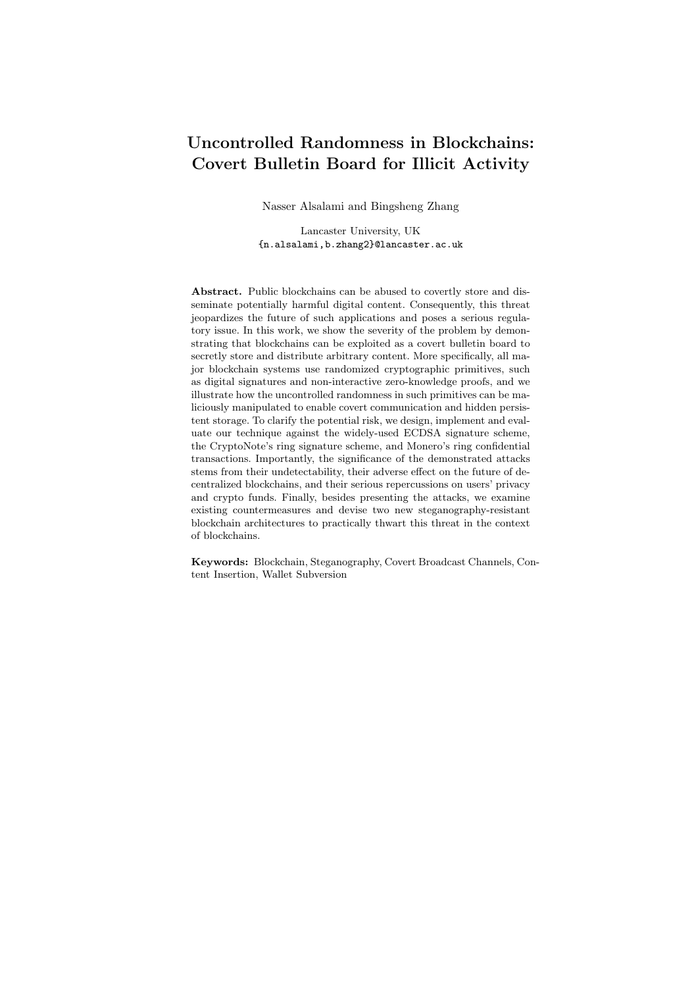Sign $(P, ft_i g_{i=0}^{n-1}, f_{j_i} g_{i=0}^{n-1}, m)$ :  $-$  For  $i \; 2 \; [0, n \; 1]$ : Pick  $k_i$ <sup>\$</sup>  $\mathbb{Z}_p$ ; Set  $e_{i,j+1} := \text{hash}_p(m, g^{k_i}, i, j_i);$ For  $j \n\mathcal{Q}[j_i, m_i \quad 1]$ , pick  $s_{i,j} \overset{\$} \mathcal{Z}_p$  and compute  $e_{i,j+1} := \text{hash}_p(m, g^{s_{i,j}} \mid P_{i,j}^{e_{i,j}}, i, j);$ - For  $i \n\in [0, n \quad 1]$ , pick  $s_{i,m_j}$ <sup>\$</sup>  $\mathbb{Z}_p$  and compute  $e_0 := \textsf{hash}_p(g^{s_{i,m_j}} \ \ P^{\ \ e_{i,m_j}}_{i,j}, \dots, g^{s_{n,m_j}} \ \ P^{\ \ e_{n,m_j}}_{i,j});$  $-$  For  $i \; 2 \; [0, n \; 1]$ : For  $j \n\in [0, j_i \quad 1]$ , pick  $s_{i,j} \overset{\$}{{}_{\sim}} Z_p$  and compute  $e_{i,j+1} := \text{hash}_p(m, g^{s_i,j} \mid P_{i,j}^{e_{i,j}}, i, j);$ Set  $s_{i,j_i} := k_i + t_i e_{i,j_{i-1}};$ – Return  $\sigma := (e_0, f_{s_{i,j}}g_{i2[0,n],j2[0,m_i]}).$ Borromean Signing Algorithm

Fig. 3. Borromean Signing Algorithm.

In particular, we will explore our subversion attack against the Borromean ring signature [26]. In a high-level abstraction, Borromean ring signature is a Fiat-Shamir transformation of an AND/OR composition Sigma protocol of the Schnorr's identity protocol. More specifically, let  $P := \mathit{fP}_{i,j} g_{i2[0,n-1],j2[0,m-1]}$ be a set of public keys, and the signer knows the secret key  $t_i$  such that  $P_{i,j_i} =$  $g^{t_i}$ ,  $i \geq [0, n \quad 1]$ , where  $j_i$  are fixed and unknown indices. Moreover, we provide pseudo-code to explain the Borromean signing algorithms in Fig. 3.

#### 2.6 Steganography

Steganography refers to the techniques that allow a sender to send a message covertly over a communication channel so that the mere presence of the hidden message is not detectable by an adversary who monitors the channel [27, 28]. Modern steganography techniques can be applied to various media, such as images, audios, HTML files, etc. A stegosystem consists of three PPT algorithms  $ST := (KeyGen, Embed, Extract)$  as follows:

- $-$  (ek, dk) KeyGen(1<sup> $\lambda$ </sup>) is the key generation algorithm that takes as input the security parameter  $1^{\lambda}$ , and it outputs an embedding key ek and an extraction key dk.
- st Embed<sub>H,ek</sub> $(m)$ . Given an embedding key ek, a hidden message m 2  $f0, 1g$  and channel history  $H \nightharpoonup \mathcal{D}$ ,  $f0, 1g$ , Embed generates a stegotext message st  $2 \text{ f0}, 1g$  that is *indistinguishable* from the normal channel distribution D of innocent cover text objects ct.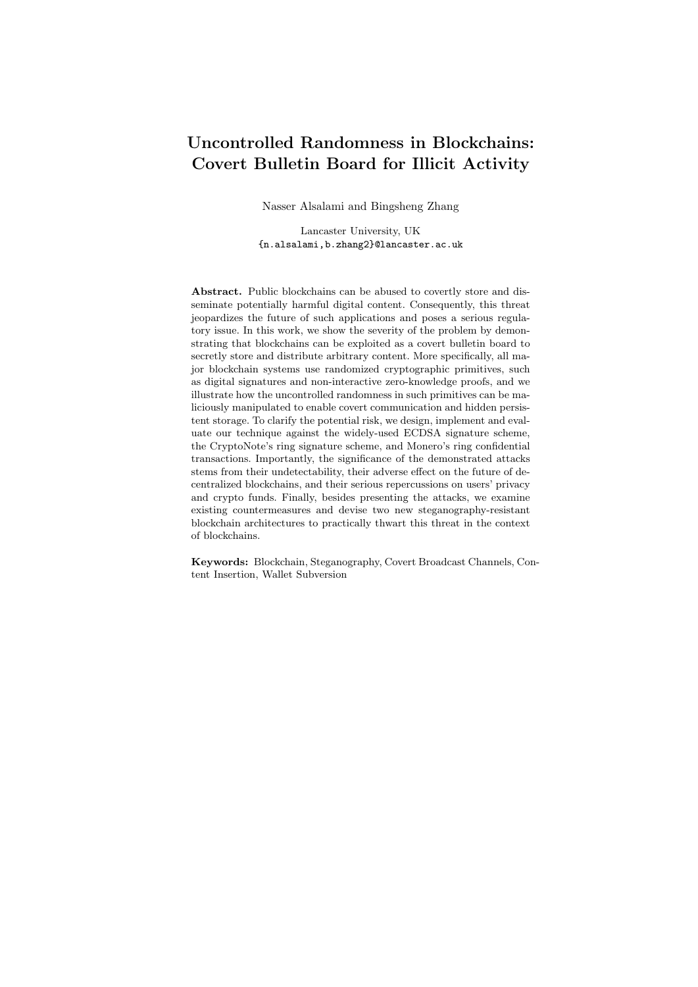$- m$  Extract<sub>dk</sub>(st), Extract takes as input a extraction key dk and the stegotext st  $2 f0$ , 1q and outputs a hidden message  $m 2 f0$ , 1q.

**Definition 2** (Correctness). We say a stegosystem  $ST :=$  (KeyGen, Embed, Extract) is correct if for all  $(ek, dk)$ KeyGen $(1^{\lambda})$  we have

 $Pr [Extract_{dk}(Embed_{H,ek}(m))]$  1 negl $(\lambda)$ .

Stegosystem Security. The stegosystem's goal is to communicate a hidden message covertly by hiding the mere existence of the hidden communication. Therefore, a stegosystem is considered to be *secure* if an observer is not able to distinguish stegotext st from objects randomly picked from the channel distribution  $D$ . More formally, this is defined as a *chosen hidden-text attacks* (CHA) game/experiment.

 $\mathbf{Expt}_{\mathcal{A}}^{\mathsf{CHA}}(1^\lambda)$ 

- 1.  $A(1^{\lambda})$  outputs a message m;
- 2. (ek, dk) KeyGen $(1^{\lambda})$ ;
- 3. *b*  $f0, 1q;$

4. If  $b = 0$ : c Embed<sub>H,ek</sub> $(m)$ ;

- Else:  $c$  D;
- 5.  $A(c)$  outputs a bit  $b^0$ ;
- 6. Return  $b = b^0$ ;

We say a stegosystem  $ST := (KeyGen, Embed, Extract)$  is CHA-secure if:

$$
\mathsf{Adv}_{A,\mathsf{ST}}^{\mathsf{CHA}}(1^{\lambda}) = \left| \Pr\left[\mathbf{Expt}_{A}^{\mathsf{CHA}}(1^{\lambda})\right] - \frac{1}{2} \right| = \mathsf{negl}(\lambda) .
$$

Stegosystem Efficiency and Robustness. Besides security, the following properties are also important to a stegosystem.

- Reliability/Efficiency. The probability that an embedded message is extracted when the stegosystem does not achieve not perfect correctness.
- Robustness. The inability of a challenger/warden to alter the sender's communication transcript (that contain hidden message), and possibly prevent the receiver from recovering the hidden message.

#### 2.7 Kleptography/Algorithm-substitution attacks

Our wallet subversion attacks can be classified as kleptographic attacks [29–31] and algorithm-substitution attacks (ASA) [32, 33]. As a high-level definition, in such attacks, the adversary maliciously tampers with the implementation of a cryptographic algorithm  $G_{\text{IMP}}$  and changes it from its specification  $G_{\text{SPEC}}$ algorithm, with the aim to subliminally and exclusively leak the user's secret information to the adversary while evading detection in the black-box setting. The depiction in Fig. 4 illustrates how an adversarial implementation  $G_{\text{IMP}}$  of the algorithm  $G_{\text{SPEC}}$  can allow the adversary, given their secret key  $z$ , to detect the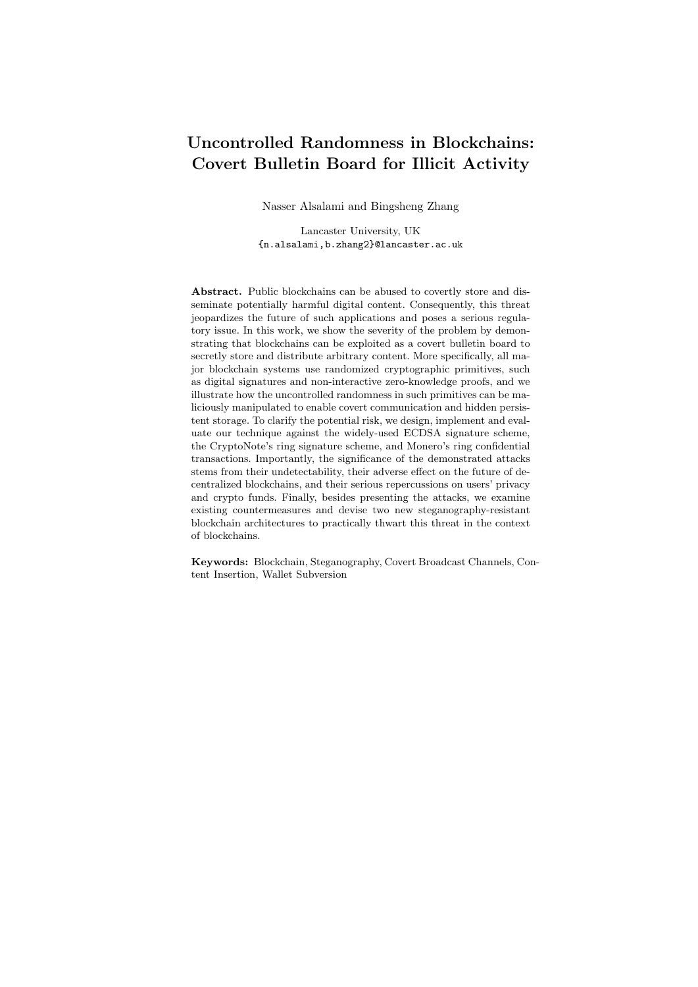subverted ciphertext  $c^{\theta}$  and extract the user's secret s. Kleptographic attacks are significant due to their undetectability in the black-box setting and their severe consequences on the security of the users. See App.  $E$  for more details about signature subversion and *detectability*.



Fig. 4. Kleptography/ASA: specification  $G_{\text{SPEC}}$  takes input as the message m and the secret s, and outputs c; whereas, the malicious implementation  $G_{\text{IMP}}$  outputs a subverted ciphertext  $c^{\ell}$  which can leak the secret s exclusively to the attacker who knows z.

## 2.8 ECDSA

ECDSA is a randomized-signature scheme over the NIST elliptic curves that has been widely used in cryptocurrencies, such as Bitcoin, Ethereum, etc.

Elliptic Curve Over  $F_p$  Let param :=  $(p, a, b, g, q, \zeta)$  be the elliptic curve parameters over  $F_p$ , consisting of a prime p specifying the finite field  $F_p$ , two elements  $a, b \supseteq F_p$  specifying an elliptic curve  $E(F_p)$  defined by  $E: y^2 \longrightarrow x^3 + y^2$  $ax+b \pmod{p}$ , a base point  $g=(x_g, y_g)$  on  $E(\mathbb{F}_p)$ , a prime q which is the order of g, and an integer  $\zeta$  which is the cofactor  $\zeta = \#E(\mathbb{F}_p)/q$ . We denote the cyclic group generated by  $g$  as  $G$ , and it is assumed that the DDH assumption holds over <sup>G</sup>, that is for all PPT adversary <sup>A</sup>:

$$
\mathsf{Adv}^{\mathsf{DDH}}_{\mathbb{G}}(\mathcal{A}) = \left| \Pr\begin{bmatrix} x, y & Z_q; b & \mathcal{D}, 1g \\ h_1 & \mathsf{G} : \mathcal{A}(g, g^x, g^y, h_b) = b \end{bmatrix} \right| \left| \frac{1}{2} \right|
$$

is negligible in  $\lambda$ .

ECDSA description The ECDSA signature scheme is depicted in Fig. 5.

## 3 Generic Steganographic Attack

Many cryptocurrencies use ring signatures to preserve users' privacy. For example, the CryptoNote framework [17], which is adopted by around 20 cryptocurrencies, uses ring signatures. As a demonstration, we describe how the *uncon*trolled randomness in CryptoNote's ring signature can be maliciously exploited. Namely, we show how the randomness within the ring signatures can be used to communicate covertly, store arbitrary information, and surreptitiously leak private keys. Note that the same principles are applicable to any other uncontrolled randomness in blockchain primitives.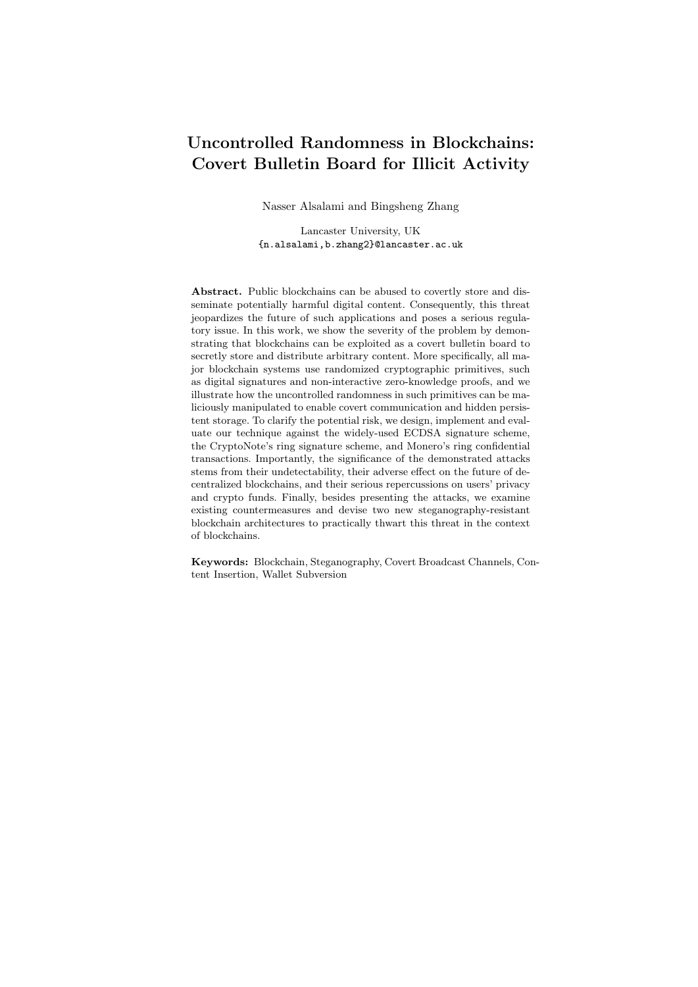KeyGen(param): – Pick random  $s \quad \mathbb{Z}_q$ ;  $-$  Set  $S := g^s = (S_x, S_y);$  $-$  Output (PK := S, SK := s);  $Sign(PKg, SK, 1, m)$ : – Pick random  $r \quad \mathbb{Z}_q$ ;  $-$  Set  $R := g^r = (R_x, R_y);$  $-$  Set  $w := (\text{hash}_p(m) + s \ R_x) \ r^{-1} \pmod{q};$ – Output  $\sigma := (R_x, w)$ ; Verify( $fPKq, m, \sigma$ ):  $-u_1 := \text{hash}_p(m) \ w^{-1} \pmod{q} \text{ and } u_2 := R_x \ w^{-1} \pmod{q};$ - Compute  $P := g^{u_1} S^{u_2} = (P_x, P_y);$ – Output valid if and only if  $P_x = R_x \pmod{q}$ ; ECDSA (KeyGen, Sign, Verify)

Fig. 5. ECDSA Signature Scheme.

#### 3.1 Our generic steganographic attack on CryptoNote

We now describe a generic steganographic attack against all CryptoNote-based cryptocurrencies and their variants. As mentioned in Sec. 2.4, the CryptoNote protocol uses the ED25519 twisted Edwards curve, and the group order is a 253 bit prime p. The long term secret key of a user consists of two group elements  $a, b \neq \mathbb{Z}_p$ , but  $a := \text{hash}_p(b)$  is commonly used in practical implementation. Therefore, the long term secret key of a CryptoNote account is effectively 253 bits.

As part of the one-time (linkable) ring signature, a one-out-of-many noninteractive zero knowledge proof is included. More specifically, for a ring of size k, the format of the ring signature is  $\sigma = (I, c_1, \ldots, c_k, r_1, \ldots, r_k)$ . Suppose the sender's public key is  $PK_i$ ,  $i \geq [k]$ . For all  $j \geq [k]$  and  $j \neq i$ , the components  $c_j$  and  $r_j$  are uncontrolled random group elements in  $\mathcal{Z}_p$  and can be used for covert communication (cf. Fig. 2, above). Hence, our attack is premised on steganographically embedding arbitrary information on the ring signature's random numbers  $(c_i, r_i)$ .

In our attack example,  $ek = dk$ , which is a simple 128-bit random key z, is the common shared secret. The attack is explained as a three-step process carried out by two parties: a sender called Alice and a receiver called Bob.

Step 1: embedding hidden messages (Embed). As the most significant bit of a random  $Z_p$  element does not have uniform distribution (which is more biased to 0), to ensure (computational) indistinguishability between stegotext st and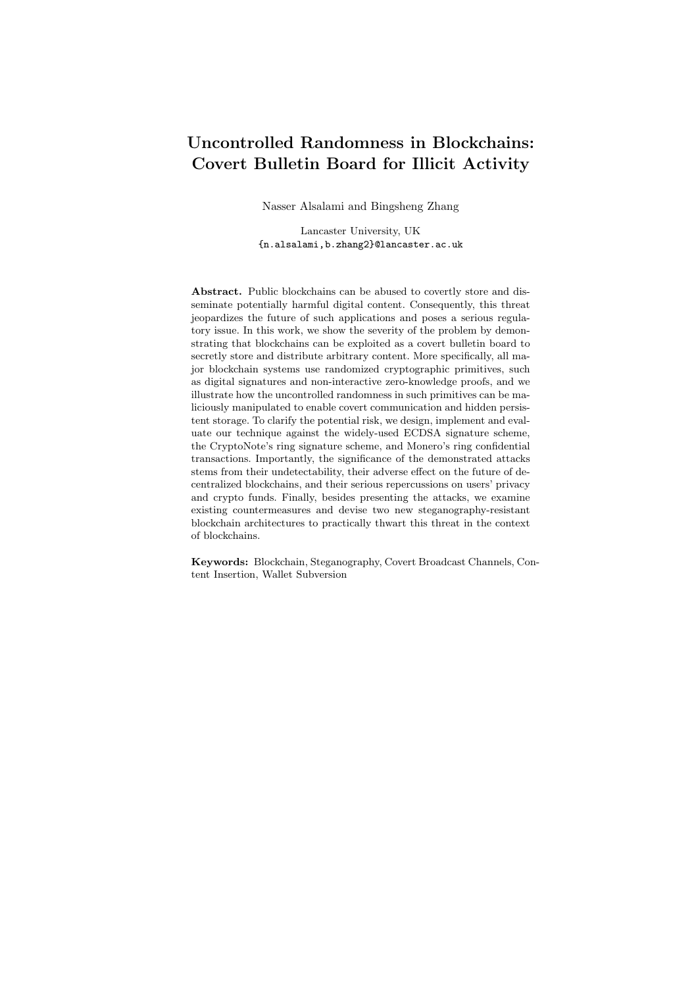

Fig. 6. Steganographic attack against CryptoNote: Format of one pair of random numbers  $(c_i, r_i)$  with 47-byte embedded stegotext.

innocuous random elements  $(c_j, r_j)$  2  $\mathbb{Z}_p$ , Alice embeds her secret message m in the least significant 252 bits of  $c_j$  and  $r_j$ , whereas, the most significant bits  $b_1$ and  $b_2$  are sampled according to the real distribution of  $c_i$  and  $r_j$ . As depicted in Fig. 6, the rest of the bits consist of a 128-bit IV, 124-bit Payload 1, 252-bit Payload 2. Let  $F : f0, 1g^{128} \quad f0, 1g^{128} \quad F \quad f0, 1g^{128}$  be a block cipher that takes as input a 128-bit plaintext and a 128-bit key, and outputs a 128-bit (pseudorandom) ciphertext. Moreover, Alice uses synthetic IV to allow Bob to efficiently identify which transactions on the blockchain contain stegotext st. In particular,  $IV := F<sub>z</sub>(randk00...0)$ , where rand is a 64-bits random string, and  $00...0$  is a 64-bit string of 0's. As a result, to check if a signature contains any st, Bob can simply try to decrypt a suspected  $\mathsf{IV},$  obtaining  $d := F_z^{-1}(\mathsf{IV}).$  If the lower half of d consists of 64 bits of 0's, then this signature contains stegotext st.

In our attack, Payload 1 and Payload 2 are jointly used to convey a 376-bit hidden message ( $m =$  Payload 1 kPayload 2). The payloads are encrypted via a semantically secure symmetric encryption under the secret key z and using IV. Also, to handle an arbitrary-length hidden message and ensure the resulting ciphertext has the same length as the message (besides the IV), Alice can use Ciphertext Stealing (CTS) as described in App. F.

Step 2: identifying stegotext. Unlike conventional P2P covert communication, before attempting to extract a hidden message from a transaction, Bob should first identify if the target transaction contains a stegotext st. As mentioned before, Bob can accomplish this by parsing IV from the first two  $c_i$ 's of the ring signature  $\sigma$  in a transaction, and checking whether the decryption of IV contains pattern 64 bits of 0's as shown in Fig. 6. Note that Embed embeds the hidden message m in one of the first two pairs of  $(c_j, r_j)$ . If  $c_1$  does not yield the IV, then Alice's secret index i must be 1, and Bob moves on to decrypt  $c_2$  which must contain the IV, otherwise, the signature is an innocent cover text ct that does not contain st.

Step 3: extracting hidden messages (Extract). Once a steganographic ring signature is successfully identified, Bob can use the Extract algorithm to extract the hidden message. More specifically, Bob collects Payload 1 and Payload 2 as depicted in Fig. 6. Bob then uses the extraction key  $dk := z$  to decrypt the payload, obtaining  $m := \text{CTS-Dec}_z(\text{IV}, \text{Payload 1kPayload 2}).$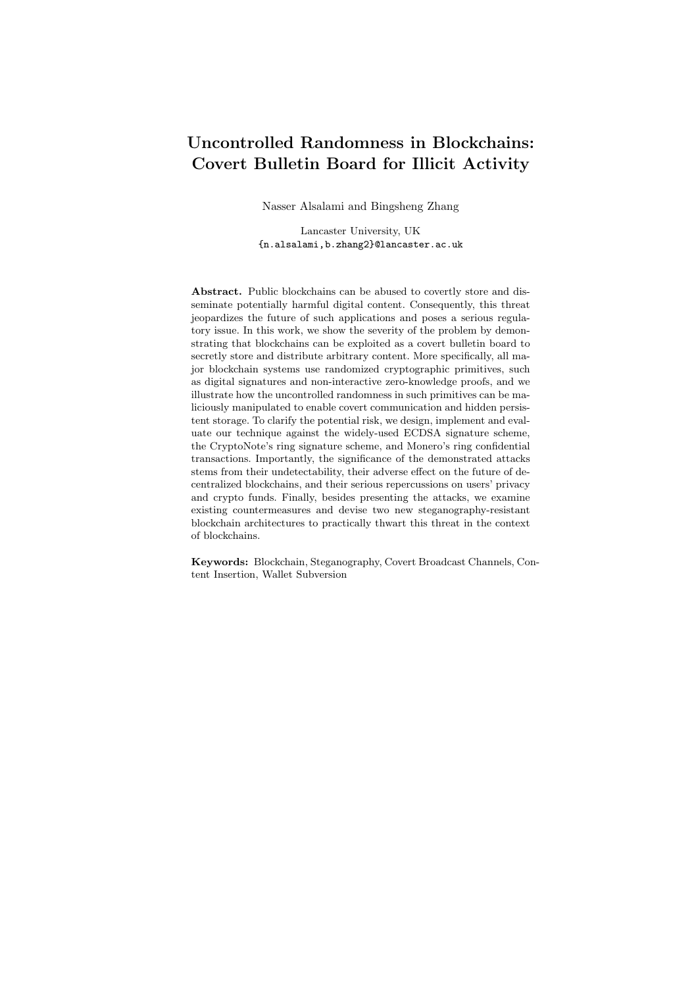$KeyGen(1^{128})$ :  $-$  Pick random  $z$  $f0, 1q^{128}$ ;  $-$  Return ek := dk := z;  $Embed_{H,ek}(m)$ : - Pick random rand  $\tau$ 0, 1 $g^{64}$ ;  $- IV := F<sub>z</sub>(randk00...0);$  $- \hat{m} := \text{CTS-Enc}_z(\text{IV}, m);$  $-$  Payload 1 :=  $\hat{m}_{[0:123]}$ ;  $-$  Payload 2 :=  $\hat{m}_{[124:375]};$ – Sample random  $c$   $\bar{Z}_p$ , and  $r$   $\bar{Z}_p$ ;  $- c_{[1:128]} := IV;$  $- c_{[129:252]} := \text{Payload 1};$  $- r_{[1:252]} := \text{Payload 2};$  $-$  Return  $(c, r)$ ; Extract<sub>dk</sub> $(c, r)$ :  $- \alpha := F_z^{-1}(c_{[1:128]});$ – If  $\alpha_{[64:127]} \not \in (00\ldots 0)$ : Return ?; – Else:  $IV := c_{[1:128]};$  $-$  Payload 1 :=  $c_{[129:252]};$  $-$  Payload 2 :=  $c_{[1:252]}$ ;  $- m := CTS-Dec_z(IV, Payload 1kPayload 2);$  $-$  Return  $m$ ; A Generic CryptoNote Stegosystem

Fig. 7. Pseudo-code for a generic stegosystem  $ST := (KeyGen, Embed, Extract)$  to covertly communicate a 376-bit message m in one pair of innocuous-looking  $(c, r)$ , where  $\lambda = 128$ .

The pseudo-code in Fig. 7 further illustrates the generic steganographic attack on CryptoNote currencies. Note that, in practice, the IV and Payload can be encrypted under two different keys derived from a single master key z. However, for notation simplicity, we use the same key here.

#### 3.2 Security

The security of the proposed generic stegosystem against all CyptoNote-based cryptocurrencies is examined for undetectability under the chosen hidden-text attacks (CHA) game/experiment. We remark that the content-insertion techniques that use non-standard Bitcoin scripts or exchange the public key with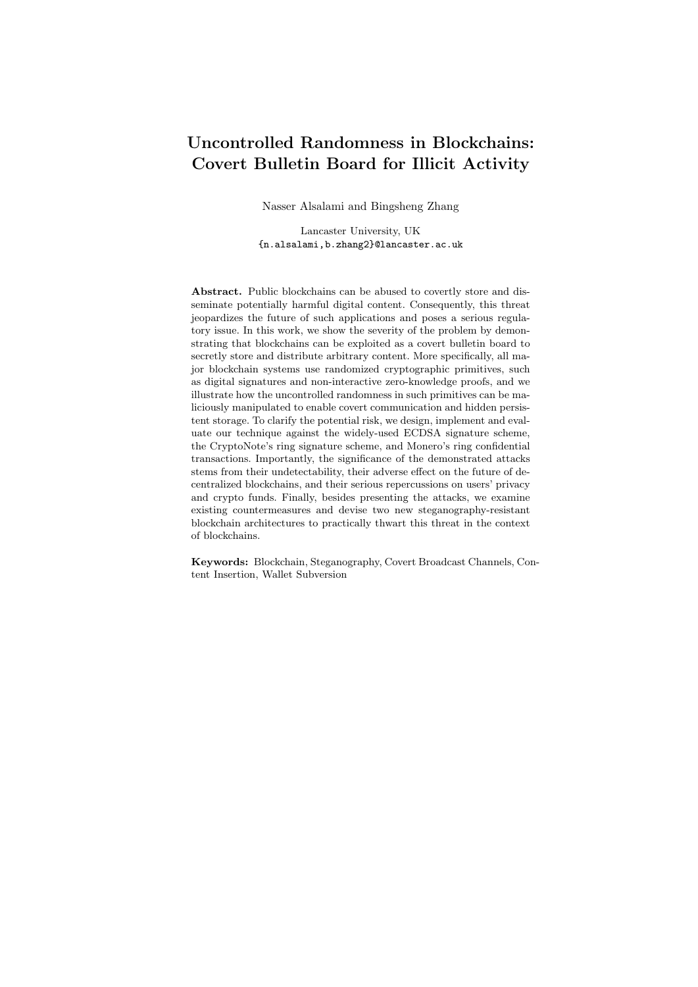an arbitrary string with *printable* characters, as mentioned in  $[1, 34]$ , can be detected. However, our proposed steganographic attack on CryptoNote simply replaces random numbers with pseudo-random ciphers which, by definition of semantic security, are computationally indistinguishable from each other. Assuming the CTS-Enc algorithm described in App.  $F$  uses  $F$  as the internal PRF function, we have the following theorem.

**Theorem 1.** If F is a secure pseudorandom function, the stegosystem  $ST :=$ (KeyGen, Embed, Extract) as shown in Fig. 7 is CHA secure.

Proof. See App. A.

#### 3.3 Robustness and Efficiency

In terms of robustness, it is easy to see that, unlike image steganography, the stegotext embedded in the signatures can never be removed while still preserving the functionality of the signatures. Therefore, there is no filter that can remove our stegotext.

Throughput. The only similar attack in literature is the proof-of-concept attack in [6] which sends a hidden message bit-by-bit through the rejection-sampling of the transaction address. Besides sending one bit of the hidden message  $m$  per transaction, their attack also sends one transaction per block. As a result, with 10 minutes to add a new block in Bitcoin, a sender needs more than 24 hours to send a message of 20 bytes. On the other hand, our steganographic attack takes advantage of the randomness within each ring signature in CryptoNote transactions. In fact, a CryptoNote transaction contains a ring signature for each input. Therefore, if a transaction  $x$  has  $y$  number of inputs, and  $n$  public keys in the ring of each signature, then the total number  $N$  of random numbers  $(c_i, r_i)$  in tx is  $N = y$  (n 1) 2. Whereas, the available bandwidth B in bytes is  $B = 32N$ . Hence, the available bandwidth in one transaction of 10 inputs and 10 public keys is more than 5KB. In comparison, other techniques that replace segments of the transaction, e.g. replacing P2SH scripts in Bitcoin transactions as done in Tithonus [35], can at maximum transmit 1KB per transaction. This further proves the efficiency of exploiting cryptographic randomness as opposed to replacing segment of the transaction itself.

Note that many blockchains offer an API to retrieve certain transactions and blocks. Therefore, if the receiver know the heights, i.e. indices, of the blocks that contain the steganographically communicated data, he does not need to check the whole blockchain. Therefore, a sender can communicate this kind of information off-line to minimize the receiver's computational effort.

Robustness against DoS attacks. Censors can discover censorship-resistant proxies, e.g. Tor bridges, and block them. On the other hand, censors can not distinguish steganographically-subverted blockchain transactions, hence, they can not launch any targeted DoS attack unless they blacklist the whole blockchain which might have other financial ramifications. Additionally, from an attacker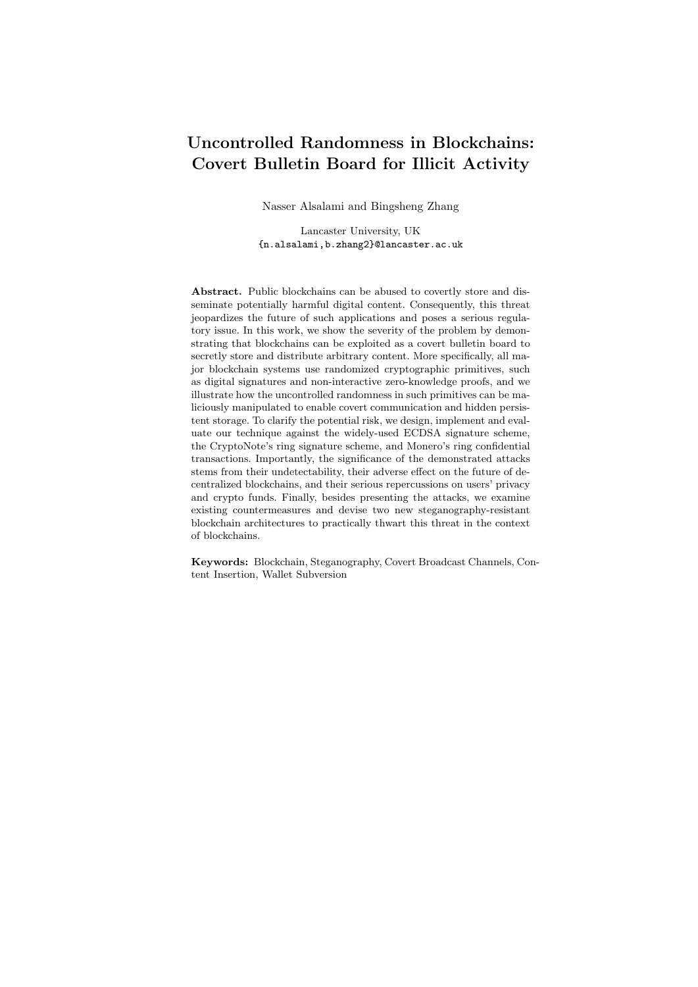perspective, exploiting uncontrolled randomness is advantageous over other contentinsertion approaches that simply replace segments of the transactions, as done in Tithonus [35] and Catena [36]. Namely, other techniques are susceptible to policy changes where certain transactions, or scripts, become conspicuous or are no longer accepted, forcing the adoption of alternative techniques.

Cost. Content-insertion through the use of OP RETURN transactions and the arbitrary replacement of transaction addresses [34] render the funds unspendable. Therefore, these techniques burns funds. On the contrary, our proposed steganographic attack does not incur any additional cost, except for minimal transaction fees, as the sender can always send transactions to his own addresses. Technically, we can choose arbitrarily large ring size in a transaction. In practice, however, we found that a value between 20 and 30 is the optimal ring size to get a transaction included quickly with minimum transaction fees. To further clarify the cost per Byte, a Bytecoin transaction tx with 2 inputs and 21 public keys can take about 2 KB of covert data and costs 0.01 BCN as the minimum transaction fee which, given the current price of Bytecoin is \$ 0.000619 [14], costs  $$ 0.00000619$ . Therefore, the cost of transmitting 1 GB covertly is  $$ 2.4$ . On the contrary, As shown in [35], Bitcoin-based Tithonus can covertly transmit up to 1650 Bytes in one transaction by replacing segments of the P2SH script of a multisignature transaction. Assuming the minimum transaction fee of 1 Satoshi/Byte and \$ 3657 [14] per Bitcoin, the cost of transmitting 1 GB is more than \$ 36, 000.

#### 4 Case studies: Bytecoin and Monero

This section contains specific implementation of the proposed attack in Sec. 3 where we have implemented and evaluated the attack in two real cryptocurrencies; Bytecoin and Monero. Namely, we implemented the steganographic attack in the most recent release of Bytecoin (v 3.3.3) which has a market cap of around \$142 millions as of the time of writing [14]. Similarly, we implemented and tested the attack in Monero which is ranked 11 among currencies and has a market cap of around \$1 billion. It is important to note that as of October 2018, Monero (v 0.13.0.0) has replaced Borromean ring signatures, that is exploited by our attack, by a succinct zero-knowledge proof called Bulletproofs, which is not covered by this work. Consequently, all of our discussion in relation with Monero is regarding previous versions of the source code mainly (v 0.12.0.0) and older.

Although Monero is based on CryptoNote protocol, it uses Borromean ring signature which is different from the ring signature used in CryptoNote protocol as previously shown in Sec. 2. Nevertheless, our generic attack in Sec. 3 is still applicable to Monero. This emphasizes that the same attack can be extended to all public blockchain applications with randomized cryptographic primitives.

#### 4.1 Implementation in Bytecoin

Bytecoin is an open-source cryptocurrency project [37] that implements the CryptoNote protocol described in Sec. 2.4. Accordingly, Bytecoin uses the ED25519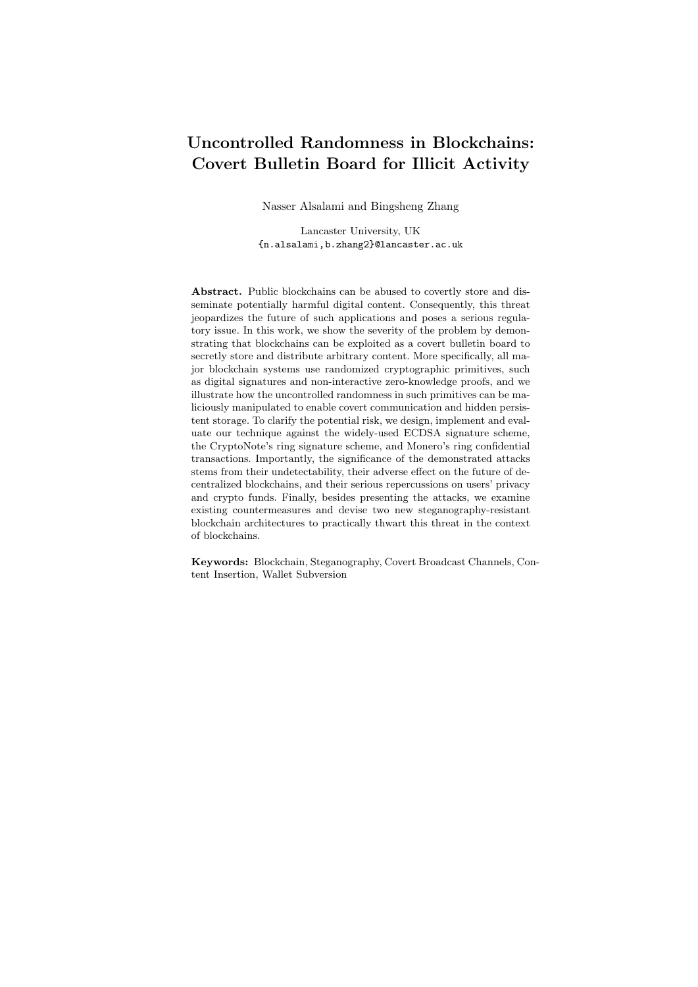

Fig. 8. Bytecoin: embedding a 16-byte st in one pair of  $(c_j, r_j)$  in transaction's ring signature

twisted Edwards curve and CryptoNote (linkable) ring signature to sign its transactions. As previously mentioned in Sec. 2.4, this protocol has sufficiently many uncontrolled random numbers that could be exploited to covertly communicate arbitrary information. Since Bytecoin closely follows the specifications of the CryptoNote framework, it can directly be attacked using the generic steganographic attack described in Sec. 3. However, for code simplicity and clarity of demonstration, Ciphertext Stealing (CTS) is not used, and AES128 is used in the stegosystem because AES is already implemented in Bytecoin source code.

As a proof-of-concept experiment and due to ethical reasons, we only covertly transfer 16 bytes in the real-world Bytecoin without significantly abusing the blockchain system. Following the description of the generic attack in Sec. 3, we have implemented our steganographic attack on Bytecoin wallet in the following three steps.

Step 1: embedding a hidden message  $m$  and generating a signature that contains st. To embed a 16-byte hidden message m in a pair of random numbers  $(c_i, r_i)$ , Alice generates a synthetic  $\mathsf{IV} := \text{AES}_z(\text{randk00...0})$  where rand is a 64-bit random string, and  $00...0$  is a 64-bit string of 0's. Alice then places IV as the most significant 16 bytes of  $c_j$  and sets the rest of  $c_j$  randomly. She later uses this IV along with  $z$  to generate st that is embedded in the most significant 16 bytes of  $r_j$ . Namely,  $st := AES_z(m \quad |V)$ . The format of  $(c_j, r_j)$  containing st is illustrated in Fig. 8.

Furthermore, to implement this step of the attack, the Bytecoin wallet's source code is changed by mainly modifying one source file: crypto.cpp. The modified wallet simply alters the random numbers in the transaction's ring signature(s) by producing one pair of  $(c_i, r_j)$  as aforementioned. Note that  $j \notin i$ where  $i$  is the signer's *secret* index within the ring. Particularly, the changes introduced to crypto.cpp affect the following two functions within the source file:

- generate ring signature(): This function is slightly modified to pass a counter value to the random\_scalar function.
- random scalar(): This function is modified by including an additional parameter in its input to specify the counter. When this counter is 0 and 1, random scalar() generates  $c_j$  and  $r_j$  respectively which are stegotexts that hide a 16-byte message as depicted in Fig. 8.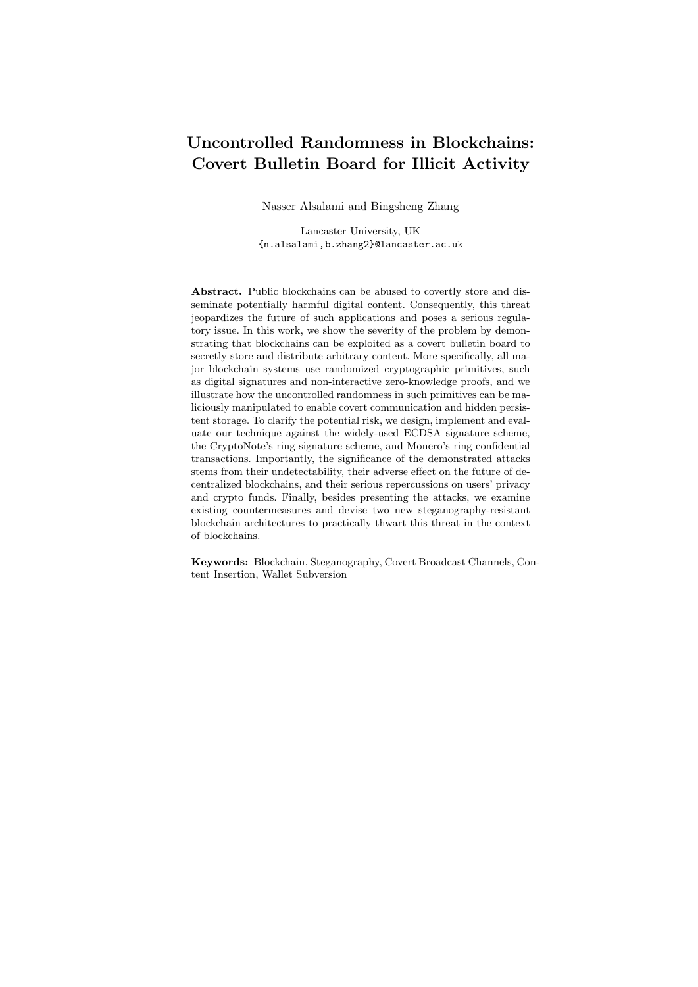```
KeyGen(1^{128}):
  - Pick random z \in \mathcal{D}, 1g^{128};- Return ek := dk := z;
Embed_{H,z}(m):
generate_ring_signature():
  – If((j \notin i) \& (j == 0)):
          c_i := \text{random\_scalar}(0);r_j := random_scalar(1);
  – Else:
          process as per normal;
random_scalar(n):
  – rand Z_p;
  - if (n == 0):
          IV := rand<sub>[0:63]</sub>/jzeros;IV := \overline{AES_z(V)};
          rand_{[0:127]} := IV;if (n == 1):
          rand_{[0:127]} := AES_z(m \quad IV);– Return rand;
Extract<sub>z</sub>(c, r):
  - for (j = 0; j < 2; j++)IV^{\theta} := \text{AES}_{z}^{-1}(c_{j,[0:127]});if(IV^0_{[64:127]} == zeros):* \; m := \text{AES}_{z}^{-1}(r_{j,[0:127]}) \quad c_{j,[0:127]};∗ Return m;
  – Return 0; % No hidden message
 Bytecoin covert communication pseudo code
```
Fig. 9. Pseudo code for the implementation of covert communication in Bytecoin and similar currencies.

After generating the subverted signature that contains the stegotext, the transaction is sent as per normal over the blockchain. The sender does not need to modify other parts of the wallet source code.

Step 2: identifying signature containing stegotext st. To distinguish and identify signatures containing stegotext st, Bob checks every new transaction added to the ledger. To implement this, BlockChainState.cpp is slightly modified to check each signature by decrypting each pair of  $(c_j, r_j)$  numbers. In particular, Bob uses his key z to decrypt the most significant 16 bytes of  $c_j$  to check if it contains 64 bits of zeros as in Fig. 8. If he detects such a pattern, Bob identifies the existence of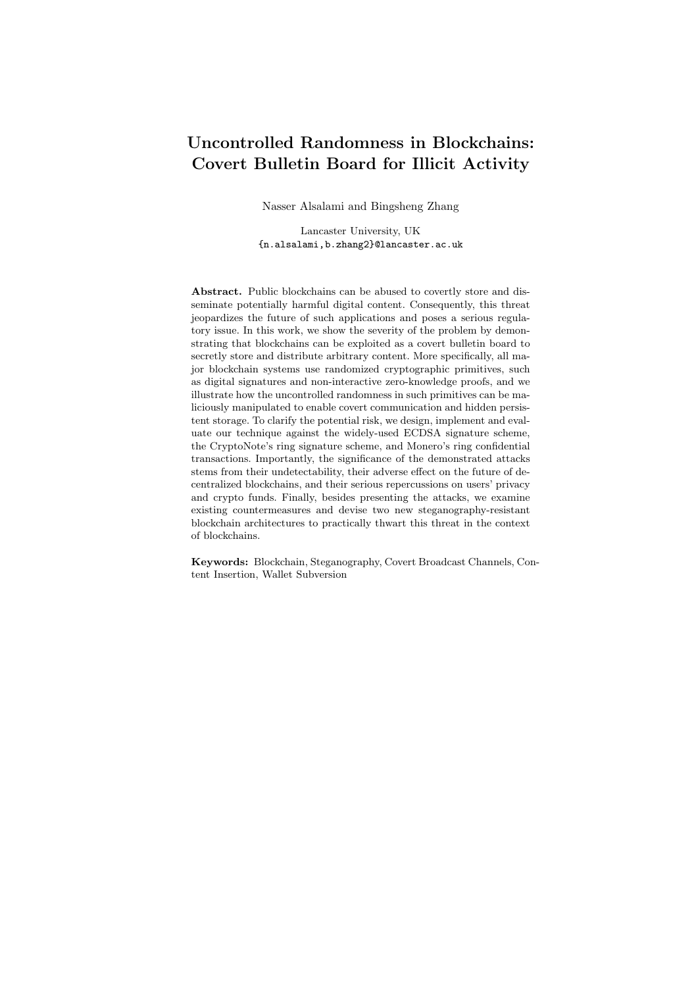a stegtext and sets IV as the most significant 16 bytes of  $c_j$ . If, however, no such pattern is detected, then the signature does not contain any hidden message.

Step 3: extracting hidden message  $m$ . After identifying a stegotext st, Bob decrypts the most significant 16 bytes of  $r_j$  to extract m, that is  $m := \text{AES}_{z}^{-1}(r_{j,[0:127]})$  $(c_{i,[0:127]})$ . This process is further clarified by the pseudo code in Fig. 9.

To further demonstrate the attack over the real Bytecoin blockchain, App. B provides a demo transaction included in the block at height 1671177 that contains a 16-byte hidden message "steganography", and a tool to extract the steganographically embedded message.

#### 4.2 Implementation for Monero (version 0.12.0.0)

Monero has a very complex cryptographic structure and ring signature scheme in particular. The core of Monero's wallet involves Multilayered Linkable Spontaneous Anonymous Group Signature (MLSAG) and Borromean ring signature [26]. MLSAG is similar to the 1-out-of-n ring signature that is used as part of the CryptoNote protocol; however, rather than using a ring signature on a set of  $n$  keys, MLSAG uses a ring signature on a set of  $n$ -key vectors. Using MLSAG, the signer proves to know all the private keys corresponding to one column in the public keys' matrix. Despite the massive one-time secret key, the long-term secret key is still a single group element in  $Z_p$ .

Borromean ring signature [26], which is a generalization and based on the 1-out-of-n signature  $[38]$ , is used to mask the transferred amount while enabling the receiver to know how much they have received by revealing the mask [39].

In our experiment, we chose to exploit the Borromean ring signature as it offers higher throughput. However, though with lower throughput, different primitives could also be exploited to mount steganographic attacks. Our attack on Monero is based on embedding a 32-byte hidden message  $m$  in the randomly generated  $s_{i,j}$  numbers as part of the Borromean ring signature [26]. Specifically, two vectors of  $s_{i,j}$  numbers are generated by the genBorromean() function:  $s_{0,j}$ and  $s_{1,j}$ . In addition,  $s_{0,j}$ 's are randomly generated when the  $j^{th}$  bit commitment is 1. Two of these randomly generated  $s_{0,j}$ 's are used to embed m as shown in Fig. 10. In a similar manner to our attack on Bytecoin, we use AES because it is already available in the source code. More details about the implementation of the steganographic attack on Monero can be found in App. C.



Fig. 10. Monero: embedding a 32-bybte hidden message  $(m_1j/m_2)$  in two random numbers  $(s_{0,1}, s_{0,2})$  in the Borromean ring signature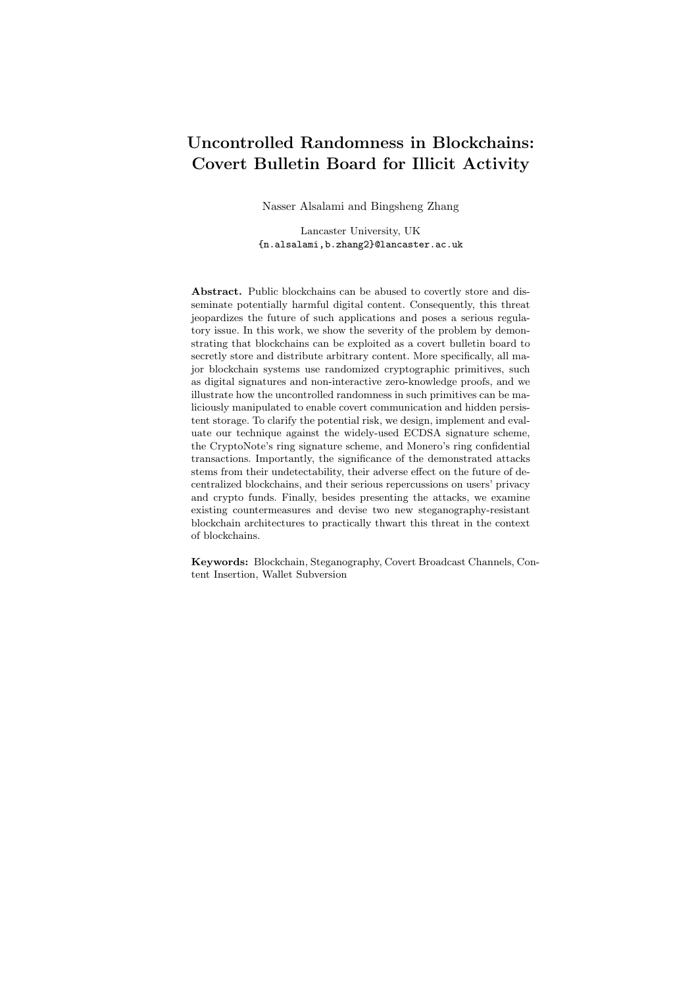

Fig. 11. Attack scenario 1: Covert broadcast communication.

## 5 Attack Scenarios

This section describes the following three attack scenarios: (i) covert broadcast communication, (ii) covert persistent storage, and (iii) wallet subversion attacks.

The first two scenarios represent direct applications of the steganographic attack in Sec. 3. Moreover, it is noticeable that both attack scenarios do not only facilitate objectionable behaviour, but can also hinder the very future of public blockchains. In particular, if a public blockchain is known to the authorities to be abused for covert communication or storage of malicious content, then authorities in any given country may criminalize the mere participation in such blockchains. Even if participation is not criminalized, users may choose not to store the full ledger, which defeats the purpose of decentralized blockchains, and leads to a more centralized setting, where few users participate in the consensus protocol. Unlike the first two scenarios, the third attack scenario is considered an Algorithm-Substitution Attack (ASA) and represents a scenario where the user is an oblivious victim of the attack.

#### 5.1 Attack Scenario 1: Covert Broadcast Channel

Conventional steganographic techniques typically assume that the covert communication is between two parties  $-$  a sender and a receiver. In fact, our steganographic attack can be used as a covert broadcast channel, i.e. one sender and multiple receivers. As analyzed in Sec. 3, to steganographically send a hidden message of 1 KB, Alice can easily craft a transaction with 4 inputs and 5 public keys. Also, Fig. 11 shows that it is easy to use our steganographic technique in conjunction with some broadcast encryption scheme, e.g. [40], to enable a practical broadcast channel. The feasibility of this attack and the high throughout demonstrate the severity of this attack scenario, especially if abused by outlaws to use public blockchains as covert broadcast networks for their illicit communication.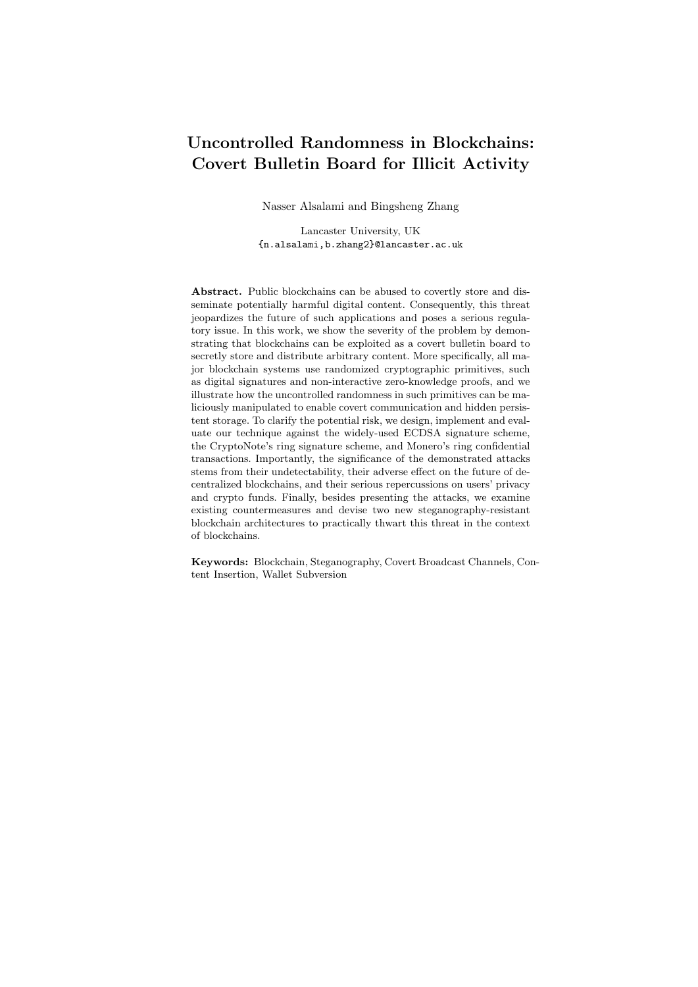#### 5.2 Attack Scenario 2: Covert Data Storage and Distribution

Data storage can be viewed as a communication channel between the user and the user himself in the future. Unlike covert communication, covert persistent storage requires the uploaded content to be permanently stored and available on the blockchain. As discussed in Sec. 3, the cost of covertly storing 1 GB in Bytecoin's blockchain is about \$ 2.4. Consequently, an adversary can use Bytecoin as a cyberlocker and abuse the P2P network of Bytecoin as a persistent content-distribution network (CDN). For example, it could be used to store pirated movies, wikileaks documents, etc.

An example special case of this scenario that shows the threat of such scenario is blackmailing. An adversary, Alice, can covertly store private information about a victim, Bob. Alice may even demonstrate this to Bob by sharing the key and the extraction tool with him. Alice can then threaten Bob that she can make the information publicly available by revealing the key to everyone.

#### 5.3 Attack Scenario 3: Wallet Subversion

In the aforementioned attack scenarios, the sender, Alice, is complicit in the malicious attacks. This section presents another scenario where the sender is oblivious and is in fact a victim of the attack. Although this scenario may be applicable to open-source blockchain applications due to their complexity, it is more applicable to *close-source* and hardware-based applications, e.g. hardware wallets. The significance of this attack scenario stems from its undetectability in the black-box setting, where secrets are leaked via normal transactions posted on the blockchain, and its serious repercussions on the victim's privacy and funds.

As depicted in Fig. 12, in this scenario, Alice is an innocent user who has downloaded, or bought, a wallet that is produced by a third party Carol who has maliciously implemented the wallet. In particular, Carol used a subversion attack to modify a wallet and redistribute it so to leak the signer's private key, while evading detection in black-box settings. The way in which Carol modifies the wallet depends on the used cryptographic primitives and signature algorithms.

Below we present three subversion attacks that realize the scenario in Fig. 12. The first is a direct application of the generic steganographic attack described in Sec. 3 and its demo implementation in Bytecoin and Monero. Additionally, we present two more wallet subversion attacks targeting ECDSA-signature cryptocurrencies. Preliminary description of ECDSA can be found in Sec. 2.8. Namely, the first attack on ECDSA-signature crypto wallets uses synthetic ephemeral key to covertly leak the entire signer's secret key over two signatures. However, it requires that the wallet is stateful in the sense that the wallet needs to store some variables from the previous signing execution. The second attack on ECDSAsignature crypto wallets is stateless and has lower throughput compared to the stateful attack. Note, in both ECDSA attacks, it is assumed that the attacker can identify the transactions generated by the victim user.

Subverting Ring-Signature Crypto Wallets. In the following we describe how the generic steganographic attack described in Sec. 3 is used by a third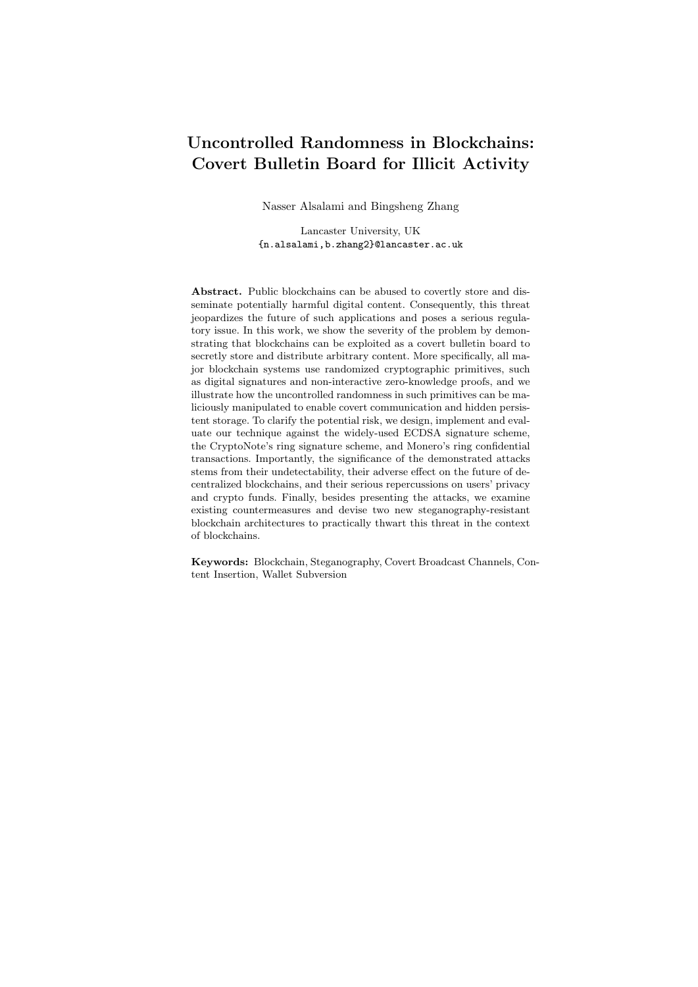

Fig. 12. Attach scenario 3: Subversion attack on crypto wallets to steal users' private keys

party, Carol, to subvert a ring-signature currency wallet, e.g. Bytecoin, to steal private keys. Similar attack is also applicable to Monero's Borromean signature.

Carol modifies the wallet by adding an embedding algorithm  $\text{Embed}_{z}(b)$ , where b is Alice's 253-bit private key b  $2 Z_p$ . The subverted wallet secretly executes  $\mathsf{Embed}_z(b)$  to generate one pair of  $(c_i, r_j)$  as shown in Fig. 13. In this scenario, the subverted  $c_i$  contains 128-bit IV that consists of an encryption of 64 random bits rand and 64 bits of zeros, i.e.  $W := F_z$ (rand $k00...0$ ).  $c_i$  also contains Payload 1 which is 124 bits of b.  $r_j$  contains Payload 2 which is 129 bits of  $b$  and Payload 3 which is the least significant 123 bits of Alice's public key  $B$ . The payloads are encrypted via a symmetric encryption under the same secret key z using IV.

Carol checks every added transaction for any exfilterated private keys by decrypting the first 16 bytes of  $c_j$ 's from each signature, and checking if the decrypted text contains 64 bits of 0's as in Fig. 13. Note, Carol only needs to check the first two pairs of  $(c_i, r_i)$  to identify any subverted signature.

After successfully identifying a subverted signature, Carol parses and collects IV, Payload 1, Payload 2, and Payload 3. Carol then uses her secret key  $z$ to decrypt the payloads, obtaining  $b \supseteq Z_p$  and  $LSB_{123}(B)$ . After that she computes  $a := \text{hash}_p(b)$  and retrieves the corresponding public key  $(A, B)$  from the blockchain. After checking that  $A = g^a$  and  $B = g^b$ , Carol returns the secret key  $(a, b) \supseteq (\mathbb{Z}_p)^2$ . Carol can now recover all the one-time addresses and transactions and even impersonate the compromised signer, Alice, to spend her money.

Subverting ECDSA: Synthetic Randomness. Our first proposed subversion attack on ECDSA is a simplified version of the attack proposed in [41]. The subverted algorithm is depicted in Fig. 14. Let  $z \nightharpoonup z \nightharpoonup p$  be the adversary's secret key, and set  $Z := g^z$  $map(R_x)$  be a mapping function that takes as input the x-coordinate and outputs the corresponding point on the curve. The subverted wallet needs to use algorithms  $Sign^{(1)}$  and  $Sign^{(2)}$  in turn to leak the signing key s. For the first time,  $Sign^{(1)}$  is identical to the original signature algorithm; however, the subtle difference is that  $Sign<sup>(1)</sup>$  stores the ephemeral key  $r_1$  in a long-term memory, which can be accessed during the next signature invocation. Sign<sup>(2)</sup> is also similar to the original signature algorithm except that it deterministically generates  $r_2 := \text{hash}_p(Z^{r_1}),$  where Z is hardcoded in the wallet. Once the adversary obtains two signatures  $\sigma_1, \sigma_2$ , he can use his secret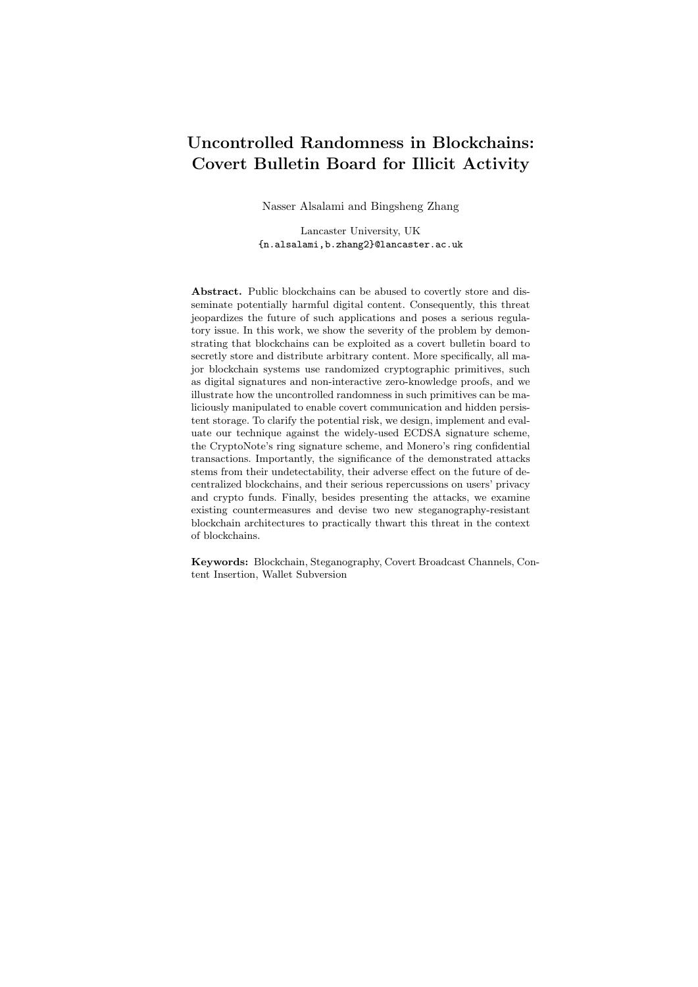

Fig. 13. Attack scenario 3: Covertly leaking the signer's private key in one pair of  $(c_i, r_i)$ .

key z to recover the victim's signing key s. First, he parses  $\sigma_1, \sigma_2$  as  $(R_x^{\ell}, w_1)$ and  $(R_x, w_2)$ . The attacker then finds the point on the curve that corresponds to  $R_x^{\theta}$ , using  $R^{\theta}$  map( $R_x^{\theta}$ ). After that, the attacker computes  $r_2^{\theta} := \text{hash}_p((R^{\theta})^z)$ . Note that if  $r_2^{\theta}$  is equal to  $r_2$  then everything is correct. Let  $R := g^{r_2^{\theta}} = (R_x, R_y)$ . The secret key can be extracted as  $s := (w_2 r_2^{\theta} \text{ hash}_p(m_2)) (R_x)^{-1}$ . This attack illustrates how the entire long term signing key s can be leaked exclusively to the adversary over two subverted signatures.

Subverting ECDSA: Rejection Sampling. While our first ECDSA subversion attack has a very high throughput, it has few drawbacks. First of all, it is a stateful algorithm, so it is not suitable for all scenarios, especially for software wallets. Furthermore, the first attack can only leak the signing key by the nature of its design, and not any other confidential information. Note that most cryptocurrency wallets are able to avoid the re-use of the address and signing key. As a result, the leaked signing key in our first attack, may never be used again even if the signing algorithms are executed twice with the same signing key. Nevertheless, for most wallets, there is a master key that is used to deterministically derive all the one-time signing keys.

As a result, our second subversion attack on ECDSA is stateless and is designed to leak arbitrary confidential information. As depicted in Fig. 15, the subverted signing algorithm takes as input the signing key  $s$ , the message  $m_i$ , and the secret  $x \n\geq \n\mathcal{D}, \n\frac{1}{g^n}$  to be leaked. The signing algorithm leaks a random bit of x per signature. Let PRF :  $f0, 1g$ f(0, 1g<sup>\og n</sup> f(0, 1g<sup>log n</sup>  $f0, 1q$  be a pseudo-random function that takes as input an arbitrary length message and the  $\lambda$ -bit PRF key, and it outputs a random number of  $(\log n + 1)$  bits. The first  $\log n$  bits is interpreted as an index j, and the last 1 bit is viewed as b. The subverted signing algorithm performs a rejection-sampling to find a random  $R = (R_x, R_y)$  such that  $(j, b)$  PRF<sub>z</sub> $(R_x)$  and  $x[j] = b$ . The rest signing process is identical to the original signature algorithm. Note that the rejection-sampling is efficient, and the expected repetition per signature is 1.5 times.

To recover the secret, the adversary needs to obtain a collection of the signatures generated by the subverted algorithm. We emphasize that when the secret is a master key that can be tested for its correctness, it is *not* necessary to leak the entire key in practice. Assuming the master key is 256 bits, to ob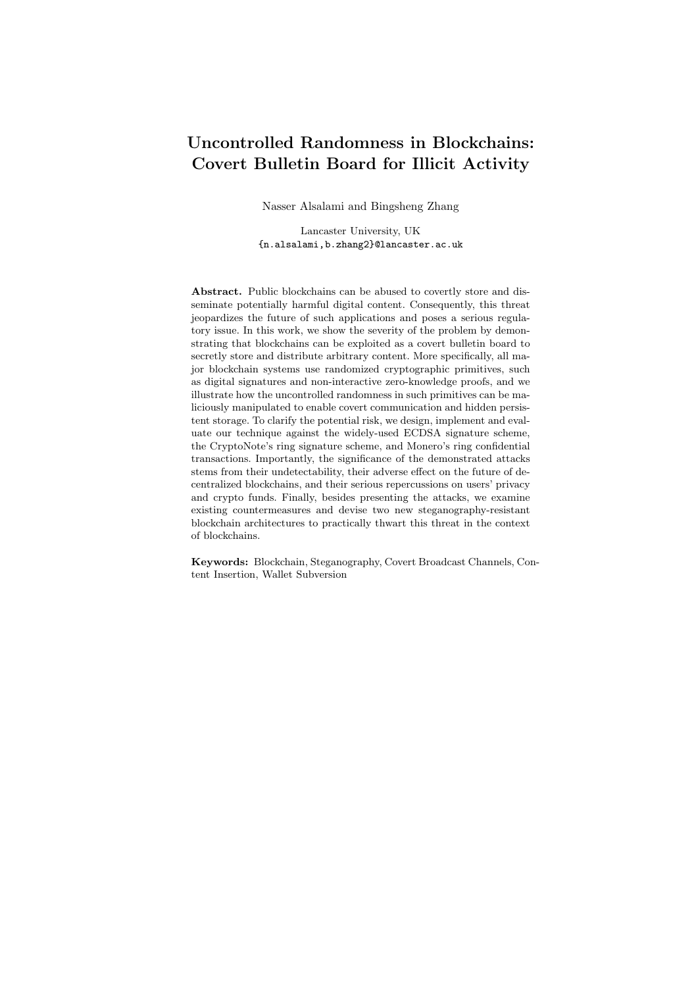Sign<sup>(1)</sup>( $fSg, s, m_1$ ): – Pick random  $r_1$   $\mathbb{Z}_q$ ;  $-$  Set  $R^{\theta} := g^{r_1} = (R_x^{\theta}, R_y^{\theta});$ - Set  $w_1 := (\text{hash}_p(m_1) + s \ R_x^0) r_1^{-1} \pmod{q};$ - Output  $\sigma_1 := (R_x^{\theta}, w_1);$  $Sign<sup>(2)</sup>(fSg, s, m<sub>2</sub>, r<sub>1</sub>):$  $-$  Set  $r_2 := \text{hash}_p(Z^{r_1});$  $-$  Set  $R := g^{r_2} = (R_x, R_y);$  $-$  Set  $w_2 := (\text{hash}_p(m_2) + s \ R_x) r_2^{-1} \pmod{q};$ – Output  $\sigma_2 := (R_x, w_2);$ Recover $(\sigma_1, \sigma_2, m_2, z)$ :  $-$  Set  $R^{\theta}$  map $(R^{\theta}_x);$  $-$  Set  $r_2^{\ell} := \text{hash}_p((R^{\ell})^z);$  $-$  Set  $R := g^{r_2^0} = (R_x, R_y);$  $-$  Output  $s := (w_2 \t r_2^0 \t \text{hash}_p(m_2)) (R_x)^{-1};$ Subverted ECDSA signing algorithm 1

Fig. 14. The subverted ECDSA signing algorithm 1.

tain 50% distinct key bits, the expected number of signatures is bounded by approximately  $256$  signatures. Asymptotically, to obtain  $n$  secret bits, we need  $\theta(n \log n)$  signatures. To demonstrate this, we preformed an experiment using our rejection sampling technique to empirically test the needed number of signatures to 32, 64, 96, 128, 160, 192 and 224 bits out of the total 256 key bits. This experiment was run 20 times to record the number of needed signatures to leak some bits of the secret key. As shown in Table 3 in App. D, the average number of signatures that should be intercepted by an attacker to retrieve 50% of the key, i.e. 128 bits, is about 179 signatures.

## 6 Countermeasures

In this section, we first examine the state-of-the-art of known countermeasures against subversion attacks and some techniques that can prevent exploiting uncontrolled randomness for arbitrary content insertion in blockchains. We then propose two countermeasures that are tailor-made for the blockchain scenarios. Note that our countermeasures aim to eliminate any steganographic messages hidden inside the cryptographic components (such as signatures and noninteractive zero-knowledge proofs) attached in a blockchain transaction; whereas,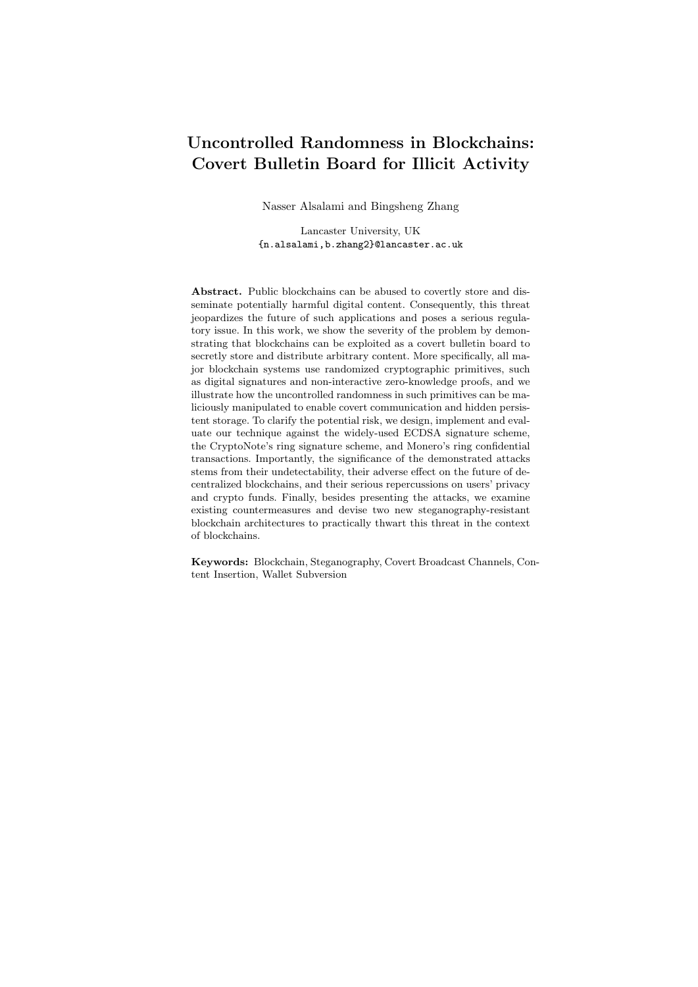```
Sign(fSg, s, m_i, x):
 – Repeat the following process:
          Pick random r \quad Z_q;
           Set R := g^r = (R_x, R_y);Compute (j, b) PRF<sub>z</sub>(R_x);
          If x[j] = b, break the loop;
  - Set w := (\text{hash}_p(m_i) + s \ R_x) \ r^{-1} \pmod{q};– Output \sigma_i := (R_x, w);Recover(\sigma_1, \ldots, \sigma_\ell, z):
 – Init an array S := \frac{1}{2};
    For i \n\mathcal{Z}[\ell], do:
          Parse \sigma_i as (u_i, v_i);<br>Compute (j_i, b_i) PRF<sub>z</sub>(u_i);
          Compute (j_i, b_i)Set S[j_i] := b_i;– Output S;
 Subverted ECDSA signing algorithm 2
```
Fig. 15. The subverted ECDSA signing algorithm 2

solutions to general content-insertion, e.g., inserting arbitrary content in unspendable OP RETURN Bitcoin transactions, is beyond the scope of this work.

#### 6.1 Existing Countermeasures

In the literature, there are several known techniques that were proposed against generic steganography and substitution attacks. Here we systematically assess those techniques in the context of blockchain. In particular, they are divided into the following three categories:  $(I)$  ASA-resistance techniques which have been proposed to immunize cryptographic primitives against malicious implementation attacks, (II) *proactive trust-based countermeasures* where a trusted entity or a trusted initial state is used to prevent possible subversion, and (III) blockchain-based techniques that may and may not be primarily proposed to counter malicious content but can still be used to deter adverse covert communication and/or persistent storage. More details on the existing countermeasures can be found in App. G.

Table. 2 summarizes our assessment of the existing countermeasures w.r.t. their effectiveness against the attack scenarios in Sec. 5. The first and most intuitive countermeasure is to stop using any randomized primitives as noted in [32, 33]. As seen in Table 2, this countermeasure is theoretically effective, but its usage is very limited in the context of blockchains. Similarly, signatures with synthetic randomness, as proposed in [42], do not address covert channels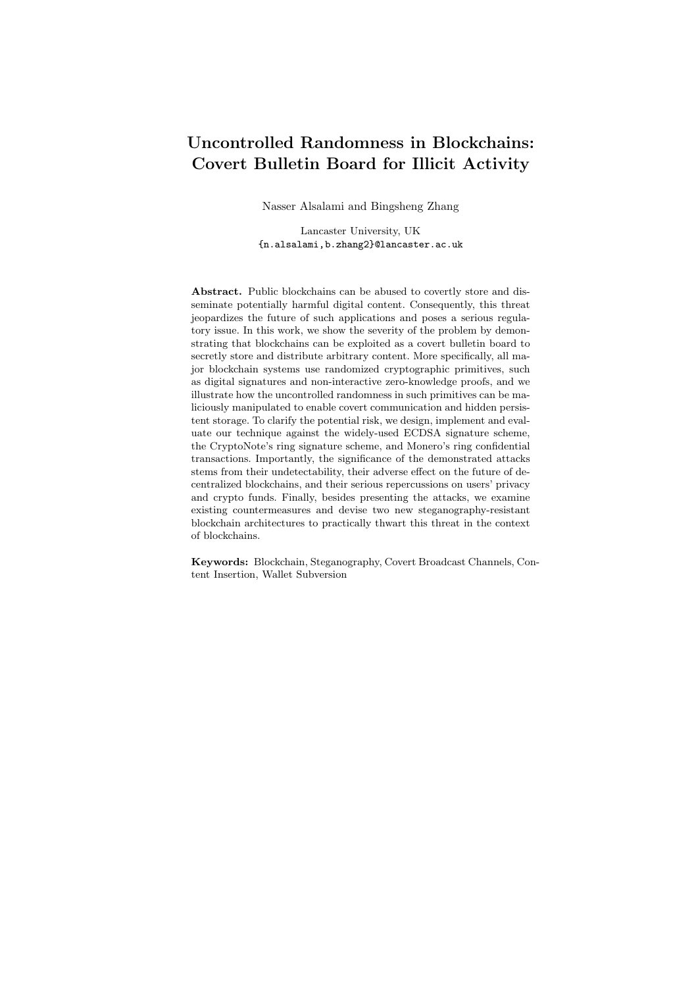| Technique                                 | <b>Attack Scenarios</b>          |                                                      |          |                         |          | Input Practical References |
|-------------------------------------------|----------------------------------|------------------------------------------------------|----------|-------------------------|----------|----------------------------|
|                                           | Attack 1<br>Attack 2<br>Attack 3 |                                                      |          | Trigger in block-       |          |                            |
|                                           |                                  |                                                      |          |                         |          |                            |
|                                           |                                  | Covert Channels Persistent Storage Wallet Subversion |          |                         | chains   |                            |
| New Countermeasure                        |                                  |                                                      |          |                         |          |                            |
| <b>SRBF</b>                               | $\theta$                         | $\overline{\times}$                                  | 0        | ×                       | ×        | this work                  |
| Randomness-Externalized Arch.             | $\chi$                           | $\chi$                                               | $\times$ | X                       | X        | this work                  |
| <b>ASA-Resistant Techniques</b>           |                                  |                                                      |          |                         |          |                            |
| Deterministic crypto primitives           | $\times$                         | X                                                    | ×        | ×                       | $\chi$   | 32.33                      |
| Signature with synthetic randomness       | X                                | X                                                    | ×        | $\chi$                  | X        | 42                         |
| Verifiable Random Function                | $\chi$                           | $\chi$                                               | χ        | $\overline{\mathsf{x}}$ | $\chi$   | 43                         |
| Split model                               | X                                | $\chi$                                               | ×        | $\chi$                  | $\chi$   | $[44 - 46]$                |
| <b>Active Trust-Based Countermeasures</b> |                                  |                                                      |          |                         |          |                            |
| Reverse firewalls                         | X                                | X                                                    | $\times$ | $\times$                | $\chi$   | 47                         |
| Self-guarding protocols                   | $\times$                         | X                                                    | X        | X                       | $\chi$   | 48                         |
| <b>Blockchain-Based Techniques</b>        |                                  |                                                      |          |                         |          |                            |
| Light chains                              | $\chi$                           | X                                                    | X        | $\times$                | X        | 49.50                      |
| Redactable chains                         | $\chi$                           | X                                                    | χ        | $\times$                | $\times$ | 4, 5                       |
| Content Filters                           | $\chi$                           | $\chi$                                               | $\chi$   | X                       | $\chi$   | 3                          |
| Increasing Transaction Fees               | $\chi$                           | $\chi$                                               | χ        | $\chi$                  | $\chi$   | $\vert 3 \vert$            |
| Self-verifying Addresses                  | $\chi$                           | $\chi$                                               | χ        | X                       | $\chi$   | 13                         |

Table 2. Effectiveness of new and current countermeasures against the three attack scenarios mentioned in Sec. 5. Current countermeasures are categorized into three categories: ASA-resistant techniques, Active trust-based countermeasures, and blockchainbased techniques.  $(X)$  denotes that the relevant countermeasure is resistant against the corresponding attack scenario, while  $(\chi)$  means the countermeasure is vulnerable to the attack scenario. Input-trigger states if a countermeasure is resistant to 'time bombs' or input-triggered malicious behaviour. Finally, Practical in blockchains examines if the corresponding countermeasure is applicable in the context of blockchains, if it is not likely to produce other security ramifications, and its robustness against malicious users.  $(\emptyset)$  is used to indicate that SRBF does not deter covert channels nor wallet subversion in *one case*: when the attackers' nodes are alive at the broadcast stage of the malicious transactions, while it practically defends against all 3 scenarios in other cases.

and storage, and they are also susceptible to input-trigger attacks; thus, they are not practical in this context. Another countermeasure that can be used to sanitize randomness is the use of verifiable random functions (VRF) [43]. Though they may be able to minimize the bandwidth available for steganography per transaction, VRFs are vulnerable to rejection-sampling attacks. Another subversion-resistant technique was proposed by Russell et al. [44–46] is to doublesplit a given randomness generation function RG into two separate components  $RG<sub>0</sub>$  and  $RG<sub>1</sub>$ , execute the two components independently, and compose their outputs using a deterministic function  $\phi$  to generate the final subversion-free random number. However, this countermeasure setting is not practical.

Another category of countermeasures is the use trusted entities to eliminate steganography. The first countermeasure of this kind is to use reverse firewalls  $(RF)$  as proposed by Ateniese et al. [47] which requires a trusted entity to immunize re-randomizable signature schemes, and the second countermeasure is the use of self-guarding protocols proposed by Fischlin and Mazaheri [48] which require a trusted initial state of the algorithm. Both countermeasures are effective but not generic, as we need to use special signature schemes.

The last group of countermeasures are related to blockchains techniques. The first two techniques, light chains  $[49, 50]$  and redactable chains  $[4, 5]$ , were proposed to address sustainability; nevertheless, they can defend against mali-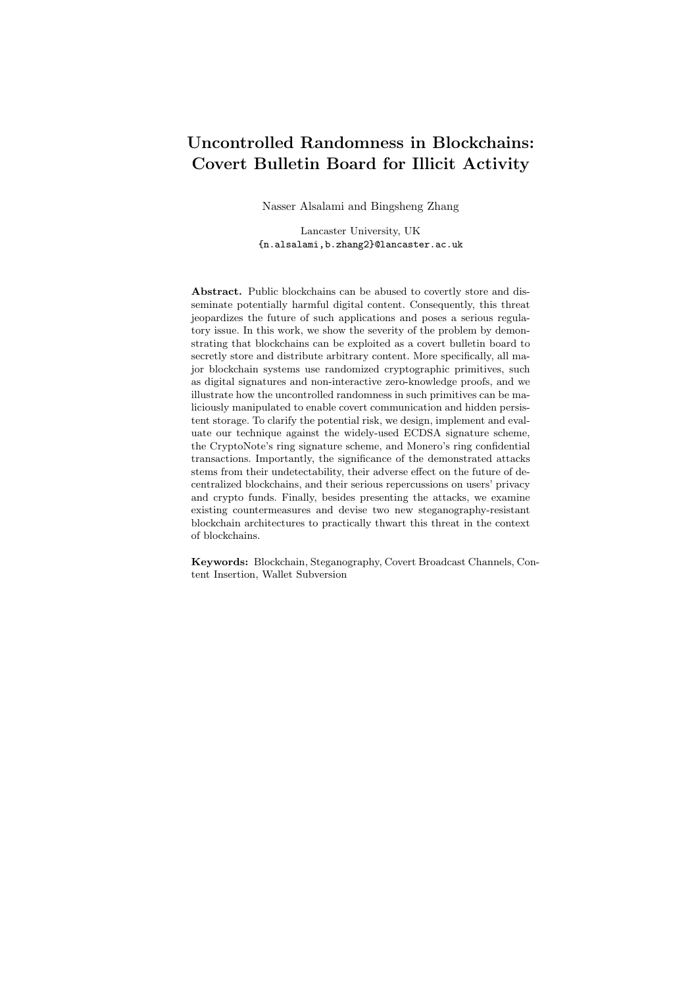

Fig. 16. Stego-resistant blockchain framework (SRBF)

cious persistent storage. Finally, several countermeasures were proposed in [3] to address content insertion in Bitcoin, but they are not practical to deter the exploitation of uncontrolled randomness.

#### 6.2 Stego-Resistant Blockchain Framework (SRBF)

A typical blockchain transaction contains one or more cryptographic component(s), such as the signatures and non-interactive zero-knowledge (NIZK) proofs. As mentioned before, the existing reverse-firewall-based solutions utilize special re-randomizable signature schemes, which is not generic. Here we propose a universal stego-resistant blockchain framework (SRBF) that can be readily deployed to any off-the-shelf blockchain system. Without loss of generality, we explain our technique in terms of signature schemes, and it can be applied to NIZK proofs analogously.

As depicted in Fig. 16, in our setting, the miners are assumed to be trustworthy, and the user's client might be maliciously modified to exploit the cryptographic components, e.g., signature, attached with the transactions to broadcast the steganographic information over the blockchain. Conventionally, upon receiving a transaction tx, the miners would check the validity of its associated signature  $\sigma$ , using the signature verification algorithm Verify(PK, tx,  $\sigma$ ) = 1. The miners then include the transaction together with its signature as it is to the next block, which will be eventually uploaded to the blockchain. Therefore, other miners and users can verify the validity of the transaction as well. Can we drop the signature from the transaction while still preserving public verifiability? In our solution, the miner, instead of showing the signature to every other blockchain users/miners, it replaces the signature with a NIZK proof (see App. H for NIZK definition). Informally, the proof says that "I have seen a valid signature such that the signature verification algorithm Verify(PK, tx,  $\sigma$ ) = 1". More precisely, we have the following NP relation:

$$
\mathit{R}_{\textrm{sig}} = \mathit{f}((\mathit{fPK}_ig_{i=1}^n, \textrm{tx}), \sigma) / \textrm{Verify}(\mathit{fPK}_ig_{i=1}^n, \textrm{tx}, \sigma) = 1g
$$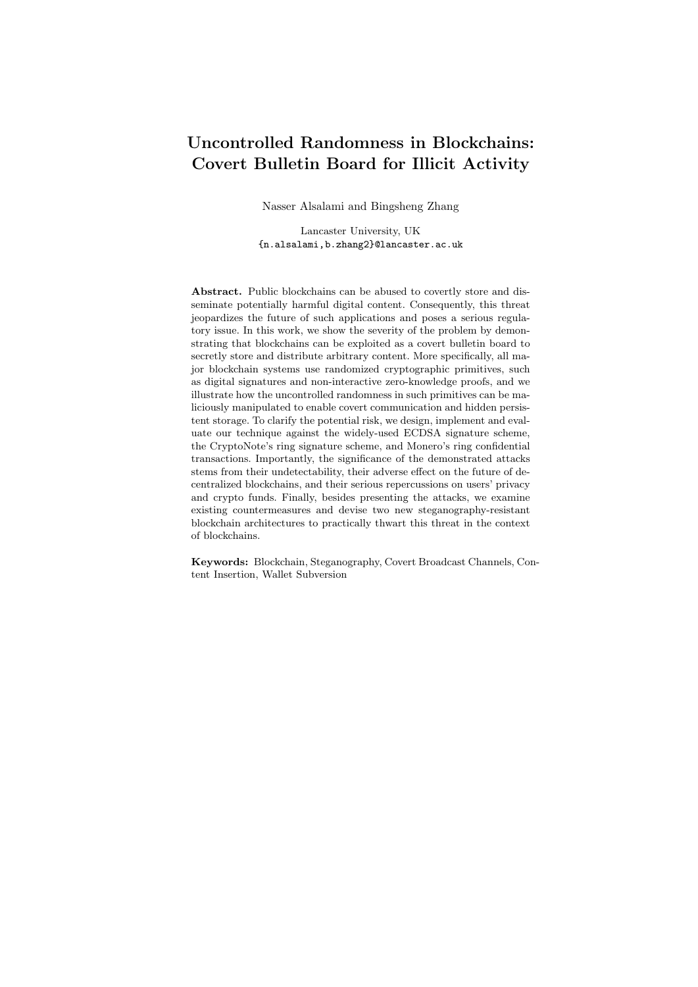In our stego-resistant blockchain framework, only  $(\mathsf{tx}, f\mathrm{PK}_i g^n_{i=1}, \pi)$  will be posted on the blockchain, where

$$
\pi\qquad \mathsf{NIZK}\left\{\begin{matrix}((f\mathbf{P}\mathbf{K}_i g^n_{i=1},\mathsf{tx}),\sigma):\relax\\ \mathsf{Verify}(f\mathbf{P}\mathbf{K}_i g^n_{i=1},\mathsf{tx},\sigma)=1\end{matrix}\right\}
$$

is generated by trusted miners. The security guarantee of our solution is obvious, as signature  $\sigma$  is the witness of the corresponding NIZK proof. By NIZK definition,  $\pi$  does not leak any information about  $\sigma$ . Therefore, all the steganographic information hidden in the signatures are filtered out from the blockchain. In practice, we can use Bulletproofs [23] to implement SRBF efficiently.

Remark. Although this solution prevents the permanent storage of steganographic information, the subverted signatures can still propagate through the P2P network in the broadcast stage. Therefore, we only consider it fully effective against persistent storage in Table 2.

#### 6.3 Randomness-Externalized Architecture

As mentioned above, our first countermeasure cannot prevent steganographic information from being propagated via the P2P network in the first place. We now discuss a randomness-externalized architecture to eliminate this drawback. It is designed to prevent kleptographic attacks while still enabling randomized signatures.

Before illustrating the proposed architectural modification, let us first examine the existing running environment of a cryptocurrency wallet. It is safe to assume that the majority of users download wallets' executable binaries directly from the corresponding cryptocurrency website or a third-party software distribution platform, e.g. Apple AppStore. During the running time, depending on the functionality, the wallet may consume randomness collected by the underlying operating system (OS). For instance, Linux kernel gathers entropy from keyboard timings, mouse movements and IDE timings, and the randomness pool can be accessed via /dev/random and /dev/urandom. Although the executable binary files can be potentially subverted, unlike conventional kleptographic settings, the randomness generator is usually a part of the underlying operating system and can be trusted if we can ensure sufficient entropy. Later in this section, we also address the case of untrusted OS-level randomness generator. Nevertheless, as shown in our attacks, trusted randomness source alone does not guarantee subversion-immunity, because the actual use of randomness in implementation may deviate from the corresponding software specifications. In fact, the implementation may simply bypass the specified software or hardware randomness generator. For example, in our attack, the subverted wallet uses  $r^{\theta} := \text{Enc}_{z}(\text{sk}; r)$  as the randomness instead of the given randomness r, where  $z$  is the adversarial key and sk is the victim's secret key to be leaked. Besides, if the randomness consumption is not restricted, the wallet can also perform rejective sampling to leak information. To control randomness usage, we propose the following modifications.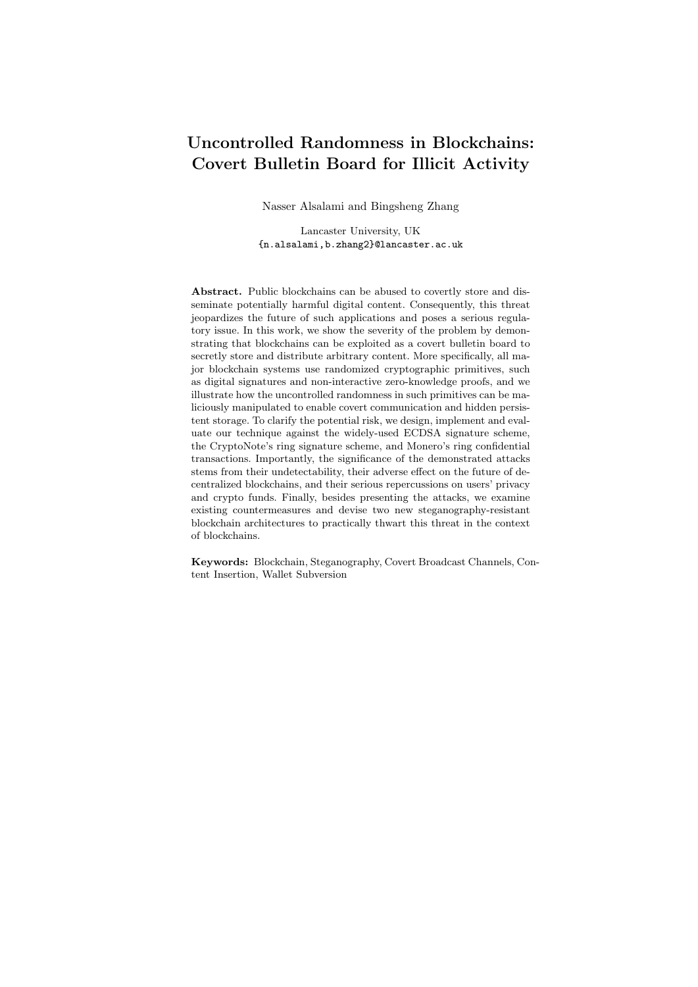KeyGen $\mathbf{D}$ (param; r):  $-$  Set  $b := \text{hash}_n(r)$ ;  $-$  Set  $a := \text{hash}_p(b), A := g^a$ , and  $B := g^b$ ; Return PK :=  $(A, B)$ , TK :=  $(a, B)$ , and SK :=  $(a, b)$ . Randomness-externalized Key Generation

Fig. 17. Randomness-externalized key generation specification.

Randomness-externalized Wallet. To ensure correct usage of randomness, we need to make the cryptocurrency wallet deterministic by externalizing the software randomness draw. At the specification level, all the algorithms of the wallet are forbidden to have any internal randomness draw component. The algorithm specifications  $A_{\text{Spec}}$  take a  $\lambda$ -bit randomness as an explicit input parameter, where  $\lambda$  2 N is the security parameter, e.g. 256 in practice. For uniformity, all algorithms  $A_{\text{SPEC}}$  take the same amount of randomness. If more randomness is needed, they are *deterministically* derived from the input randomness  $r$  by setting  $r_i := \text{hash}(r, i)$ , where  $i \geq N$  is an index and hash is a cryptographically secure hash function, e.g. SHA3-256.

The main functionality of a cryptocurrency wallet is a signature scheme. Without loss of generality, a signature scheme consists of KeyGen, Sign, and Verify. (Of course, the linkable ring signature scheme used in CryptoNote also has a LNK algorithm to detect double spending, but it is deterministic.)

In the following, we modify the specification of KeyGen and Sign of CryptoNote wallet as examples. A typical key generation algorithm KeyGen takes as input the group parameter param, which defines the underlying group (or elliptic curve), e.g. Bitcoin uses SECP256k1 NIST curves and CryptoNote uses the ED25519 twisted Edwards curve. Of course, choosing a "nothing up the sleeve" group parameter is essential for subversion resilient cryptographic primitives; however, it is outside the scope of our work. We assume the commonly used blockchain group parameters are carefully examined, and are widely believed to be stego-free. The modified signature specification takes an explicit randomness  $r \n\geq f(0, 1, g^{\lambda})$ . Moreover, Fig. 17 presents pseudo-code for our randomness-externalized architecture; whereas, Fig. 18 illustrates the architecture's signing algorithm. It is easy to see that only a few number of lines need to be modified to make a signature scheme use external randomness. The difference between the modified version and the original version is marked in red.

Hidden Trigger Elimination. As mentioned before, in practice, a subverted signature algorithm may behave maliciously when a specific input message is given. Such a specific input message has high entropy, so an offline watchdog can only detect it with negligible probability. To remove hidden triggers, we need to randomize the input message. The proposed new signature scheme uses identical KeyGen, and the modified Sign and Verify algorithms are described in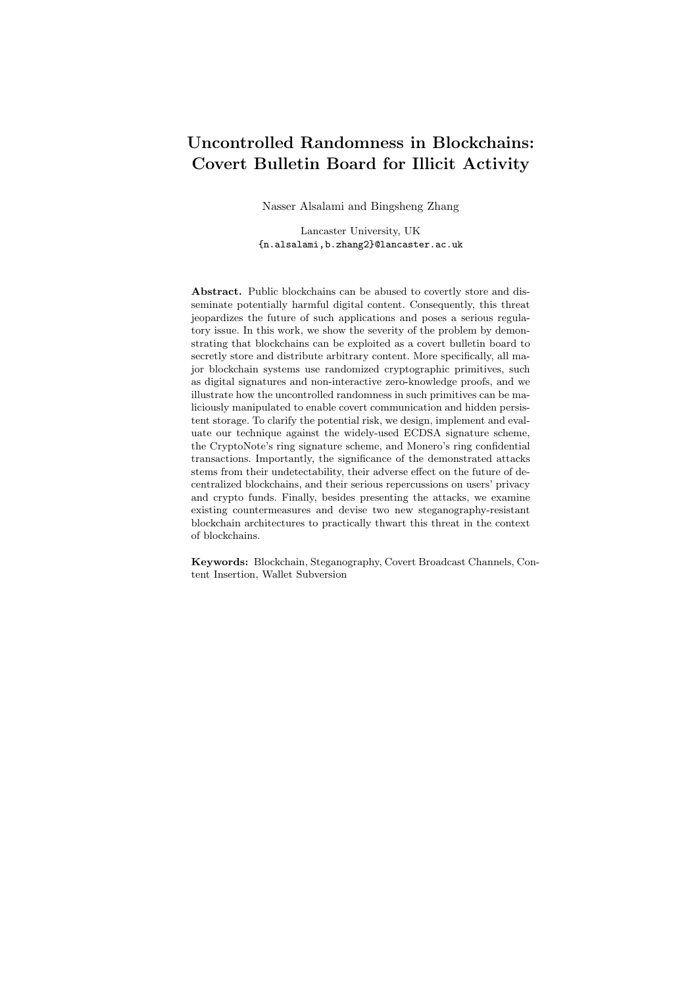```
Sign(param, fP_i g_{i2[k]}, t_\ell, \ell, m; r):
 – Set I := \text{hash}_q(P_\ell);- Set ctr := 0;
 – For i \; 2 \; k, set q_i := \text{hash}_p(r, ctr) and ctr := ctr + 1;
 – For i \; 2 [k], i \notin \ell, set w_i := \text{hash}_p(r, ctr) and ctr := ctr + 1;
 – For i \n\mathcal{Z}[k]:
            Set L_i := g^{q_i} if i = \ell;Set L_i := g^{q_i} \ P_i^{w_i} if i \notin \ell;Set R_i := (\text{hash}_g(P_i))^{q_i} if i = \ell;Set R_i := (\text{hash}_g(P_i))^{q_i} I^{w_i} if i \notin \ell;- Set c := \text{hash}_p(m, L_1, \ldots, L_k, R_1, \ldots, R_k);- For i \n2[k]:
           Set c_i := w_i if i \notin \ell;
            Set c_i := c \quad \sum_{j=0}^k c_j if i = \ell;Set r_i := q_i if i \notin \ell;Set r_i := q_\ell \quad c_\ell t_\ell \text{ if } i = \ell;– Return \sigma := (I, c_1, \ldots, c_k, r_1, \ldots, r_k).Randomness-externalized Signing Algorithm
```
Fig. 18. Randomness-externalized signing algorithm specification.

```
Sign (fPKg, SK, m; r):
 – Set s := \text{hash}(r, \text{``msg''}) and m := \text{hash}(m, s);– Compute \sigma Sign(fPKg, SK, m; r);
 – Return \sigma := (\sigma, s).
Verify (f{\bf P}{\bf K}q, m, \sigma):
 – Parse \sigma as (\sigma, s);
 – Compute m := \text{hash}(m, s);– Return Verify(fPKg, m, \sigma).
 Signature scheme without hidden triggers
```
Fig. 19. Signature with hidden trigger elimination.

Fig. 19. We now show that the new proposed signature scheme achieves strong existential unforgeability if the original signature scheme is strong existential unforgeable under adaptive chosen-message attack.

**Theorem 2.** Let  $S := ($ Setup, KeyGen, Sign, Verify) be a signature scheme that achieves strong existential unforgeability under adaptive chosen-message attack. Let hash:  $f0, 1g \neq f0, 1g^2$  be a cryptographic hash function. If hash securely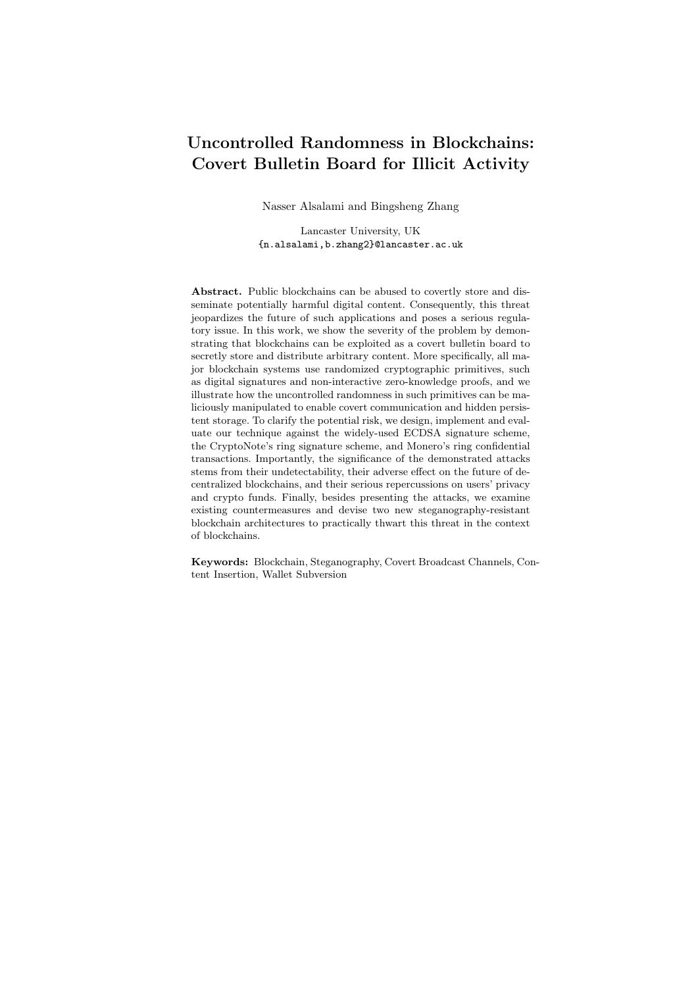realises a random oracle, then  $S := (Setup, KeyGen, Sign, Verify)$  is also strong existential unforgeable under adaptive chosen-message attack.

#### Proof. See App. A.

Extension.In the extreme scenario when the underlying OS is also compromised, e.g. by malware, the randomness provided by the OS can no longer be trusted. We propose a "synthetic randomness" approach in the blockchain environment. Namely, in a cryptocurrency wallet, we can use the blockchain as a (weak) beacon for public randomness  $r_{\text{PUB}}$ , and use local randomness pool as private  $r_{\text{PRIV}}$ . The synthetic randomness is  $r := \text{hash}(r_{\text{PUB}} k r_{\text{PRIV}})$ . The public randomness  $r_{\text{PUB}}$  can be computed by hashing the last  $\lambda \kappa$  blocks,  $r_{\text{PUB}} :=$ hash $(B_n, \lambda, B_{n-\lambda+1}, \ldots, B_{n-\lambda+\kappa})$ ; namely,  $\lambda \kappa$  blocks of the common prefix [51]. The public randomness is used to ensure the min-entropy  $H_1(r) =$  $\omega(\log \lambda)$  and thus eliminate any potential backdoors, whereas the local randomness is used to guarantee privacy. We assume it is difficult for an adversary to control both  $r_{\text{PUB}}$  and  $r_{\text{PRIV}}$  in practice. If this assumption is not satisfied, for paranoid users, they can use hash of stock market data or earthquake statistical data as a more trustworthy beacon source.

## 7 Related Work

This work is closely related to the topics of malicious content insertion in blockchains, steganography, covert channels in blockchains, and kleptography/ASA and their countermeasures.

Content insertion in blockchains. The authors of [34] provided insight regarding the various ways that could be exploited to store, possibly illegal, content onto the Bitcoin blockchain. Furthermore, using some heuristics to analyze the *plaintext* of 146 million transactions, the authors of  $[34]$  reported that  $0.8\%$ transactions store content on the blockchain or use non-standard scripts. Recently, the authors of [1] attempted to systematically analyze the non-financial content in Bitcoin's blockchain. Specifically, they surveyed the methods and services that are used to store non-financial content, and provided a general categorization of objectionable content that could be found on Bitcoin's blockchain. They found that 1.4% of all Bitcoin transactions contain non-financial data, and retrieved over 1600 files, some of which contain objectionable content. Nonetheless, there are some non-malicious applications that rely on Bitcoin-based content insertion. For example, Tithonus [35] offers a Bitcoin-based censorship-resistant system, and Catena [36] is an application that uses Bitcoin OP\_RETURN transactions to establish consensus among users on an application-specific log.

Steganography. The concept of *steganography* was introduced by Simmons' prisoner's problem [52]. Anderson et al. listed some of the limits of steganography and discussed the difficulty associated with formalizing a general proof of security for steganography [53,54]. A number of works, e.g. [55–57], provided information-theoretic treatment of steganography security and robustness. More recently, Hopper et al. provided a cryptographic formalization of steganographic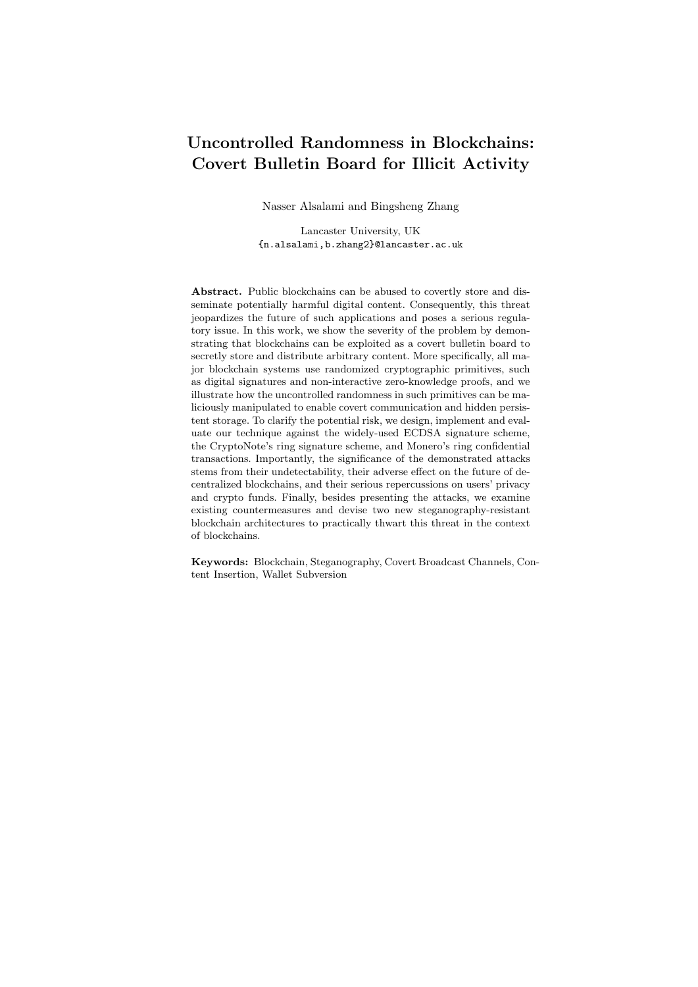security and robustness [27]. They presented a definition for the security of a steganographic system in terms of the *computational* indistinguishability of stegotext from cover text.

Covert channels in blockchains. While there is a relatively significant body of research about *content insertion* in Bitcoin's blockchain [1,3,34,58], the authors of  $[6]$  were the first to discuss the use of *steganography* to *covertly* communicate on Bitcoin's blockchain. However, due to its limitation, the authors of [6] consider their attack to be a proof of concept rather than a practical attack.

Kleptography and ASA. Our wallet subversion attack scenario falls within the realm of Algorithm-Substitution Attacks (ASA) [32, 33], also called Kleptography  $[29, 30]$  and Subversion Attacks (SA)  $[47]$ . The notion of Kleptography was introduced by Young and Yung in 1996 [29, 30]. Subsequent work demonstrated the possible use of ASA in mass surveillance, and the susceptibility of all randomized symmetric encryption schemes to such attacks [33, 59]. Another demonstration of ASA attacks is found in the work of Goh et al. [60] which presented practical hidden key-recovery attacks against the SSL/TLS and SSH2 protocols by modifying the implementation of the OpenSSL library. In the context of signature schemes, Young and Yung [31] showed that DSA signature schemes can be subverted to leak secret information. Another kleptographic attack was proposed by the work of Teseleanu  $[61]$  which describes a threshold kleptographic attack on the generalized ElGamal signature that can be extended to similar DL-based signatures. In addition, as a countermeasure against subversion, Russell et al. [44] modeled and proved a full domain hash-based signature scheme achieves subversion resilience. Recently, Russell et al. [45, 46] proposed the use of a splitting-randomness technique to secure a randomizable IND-CPA public-key encryption, but it is unknown how to apply their technique in the blockchain context with reasonable assumptions. Another countermeasure was proposed by Ateniese et al. [47] who proposed the use of trusted reverse firewalls to re-randomize the output of possibly subverted signature algorithms. Finally, Fischlin and Mazaheri [48] proposed a novel technique that proactively defends against ASA's assuming temporary initial trust of the possibly subverted algorithm.

## 8 Conclusion

The main aim of this work is to highlight the potential threat of maliciously abusing uncontrolled randomness in randomized cryptographic primitives in blockchain applications, and design efficient and practical countermeasures. To illustrate the idea, we designed, implemented, and evaluated our attacks against the widely-used ECDSA signature scheme, the ring signature used in the CryptoNote framework, and the Ring Confidential Transaction used in Monero (up to version 0.12.0.0). The demonstrated attacks can be used in three malicious scenarios: covert communication, persistent storage of objectionable data, and wallet subversion attacks. Finally, we emphasize that this line of research is far from being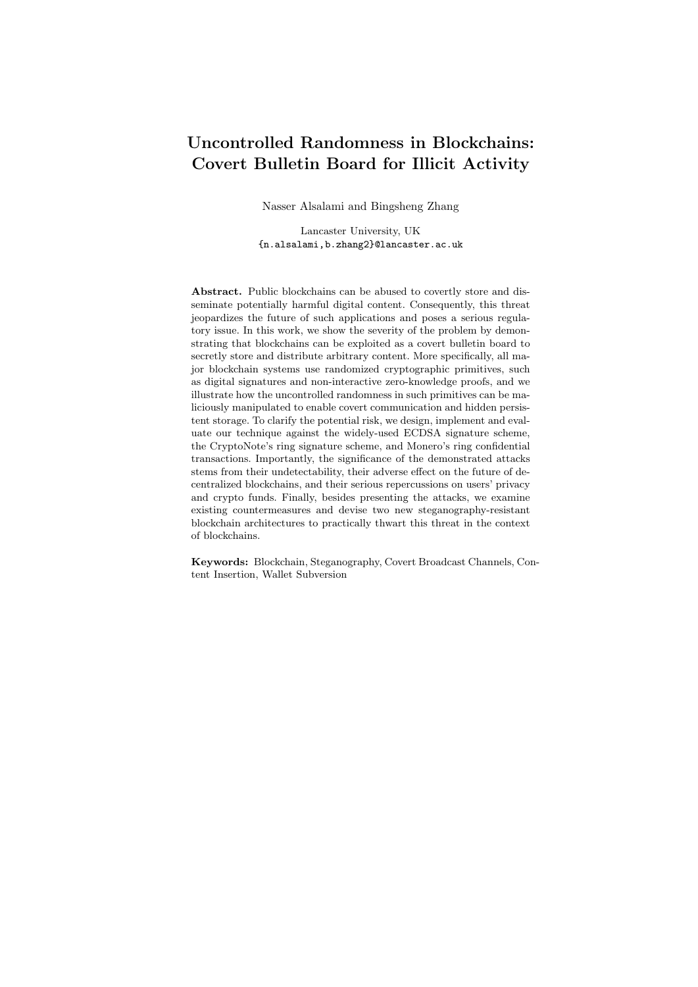completed, and we hope that our work motivates the design of stego-resistant blockchains.

## Acknowledge

We would like to sincerely thank Kenneth G. Paterson for his constructive comments on an early version of this work, and other anonymous reviewers for their feedback.

## References

- 1. R. Matzutt, J. Hiller, M. Henze, J. H. Ziegeldor, D. Mullman, O. Hohlfeld, and K. Wehrle, "A quantitative analysis of the impact of arbitrary blockchain content on bitcoin," in FC 2018, 2018.
- 2. J. Smith, J. Tennison, P. Wells, J. Fawcett, and S. Harrison, "Applying blockchain technology in global data infrastructure," tech. rep., Open Data Institute, June 2016. ODI-TR-2016-001.
- 3. R. Matzutt, M. Henze, J. H. Ziegeldorf, J. Hiller, and K. Wehrle, "Thwarting unwanted blockchain content insertion," in IC2E 2018, pp. 364–370, April 2018.
- 4. I. Puddu and A. Dmitrienko, "µchain: How to forget without hard forks," IACR Cryptology ePrint Archive 2017/106, 2017. <https://eprint.iacr.org/2017/106>.
- 5. G. Ateniese, B. Magri, D. Venturi, and E. Andrade, "Redactable blockchain or rewriting history in bitcoin and friends," in Euro S&P 2017, pp. 111–126, April 2017.
- 6. J. Partala, "Provably secure covert communication on blockchain," Cryptography, vol. 2, no. 3, 2018.
- 7. G. Fuchsbauer, "Subversion-zero-knowledge snarks," in PKC 2018, pp. 315–347, 2018.
- 8. B. Abdolmaleki, K. Baghery, H. Lipmaa, and M. Zajac, "A subversion-resistant snark," in ASIACRYPT 2017, pp. 3–33, 2017.
- 9. J. Knockel, T. Ristenpart, and J. R. Crandall, "When textbook RSA is used to protect the privacy of hundreds of millions of users," CoRR, vol. abs/1802.03367, 2018.
- 10. L. Luu, D.-H. Chu, H. Olickel, P. Saxena, and A. Hobor, "Making smart contracts smarter," in CCS 2016, pp. 254–269, 2016.
- 11. D. Siegel, "Understanding the dao attack," 2016. Available Online: [https://](https://www.coindesk.com/understanding-dao-hack-journalists) [www.coindesk.com/understanding-dao-hack-journalists](https://www.coindesk.com/understanding-dao-hack-journalists) (Last accessed 7-Feb-2018).
- 12. S. Azouvi, M. Maller, and S. Meiklejohn, "Egalitarian society or benevolent dictatorship: The state of cryptocurrency governance," in 5th Workshop on Bitcoin and Blockchain Research, 2018.
- 13. Giza Device Ltd, "Giza wallet," 2017. Avialable Online: [https://www.](https://www.gizadevice.com/) [gizadevice.com/](https://www.gizadevice.com/) (Last accessed 7-Feb-2018).
- 14. CoinMarketCap, "Cryptocurrency market capitalizations," 2018. Available Online: <https://coinmarketcap.com/> (Last accessed 26-Nov-2018).
- 15. S. Nakamoto, "A Peer-to-Peer Electronic Cash System," 2008. Available Online: <https://bitcoin.org/bitcoin.pdf> (Last accessed 05-Nov-2018).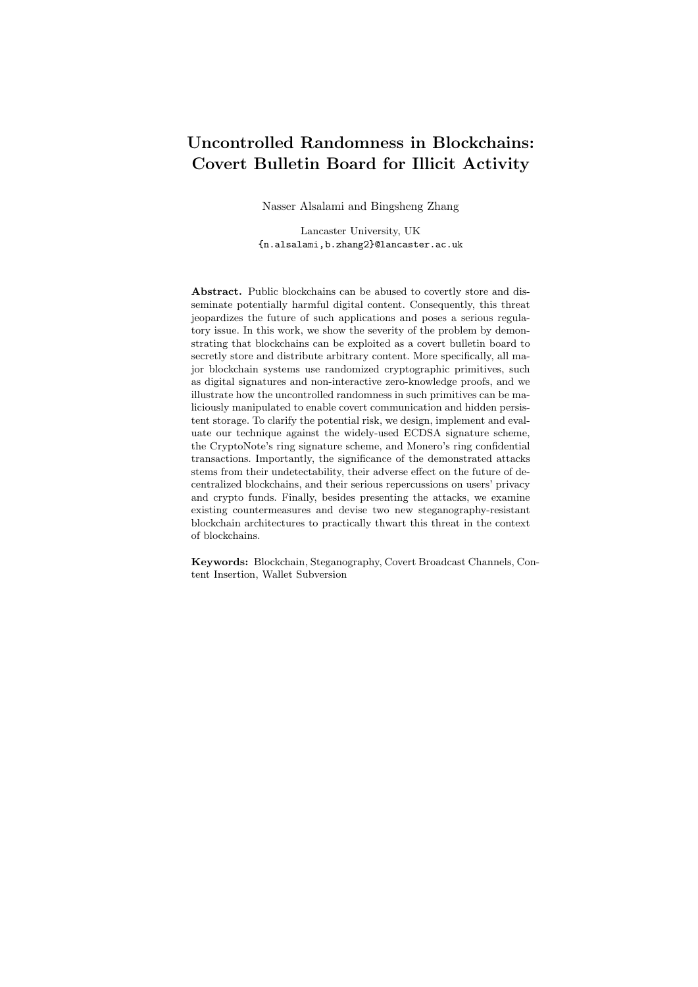- 16. A. Bender, J. Katz, and R. Morselli, "Ring signatures: Stronger definitions, and constructions without random oracles," J. Cryptol., vol. 22, pp. 114–138, Dec. 2008.
- 17. N. V. Saberhagen, "Cryptonote v 2.0," 2013. whitepaper, Available online: [https:](https://cryptonote.org/whitepaper.pdf) [//cryptonote.org/whitepaper.pdf](https://cryptonote.org/whitepaper.pdf), (Last accessed 23-Nov-2018).
- 18. Bytecoin Org., "Bytecoin (bcn)," 2018. Available Online: <https://bytecoin.org/> (Last accessed 23-Nov-2018).
- 19. CryptoNote Org., "Cryptonotecoin," 2018. Available Online: [http://](http://cryptonote-coin.org/) [cryptonote-coin.org/](http://cryptonote-coin.org/) (Last accessed 23-Nov-2018).
- 20. Fantomcoin, "Fantomcoin," 2014. Available Online: <http://fantomcoin.org/> (Last accessed 23-Nov-2018).
- 21. Monero, "Monero," 2018. Available Online: <https://getmonero.org/> (Last accessed 07-Feb-2018).
- 22. R. Spagni, "Monero project github repository," 2018. Available Online: [https:](https://github.com/monero-project/monero) [//github.com/monero-project/monero](https://github.com/monero-project/monero) (Last accessed 07-Feb-2017).
- 23. B. Bünz, J. Bootle, D. Boneh, A. Poelstra, P. Wuille, and G. Maxwell, "Bulletproofs: Short proofs for confidential transactions and more," in S&P 2018, vol. 00, pp. 319–338, 2018.
- 24. S. Noether, "Ring signature confidential transactions for monero." Cryptology ePrint Archive, Report 2015/1098, 2015.
- 25. T. P. Pedersen, "Non-interactive and information-theoretic secure verifiable secret sharing," in CRYPTO '91, pp. 129–140, 1992.
- 26. G. Maxwell and A. Poelstra, "Borromean Ring Signatures," 2015. Available Online: [http://diyhpl.us/~bryan/papers2/bitcoin/Borromean%20ring%](http://diyhpl.us/~bryan/papers2/bitcoin/Borromean%20ring%20signatures.pdf) [20signatures.pdf](http://diyhpl.us/~bryan/papers2/bitcoin/Borromean%20ring%20signatures.pdf) (Last accessed 07-Feb-2018).
- 27. N. J. Hopper, J. Langford, and L. von Ahn, "Provably secure steganography," in CRYPTO 2002, 2002.
- 28. N. Dedić, G. Itkis, L. Reyzin, and S. Russell, "Upper and lower bounds on blackbox steganography," Journal of Cryptology, vol. 22, pp. 365–394, Jul 2009.
- 29. A. Young and M. Yung, "The dark side of "black-box" cryptography or: Should we trust capstone?," in CRYPTO '96, 1996.
- 30. A. Young and M. Yung, "Kleptography: Using cryptography against cryptography," in EUROCRYPT '97, 1997.
- 31. A. Young and M. Yung, "The prevalence of kleptographic attacks on discrete-log based cryptosystems," in CRYPTO '97, 1997.
- 32. M. Bellare, K. G. Paterson, and P. Rogaway, "Security of symmetric encryption against mass surveillance," in CRYPTO 2014, (Berlin, Heidelberg), pp. 1–19, Springer Berlin Heidelberg, 2014.
- 33. M. Bellare and J. Jaeger, "Mass-surveillance without the State : Strongly Undetectable Algorithm-Substitution Attacks," in CCS, 2015.
- 34. R. Matzutt, O. Hohlfeld, M. Henze, R. Rawiel, J. H. Ziegeldorf, and K. Wehrle, "Poster: I don't want that content! on the risks of exploiting bitcoin's blockchain as a content store," in CCS '16, 2016.
- 35. R. Recabarren and B. Carbunar, "Tithonus: A bitcoin based censorship resilient system," Proceedings on Privacy Enhancing Technologies, vol. 2019, no. 1, pp. 68 – 86, 2019.
- 36. A. Tomescu and S. Devadas, "Catena: Efficient non-equivocation via bitcoin," in 2017 IEEE Symposium on Security and Privacy (SP), vol. 00, pp. 393–409, May 2017.
- 37. B. D. Team, "Bytecoin project github repository," 2018. Available Online: [https:](https://github.com/bcndev) [//github.com/bcndev](https://github.com/bcndev) (Last accessed 26-Nov-2018).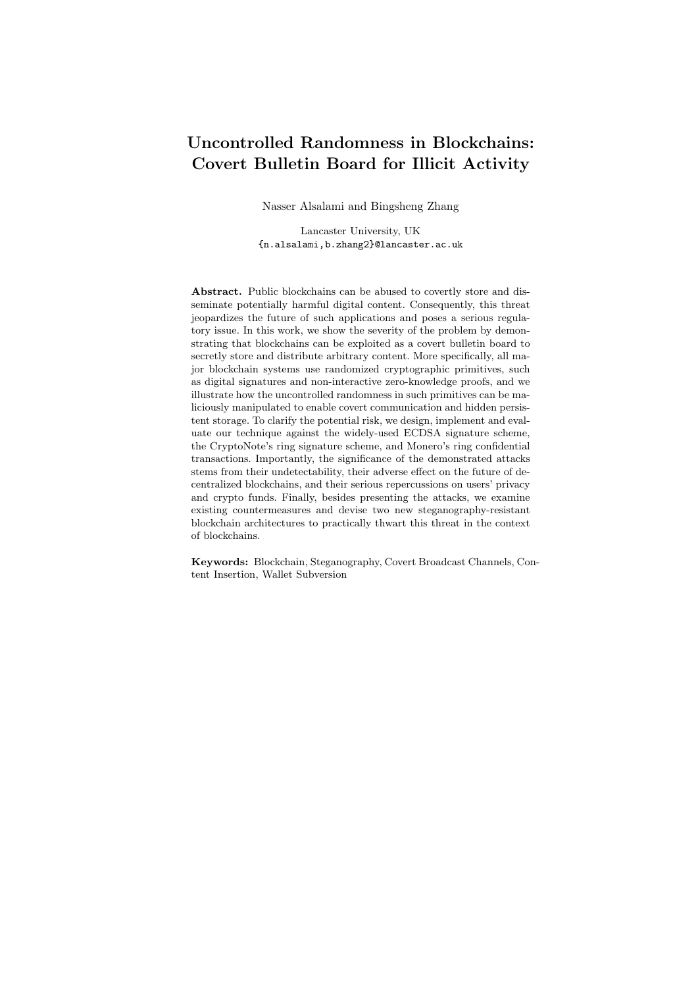- 38 N. Alsalami and B. Zhang
- 38. M. Abe, M. Ohkubo, and K. Suzuki, "1-out-of-n signatures from a variety of keys," in ASIACRYPT 2002, 2002.
- 39. G. Maxwell, "Confidential Transactions," 2018. Available Online: [https://](https://people.xiph.org/~greg/confidential_values.txt) [people.xiph.org/~greg/confidential\\_values.txt](https://people.xiph.org/~greg/confidential_values.txt) (Last accessed 07-Feb-2018).
- 40. A. Fiat and M. Naor, "Broadcast encryption," in CRYPTO' 93 (D. R. Stinson, ed.), (Berlin, Heidelberg), pp. 480–491, Springer Berlin Heidelberg, 1994.
- 41. E. Mohamed and H. Elkamchouchi, "Kleptographic Attacks on Elliptic Curve Cryptosystems," Journal of Computer Science, vol. 10, no. 6, pp. 213–215, 2010.
- 42. T. Pornin, "Deterministic DSA and ECDSA," RFC 6979, RFC Editor, August 2013. Available online: <https://tools.ietf.org/html/rfc6979> (Last accessed 13-Feb-2019).
- 43. S. Micali, M. Rabin, and S. Vadhan, "Verifiable random functions," in 40th Annual Symposium on Foundations of Computer Science, pp. 120–130, Oct 1999.
- 44. A. Russell, Q. Tang, M. Yung, and H.-S. Zhou, "Cliptography: Clipping the power of kleptographic attacks," in ASIACRYPT, 2016.
- 45. A. Russell, Q. Tang, M. Yung, and H.-S. Zhou, "Destroying steganography via amalgamation: Kleptographically cpa secure public key encryption." Cryptology ePrint Archive, Report 2016/530, 2016.
- 46. A. Russell, Q. Tang, M. Yung, and H.-S. Zhou, "Generic semantic security against a kleptographic adversary," CCS '17, (New York, NY, USA), pp. 907–922, ACM, 2017.
- 47. G. Ateniese, B. Magri, and D. Venturi, "Subversion-resilient signature schemes," in CCS '15, pp. 364–375, 2015.
- 48. M. Fischlin and S. Mazaheri, "Self-guarding cryptographic protocols against algorithm substitution attacks," in 2018 IEEE 31st Computer Security Foundations Symposium (CSF), pp. 76–90, July 2018.
- 49. A. Molina and H. Schoenfeld, "PascalCoin Whitepaper v2," 2017. Available Online: <https://www.pascalcoin.org/PascalCoinWhitePaperV2.pdf> (Last accessed 08- November-2018).
- 50. J.D. Bruce, "The Mini-Blockchain Scheme Rev. 3," 2017. Available Online: <http://cryptonite.info/files/mbc-scheme-rev3.pdf> (Last accessed 08- November-2018).
- 51. J. Garay, A. Kiayias, and N. Leonardos, "The bitcoin backbone protocol: Analysis and applications," in EUROCRYPT 2015 (E. Oswald and M. Fischlin, eds.), (Berlin, Heidelberg), pp. 281–310, Springer Berlin Heidelberg, 2015.
- 52. G. J. Simmons, The Prisoners' Problem and the Subliminal Channel, pp. 51–67. Boston, MA: Springer US, 1984.
- 53. R. Anderson, "Stretching the limits of steganography," in Information Hiding, pp. 39–48, Springer Berlin Heidelberg, 1996.
- 54. R. J. Anderson and F. A. P. Petitcolas, "On the limits of steganography," IEEE Journal on Selected Areas in Communications, vol. 16, pp. 474–481, May 1998.
- 55. J. A. O'Sullivan, P. Moulin, and J. M. Ettinger, "Information theoretic analysis of steganography," in Proceedings. 1998 IEEE International Symposium on Information Theory, 1998.
- 56. T. Mittelholzer, "An information-theoretic approach to steganography and watermarking," in Information Hiding, 2000.
- 57. C. Cachin, "An information-theoretic model for steganography," in Information Hiding, 1998.
- 58. K. Shirriff, "Hidden surprises in the bitcoin blockchain and how they are stored: Nelson mandela, wikileaks, photos, and python software," 2014. Available Online: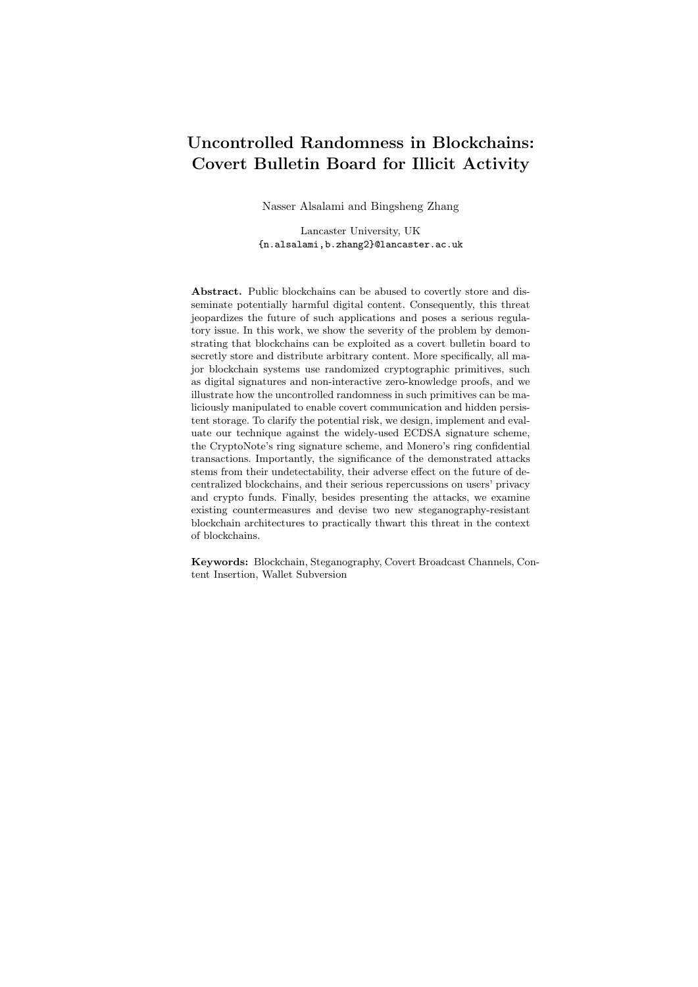[http://www.righto.com/2014/02/ascii-bernanke-wikileaks-photographs.](http://www.righto.com/2014/02/ascii-bernanke-wikileaks-photographs.html) [html](http://www.righto.com/2014/02/ascii-bernanke-wikileaks-photographs.html) (Last accessed 01-November-2018).

- 59. M. Bellare and V. T. Hoang, "Resisting randomness subversion: Fast deterministic and hedged public-key encryption in the standard model," in EUROCRYPT 2015, 2015.
- 60. E.-J. Goh, D. Boneh, B. Pinkas, and P. Golle, "The design and implementation of protocol-based hidden key recovery," in Information Security, 2003.
- 61. G. Teseleanu, "Threshold kleptographic attacks on discrete logarithm based signatures." Cryptology ePrint Archive, Report 2017/953, 2017. [https://eprint.](https://eprint.iacr.org/2017/953) [iacr.org/2017/953](https://eprint.iacr.org/2017/953).
- 62. J. Katz and V. Vaikuntanathan, "Signature schemes with bounded leakage resilience," in ASIACRYPT 2009, 2009.
- 63. E. Boyle, G. Segev, and D. Wichs, "Fully leakage-resilient signatures," in EURO-CRYPT 2011, 2011.
- 64. M. J. Dworkin, "Recommendation for block cipher modes of operation: Three variants of ciphertext stealing for cbc mode." NIST Pubs, Report Number 800-38A Addendum, 2010. Available Online: [https:](https://www.gpo.gov/fdsys/pkg/GOVPUB-C13-c0b0bae5f66880bf051f6d4ac2d8f07d/pdf/GOVPUB-C13-c0b0bae5f66880bf051f6d4ac2d8f07d.pdf) [//www.gpo.gov/fdsys/pkg/GOVPUB-C13-c0b0bae5f66880bf051f6d4ac2d8f07d/](https://www.gpo.gov/fdsys/pkg/GOVPUB-C13-c0b0bae5f66880bf051f6d4ac2d8f07d/pdf/GOVPUB-C13-c0b0bae5f66880bf051f6d4ac2d8f07d.pdf) [pdf/GOVPUB-C13-c0b0bae5f66880bf051f6d4ac2d8f07d.pdf](https://www.gpo.gov/fdsys/pkg/GOVPUB-C13-c0b0bae5f66880bf051f6d4ac2d8f07d/pdf/GOVPUB-C13-c0b0bae5f66880bf051f6d4ac2d8f07d.pdf) (Last accessed 08-Feb-2018).
- 65. M. Cardinal, *Executable Speci cations with Scrum*. Upper Saddle River, NJ: Addison-Wesley, 2014.
- 66. L. Hanzlik, K. Kluczniak, and M. Kutyłowski, "Controlled randomness a defense against backdoors in cryptographic devices," in Paradigms in Cryptology { Mycrypt 2016. Malicious and Exploratory Cryptology (R. C.-W. Phan and M. Yung, eds.), (Cham), pp. 215–232, Springer International Publishing, 2017.
- 67. Docker-Inc., "Docker," 2018. Available Online: <https://www.docker.com> (Last accessed 7-Feb-2018).
- 68. Mini-blockchain Project, "Cryptonite Cryptocurrency," 2018. Available Online: <http://cryptonite.info/> (Last accessed 01-November-2018).
- 69. J. Camenisch, D. Derler, S. Krenn, H. C. Pöhls, K. Samelin, and D. Slamanig, "Chameleon-hashes with ephemeral trapdoors," in PKC 2017, 2017.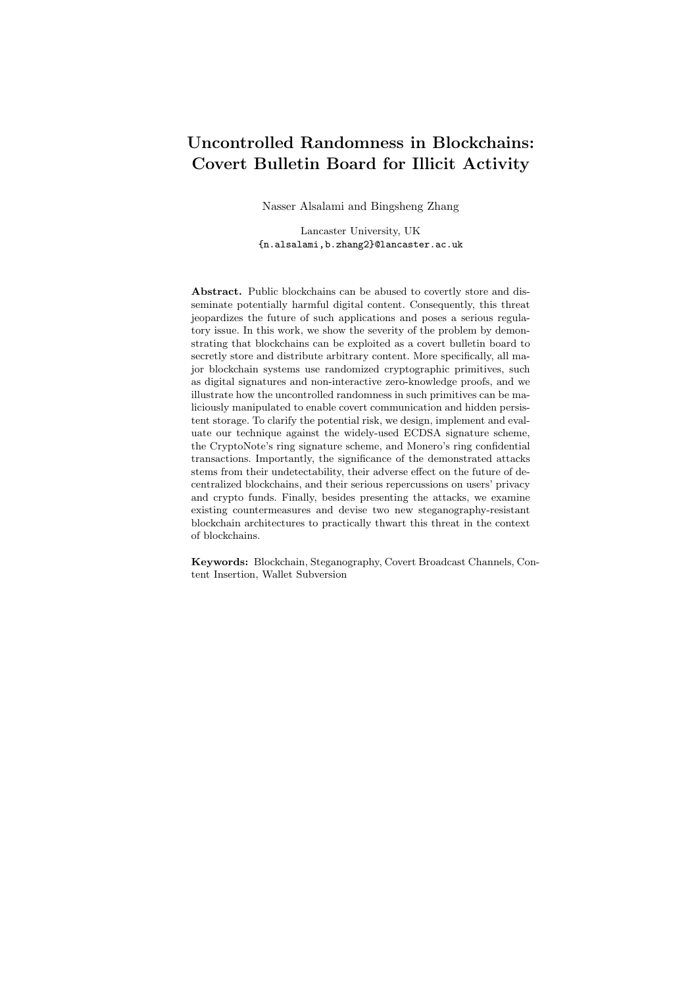## Appendices

## A Security Proofs

### A.1 Proof of Theorem 1

In this section, we provide a full proof of Theorem 1.

Proof. We prove this theorem by reduction. Assume there exists a PPT adversary A who can break  $ST$  with an non-negligible  $\mathsf{Adv}_{A,\mathsf{ST}}^{\mathsf{CHA}}(1^{\lambda})$  advantage w.r.t. the CHA game. We need to construct a PPT adversary  $B$  who can break the PRF game for F. During the reduction game,  $\beta$  plays as a challenger for  $\beta$  in the CHA game. Upon receiving  $m$  from  $A$ ,  $B$  picks random rand  $f0, 10^{64}$  and sets  $x := \text{randk00} \dots 0$ . B then queries x to the PRF game challenger and obtains IV. Subsequently, B queries  $IV, IV + 1, IV + 2$  to the PRF game challenger, and obtains  $k_1, k_2, k_3$ . B then compute  $c_1, c_2, c_3$  according to the description shown<br>in Fig. 22. It then computes  $(c, r)$  as described in Fig. 7. B flips a coin b f0, 1q. in Fig. 22. It then computes  $(c, r)$  as described in Fig. 7. B flips a coin b If  $b = 0$ , B computes a ring signature using  $(c, r)$ ; otherwise, B computes a ring signature normally.  $B$  then sends the resulting signature to  $A$ . Finally,  $A$  outputs a guess  $b^{\beta}$ . Assume the challenge bit in the PRF game is  $\beta$ , i.e.  $\beta = 0$  is in the PRF mode;  $\beta = 1$  is in the random function mode. If  $b = b^{\beta}$ , B outputs  $\beta = 0$ ; otherwise, B outputs  $\beta = 1$ .

$$
\Pr[B \text{ win}] = \Pr[\beta = 0]\beta = 0] \Pr[\beta = 0] +
$$
  
+ 
$$
\Pr[\beta = 1]\beta = 1] \Pr[\beta = 1]
$$
  
= 
$$
\Pr\left[\mathbf{Expt}_{A}^{\text{CHA}}(1^{\lambda})\right] \frac{1}{2} + \frac{1}{2} \frac{1}{2}
$$
  
= 
$$
(\mathsf{Adv}_{A,ST}^{\text{CHA}}(1^{\lambda}) + \frac{1}{2}) \frac{1}{2} + \frac{1}{4}
$$
  
= 
$$
\frac{1}{2} \mathsf{Adv}_{A,ST}^{\text{CHA}}(1^{\lambda}) + \frac{1}{2}
$$

Hence, the advtantage of  $B$  w.r.t to the PRF game is

$$
\mathsf{Adv}_{\mathcal{B},F}^{\mathsf{PRF}} = \left|\Pr[\mathcal{B}] \text{ win } \left| \frac{1}{2} \right| = \frac{1}{2} \text{ Adv}_{\mathcal{A},S\mathcal{T}}^{\mathsf{CHA}}(1^{\lambda}) \right|.
$$

Since  $\mathsf{Adv}_{A,S}\mathcal{T}(1^{\lambda})$  is non-negligible, we have  $\mathsf{Adv}_{B,F}^{\mathsf{PRF}}$  is also non-negligible, which concludes the proof.

#### A.2 Proof of Theorem 2

In this section, we provide a full proof of Theorem 2.

Proof. We proof this theorem by reduction. Assume there exists a PPT adversary A who can break  $S := (Setup, KeyGen, Sign, Verify)$  with at most q signature queries and at least  $\varepsilon$  advantage. We need to construct a PPT adversary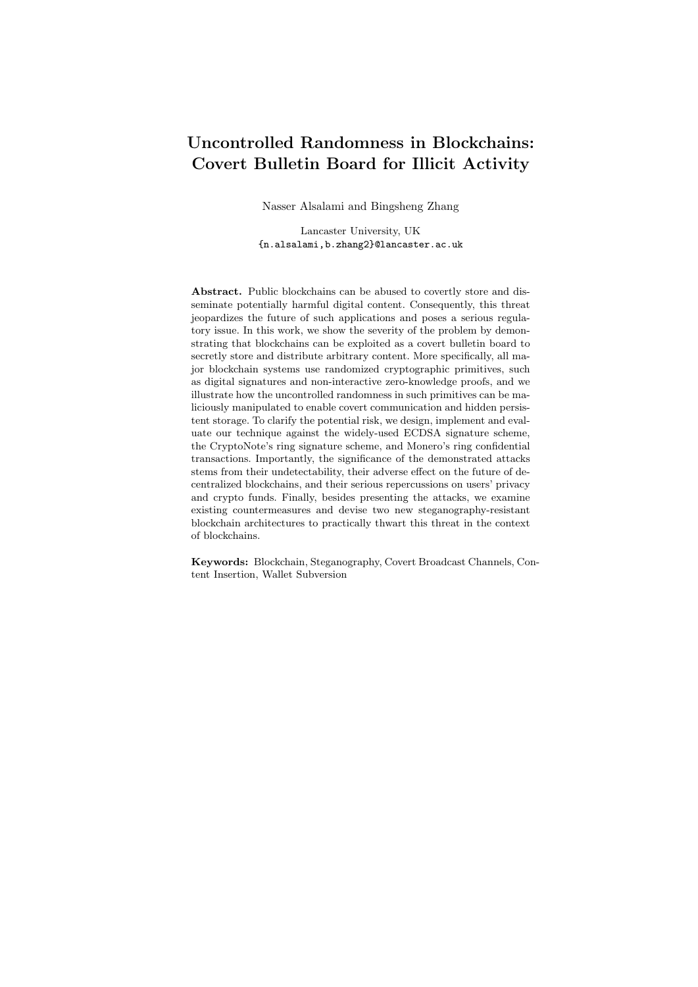Demo Steganographic Bytecoin Transaction

- Block height: 1671177
- $-$  Transaction id:  $52cababef4e4716ac8a25681eb3f380d3d1fee057ada7eb6$ 2d687af36f1a44ff
- Sender's address: 26c6Y mZmLJZY xnV At56kRraBhxiEU t8yoJR3V  $V4UV5VcRM9Pzs5qV7KStQHaa7xkAHej3WTTxtAc1KHbCSPoZ2$  $ms3bdl/sY6$ .
- Receiver's address:  $26c6YmZmLJZYxnVAt56kRraBhxiEUt8yoJR$  $3VV4UV5VcRM9Pzs5qV7KStQHaa7xkAHej3WTTxtAc1KHbCSPo$  $Z2ms3bdUsY6.$
- Mixin count (ring size): 6

Fig. 20. An example of the stegangraphically-generated bytecoin transaction

B who can break the  $S :=$  (Setup, KeyGen, Sign, Verify). During the reduction game, upon receiving query  $m_i$  from A, B computes  $m_i := \text{hash}(m_i, s_i)$  with a randomly sampled  $s_i \n\geq f0, 1g^{\lambda}$ , and then query the signing oracle with  $m_i$ . After getting  $\sigma_i$  back from the signing oracle, B return  $\sigma_i := (\sigma_i, s_i)$  to A. Whenever A can provide a valid pair  $(\hat{m}, \hat{\sigma})$  as forgery  $(\hat{\sigma} = (\sigma^{\theta}, s^{\theta}))$ , since the probability that A can find a collision on hash is negligible, B can compute  $m^{\theta} := \text{hash}(\hat{m}, s^{\theta}).$ By definition,  $(\hat{\sigma}, m^{\theta})$  is a forgery against S.

## B Bytecoin Psuedo-code and Demo Transaction

The attack described in Sec. 4 follows the pseudo-code in Fig. 9. This attack has been executed, and the transaction with the attributes shown in Fig. 20 was generated. To demonstrate how the hidden message is embedded and extracted we provide an extraction tool that can be downloaded and tested from: [https:](https://github.com/NaLancaster/hash_and_extract.git) [//github.com/NaLancaster/hash\\_and\\_extract.git](https://github.com/NaLancaster/hash_and_extract.git). The repository also contains the actual transaction binary in tx.txt and includes a pair  $(c, r)$  of random numbers containing a 16-byte hidden message, where  $(c, r)$  is found in cr.txt. The transaction hash in Fig. 20 can also be seen in any Bytecoin explorer, like <https://minergate.com/blockchain/bcn/blocks>, and the provided transaction binary should hash to the same hash value.

## C Detailed Implementation of Steganographic Attack in Monero

The following is the details of our implementation of the generic steganographic attack in Monero (v0.12.0.0) and older).

Step 1: embedding a hidden message  $m$  and generating a signature that contains st. The sender's wallet is modified to surreptitiously embed a 32-byte message  $m$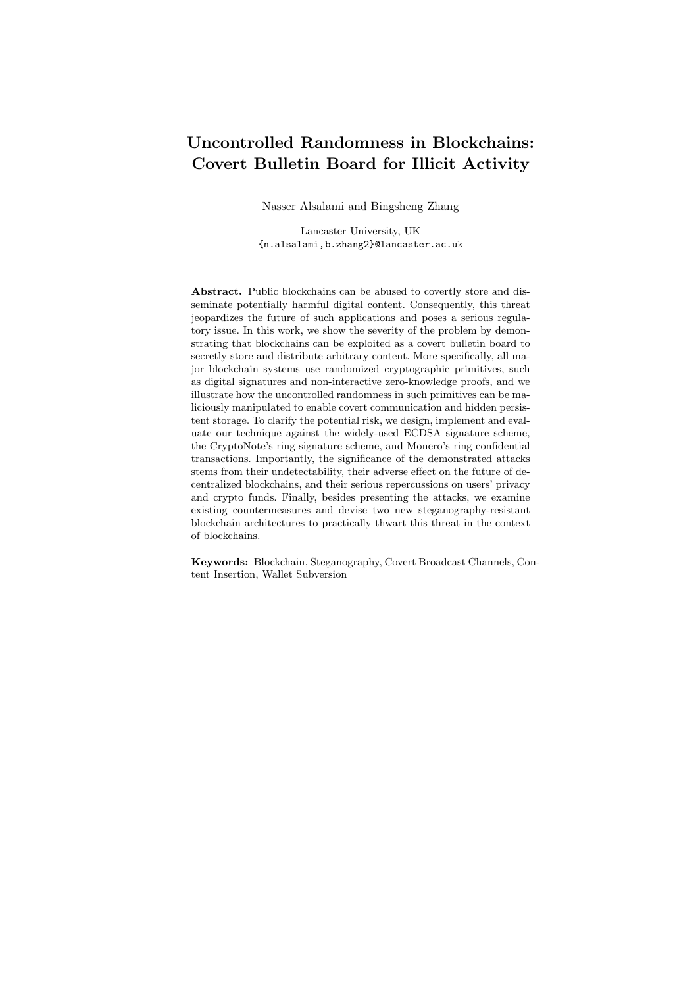

Fig. 21. An example of the steganographically-generated Monero transaction

in the randomly generated  $s_{i,j}$  numbers as part of the Borromean ring signature. Specifically, two vectors of  $s_{i,j}$  numbers are generated by the genBorromean() function:  $s_{0,j}$  and  $s_{1,j}$ . In addition,  $s_{0,j}$ 's are randomly generated when the j<sup>th</sup> bit commitment is 1, and two of these randomly generated  $s_{0,j}$ 's are used in our attack to embed the stegotext st. For simplicity, we use  $s_{0,1}$  and  $s_{0,2}$  to denote the first two randomly generated numbers in  $s_{0,i}$  vector, although they might not necessarily correspond to  $j = 1$  and  $j = 2$  respectively.

Fig. 10 shows the two subverted numbers, in which  $s_{0,1}$  includes 16 bytes of random IV concatenated with 1 byte representing the index of  $s_{0,2}$  and 15 bytes of zeroes, where the last 16 bytes are sent encrypted using AES-CBC. The second subverted random number,  $s_{0,2}$ , contains hidden message m encrypted using AES-CBC under the key z.

This step of the attack is achieved by slightly modifying two functions: genBorromean() and skGen() in two files: rctSig.cpp and rctOps.cpp. genBorromean() is modified to pass two extra parameters to skGen(). The first parameter is the counter that indicates which of the two random numbers is to be generated, while the second parameter represents the index of  $j<sup>th</sup>$  bit that corresponds to the second number  $s_{0,2}$  within the  $s_{0,j}$  vector. When the value of the counter is 0 or 1, skGen() generates random numbers according to Fig. 10, otherwise executes as normal.

Step 2: identifying signature containing stegotext st, and extracting hidden message  $m$ . To identify transactions containing st, the source blockchain.cpp file is modified to check the randomness within each new transaction and identify signatures containing stegotext. The receiver tests each number in the  $s_{0,i}$  vector by looking for a random IV that decrypts the second half of the tested number to a similar pattern as  $s_{0,1}$  in Fig. 10. Once this pattern is detected, the receiver concludes that this signature contains st and retrieves the index of  $s_{0,2}$  from the  $16^{th}$  byte of  $s_{0,1}$ .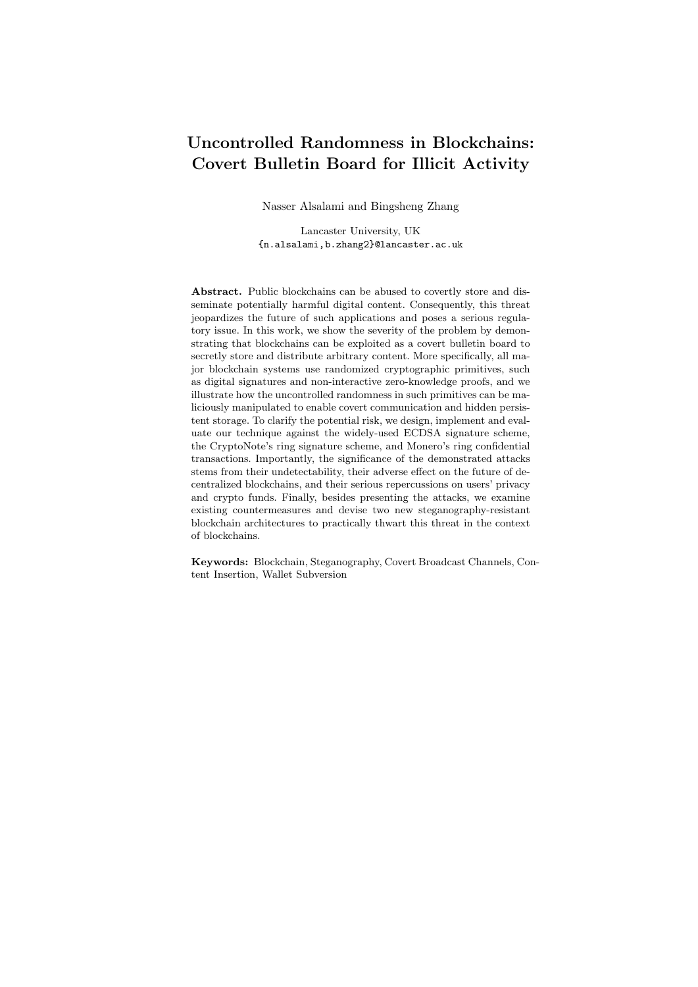|                | Number of Signatures to Leak Key Bits |         |         |      |                                  |      |         |
|----------------|---------------------------------------|---------|---------|------|----------------------------------|------|---------|
| Exp. $#$       | 32                                    | 64      | 96      | 128  | 160                              | 192  | 224     |
| $\mathbf{1}$   | 35                                    | 71      | 117     | 173  | 227                              | 314  | 520     |
| $\overline{2}$ | 33                                    | 73      | 119     | 189  | 253                              | 344  | 485     |
| 3              | 32                                    | 74      | 120     | 170  | 230                              | 339  | 471     |
| $\overline{4}$ | 34                                    | 70      | 114     | 179  | 238                              | 335  | 491     |
| $\overline{5}$ | 32                                    | 69      | 119     | 189  | 280                              | 385  | $552\,$ |
| 6              | 32                                    | 76      | 122     | 170  | 233                              | 333  | 526     |
| $\overline{7}$ | 36                                    | 76      | 120     | 180  | 262                              | 400  | 576     |
| 8              | 32                                    | 71      | 127     | 197  | 259                              | 368  | 566     |
| $\overline{9}$ | 33                                    | 72      | 115     | 162  | 242                              | 348  | 528     |
| 10             | 32                                    | 71      | 121     | 177  | 243                              | 363  | 498     |
| 11             | 31                                    | 70      | 121     | 180  | 246                              | 345  | 524     |
| 12             | 35                                    | 76      | 120     | 181  | 260                              | 386  | 563     |
| 13             | 33                                    | 69      | 124     | 190  | 251                              | 352  | 506     |
| 14             | 32                                    | $72\,$  | 121     | 180  | 255                              | 353  | 518     |
| 15             | 33                                    | 78      | 124     | 178  | 246                              | 355  | 539     |
| 16             | 34                                    | 72      | 113     | 168  | 232                              | 331  | 522     |
| 17             | 35                                    | $72\,$  | 111     | 162  | 228                              | 340  | 512     |
| 18             | 31                                    | 79      | 125     | 201  | 281                              | 378  | 544     |
| 19             | 37                                    | 76      | 122     | 174  | 243                              | 329  | 475     |
| 20             | 34                                    | 75      | 121     | 175  | 260                              | 369  | 570     |
| Average        |                                       |         |         |      | 33.3 73.1 19.8 178.8 248.4 353.4 |      | 524.3   |
| Std. dev.      | $1.6\,$                               | $2.9\,$ | $3.9\,$ | 10.2 | 15.2                             | 21.6 | 30.5    |

Table 3. Number of signatures needed to leak bits of the long-term private key in our rejection-sampling ECDSA subversion attack

When a malicious signature is detected, the receiver retrieves the index of  $s_{0,2}$ as above. The receiver then extracts the hidden message by decrypting  $s_{0,2}$  using his key z with AES-CBC. Fig. 21 shows a Monero transaction that has been steganographically subverted by our attack, and has been successfully posted to the Monero blockchain

## D ECDSA-Signature Rejection-Sampling Experiment

Table 3 illustrates the experimental results on how many signatures needed to obtain 32, 64, 96, 128, 160, 192 and 224 bits out of the total 256 key bits. This experiment was run 20 times to record the number of needed signatures to leak some bits of the secret key. As seen in Table 3, the average number of signatures that should be intercepted by the attacker to retrieve 50% of the key, i.e. 128 bits, is about 179 signatures.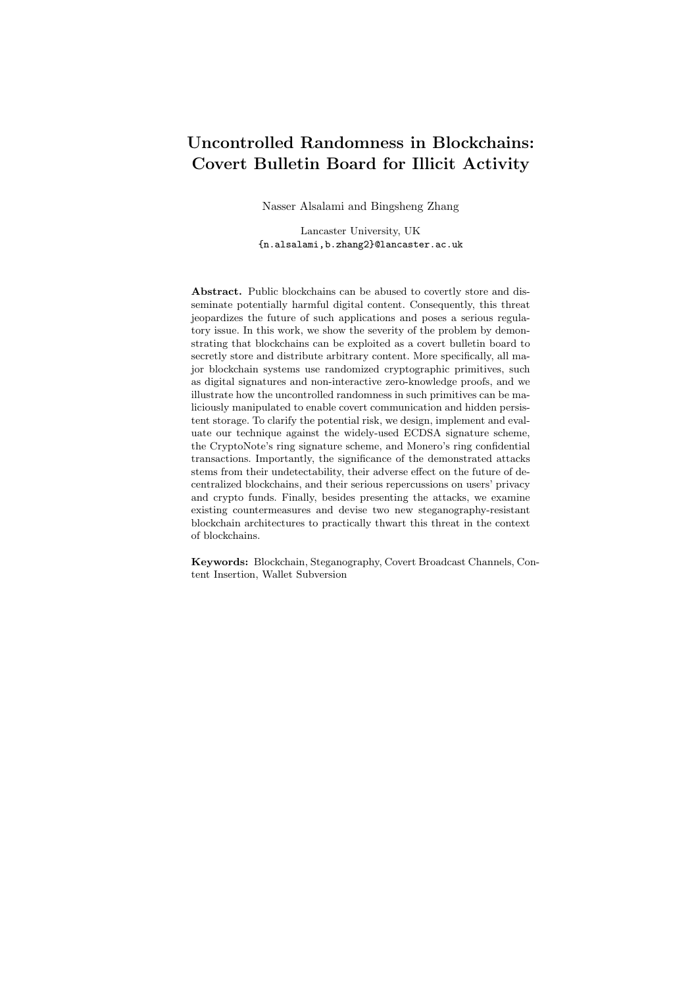## E Signature subversion

In theory, the Setup, KeyGen, Sign algorithms of a signature scheme can be subverted to leak secret information. However, in practice most blockchain platforms do not generate the setup parameters themselves; instead, widely trusted setup parameters, such as in ED25519, are adopted. Therefore, we don't consider Setup algorithm in this work. In terms of KeyGen algorithms, they are usually based on some one-way function, and it is possible to leak  $O(\log \lambda)$  bits through rejective sampling. Nevertheless, for most signature schemes, this would not be sufficient to allow the adversary to forge a signature. See *leakage resilient* signatures in  $[62, 63]$  for more discussion. Therefore, this work focuses on the subversion of the Sign algorithm. As a result, we adopt the following modified definition of undetectability from [47].

Public/Secret Undetectability. The undetectability is used to model the fact that normal users cannot distinguish if a signature is produced by a subverted signing algorithm or the genuine one.

**Definition 3.** Let  $S = ($ Setup, KeyGen, Sign, Verify) be a signature scheme. Let  $M$  be the message space. We say a subverted Sign algorithm is secretly undetectable w.r.t. S if for all PPT adversary A we have any  $f(\text{PK}_i, \text{SK}_i)g_{i=1}^n$ output by KeyGen(param) for any integer  $\lambda$  2 N, any  $n = \text{poly}(\lambda)$ , any param Setup(1<sup> $\lambda$ </sup>), any  $f(\text{PK}_i, \text{SK}_i)$  $g_{i=1}^n$  output by KeyGen(param), and any  $\ell \geq [n]$ , we have:

$$
\mathsf{Adv}_{\mathsf{A}}^{\mathsf{SU}}(1^{\lambda}) = \left|\Pr\left[\mathbf{Expt}_{\mathsf{A}}^{\mathsf{SU}}(1^{\lambda})\right] - \frac{1}{2}\right| = \mathsf{negl}(\lambda)
$$

w.r.t. the following game/experiment:

 $\mathbf{Expt}^{\mathsf{SU}}_A(1^\lambda)$ 

- 1. Pick  $b$  f0, 1g;
- 2. Send  $(PK_i g_{i=1}^n, \text{SK}_\ell)$  to A;
- 3. For  $j \geq 1, ..., kg$ , A queries  $m_j \geq M$  and obtains  $\sigma_j$  Sign( $fPR_i g_{i=1}^n$ ,  $SK_\ell, \ell, m_j$ ) if  $b = 0$ ;
	- $\sigma_j$  Sign( $f P K_i g_{i=1}^n$ ,  $S K_\ell, \ell, m_j$ ) if  $b = 0$ ;

$$
\sigma_j \qquad \text{Sign } (\mathit{fPK}_i \mathit{g}_{i=1}^n, \text{SK}_\ell, \ell, m_j) \text{ if } b = 1;
$$

- 4. A outputs a bit  $b^{\theta}$ ;
- 6. **Return**  $b = b^{\theta}$ ;

We say a subverted Sign algorithm is publicly undetectable w.r.t. S if in step 1 of the above game A only receives  $f P K_i g_{i=1}^n$ .

Reverse firewall based stego-resistance. One of our countermeasures utilze miners as active online watchdogs, a.k.a. reverse firewalls. The reverse firewall based stego-resistance definition is slightly different from the above one. More specifically, we say a signature scheme  $S = ($ Setup, KeyGen, Sign, Verify, Wrap) is reverse firewall based stego-resistant if for all PPT adversary and Sign we have

$$
\mathsf{Adv}_{\mathsf{A}}^{\mathsf{SU}}(1^{\lambda}) = \left|\Pr\left[\mathbf{Expt}_{\mathsf{A}}^{\mathsf{SR}}(1^{\lambda})\right] - \frac{1}{2}\right| = \mathsf{negl}(\lambda)
$$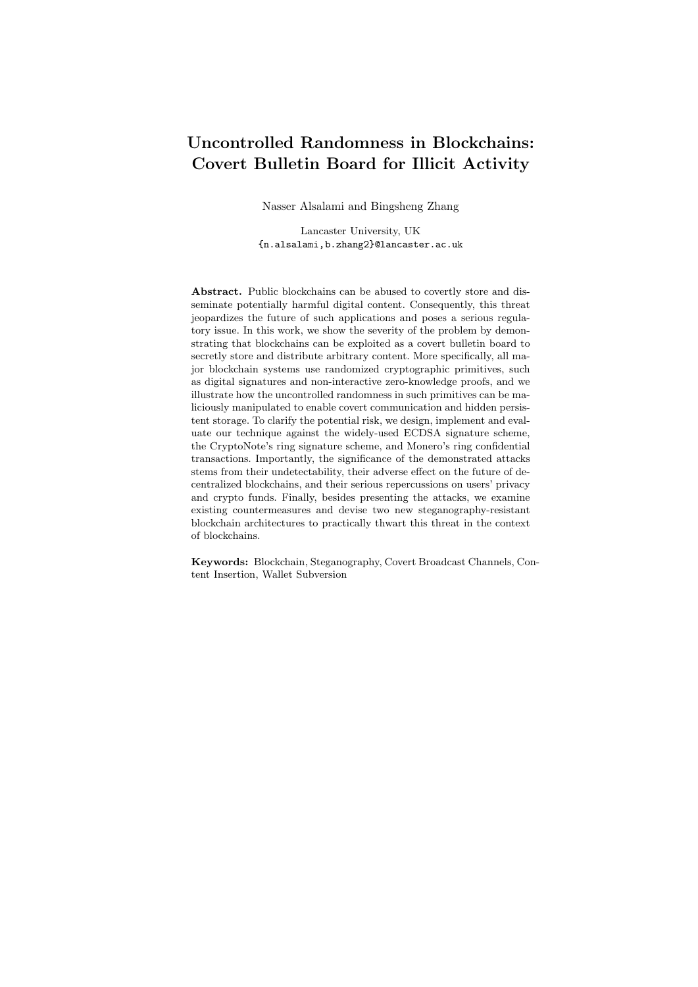

Fig. 22. Ciphertext Stealing (CTR mode)

w.r.t. the following game/experiment:

 $\mathbf{Expt}^{\mathsf{SR}}_{\mathcal{A}}(1^\lambda)$ 

1. Pick  $b$  f0, 1g; 2. Send  $(FPK_i g_{i=1}^n, SK_\ell)$  to A; 3. For  $j \n\mathcal{Z} \n\mathcal{I}$ , ...,  $kg$ ,  $A$  queries  $m_j \n\mathcal{Z} \n\mathcal{M}$ : If  $b = 0$ : Compute  $\sigma_j$  Sign( $fPK_i g_{i=1}^n, SK_\ell, \ell, m_j$ ); Return  $\widetilde{\sigma}_j$  Wrap $(\overline{fP}K_i \overline{g_{i=1}^n}, m_j, \sigma_j)$  to A; If  $b=1$ : Compute  $\sigma_j$  Sign ( $f P K_i g_{i=1}^n, S K_\ell, \ell, m_j$ ); Return  $\widetilde{\sigma_j}$  Wrap( $f P K_i \mathcal{G}_{i=1}^n, m_j, \sigma_j$ ) to A; 4. A outputs a bit  $b^{\ell}$ ; 6. Return  $b = b^{\theta}$ ;

## F Ciphertext Stealing Technique

In our attack, the leaked information is encrypted by a semantically secure symmetric-key encryption scheme. To minimize the number of lines of code to be changed, we need to adopt a readily implemented encryption algorithm. In our experiment, both Bytecoin and Monero wallets already have AES-128 algorithm, which; therefore, can be used as a building block of the semantically secure encryption. However, the message length is usually not a perfect multiple of 128 bits. To maximize the subversion channel capacity, one option is to adopt the concept of Ciphertext Stealing (CTS) [64]. For any given message length, with ciphertext stealing techniques, the ciphertext length is exactly the same as the message length (besides the IV). Our generic attack, in Sec. 3, uses CTRmode based ciphertext stealing technique, where the last encryption block is truncated to fit the message length. The encryption algorithm CTS- $Enc_k(V, m)$ is depicted in Fig. 22. We refer interested readers to [64] for more operation modes with CTS, such as CBC.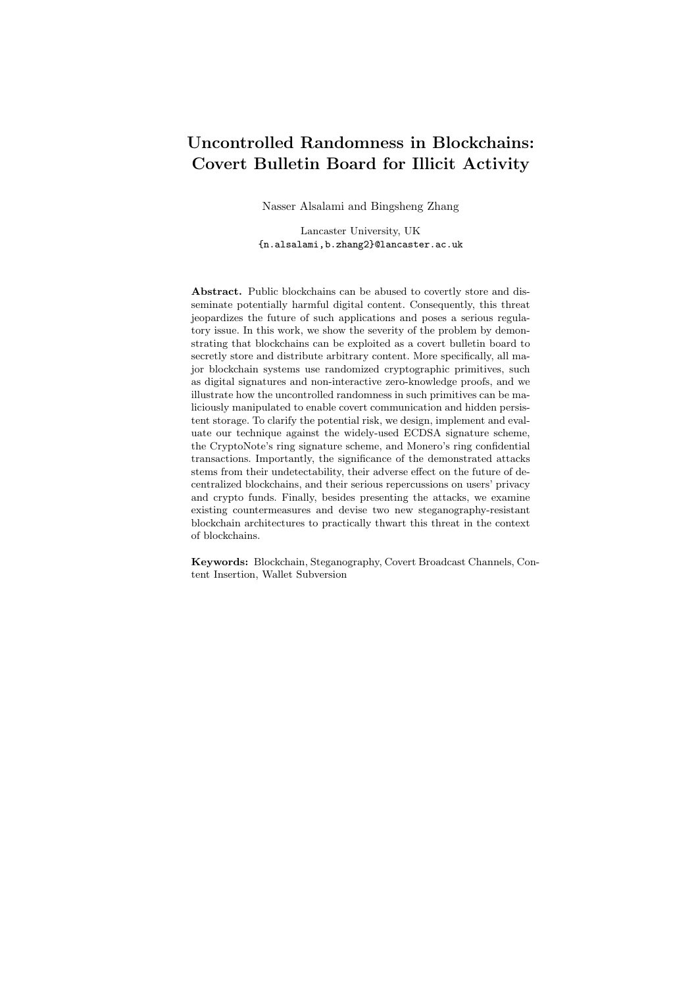## G Summary of Existing Countermeasures

In the following we summarize and discuss the current practices and techniques that can deter arbitrary content insertion on blockchains.

#### G.1 ASA-Resistant Techniques

Deterministic Cryptographic Primitives. As identified by many researchers [29, 30, 32, 33], the root of such class of subversion attacks is the uncontrolled randomness. As such, the first intuitive solution is to use deterministic signatures. However, this approach has limited usage in the blockchain context.

Signature Synthetic Randomness. In a similar manner to deterministic DSA proposed by RFC 6979 [42], signatures can be made deterministic using synthetic randomness. More specifically, assume a signature algorithm consumes  $\ell$  random coins, denoted as  $r_1, \ldots, r_n$ . Without loss of generality, suppose the signing algorithm takes as input the signing key  $s$  and the message  $m$ . We can generate the needed random coins deterministically as  $r_i := \text{hash}(s, m, i)$ . Based on heuristics property and onewayness of the hash function,  $r_i$  is unpredictable due to the entropy of s. On the other hand, this tweak allows offline watchdogs (verification algorithms) to compare and test an implementation with its specification.

Note that no *probabilistic polynomial time* black-box verification mechanism can ensure an implementation exactly matches its specification. This is because a malicious functionality may be triggered by a specific input, and it is impossible to verify that an implementation behaves as expected for all inputs. For instance, our attack can be modified so that the signing algorithm behaves honestly for all the inputs, except when the input message  $m = m$  the signing algorithm switches to our attack version, where  $m$  is the hidden trigger that has high entropy. The elimination of such hidden triggers is discussed below.

Instead, the offline implementation verification is only required to check polynomially many randomly sampled inputs (together with randomly sampled explicit randomness) and compare the corresponding outputs of the implementation with its specification. The most recommended approach to achieve automatic verification is to use so-called executable specifications  $[65]$ . We emphasize that the offline implementation verification algorithm must be trusted and certified. Nevertheless, it is universal and only needs simple comparison functionality, which makes it easy to ensure subversion freeness.

Verifiable Random Function (VRF). VRFs, proposed by Micali et al. [43], are random functions that non-interactively prove the correctness of their outputs. However, due to their randomness, VRF outputs are still susceptible to rejection sampling attacks. Hence, although their use may decrease the steganography throughput, VRFs can not completely deter steganography and subversion attacks in the context of public blockchains. Similarly, the work presented in [66] is vulnerable to rejection-sampling subversion attacks.

Split Model. The idea was initially proposed by Russell et al. in [44] to clip the power of subversion by hashing the output of randomized primitives. This idea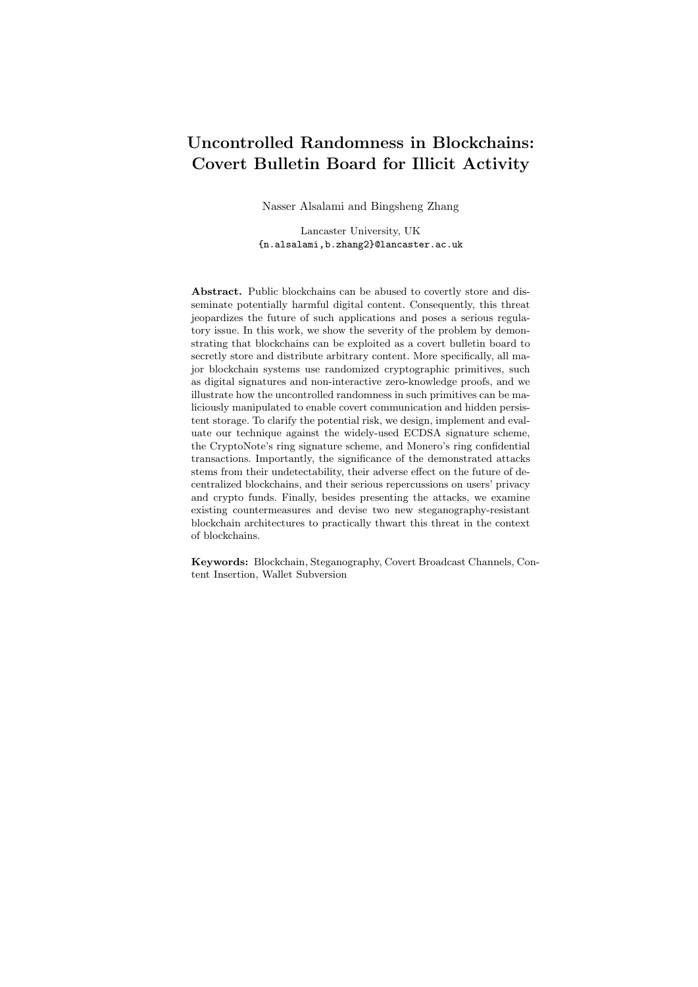was developed further in subsequent work [45,46] to decompose each randomnessgeneration function RG into two separate components  $RG<sub>0</sub>$  and  $RG<sub>1</sub>$ , execute them independently, and compose their output using a deterministic function  $\phi$ to generate the final random number. The authors of [46] emphasize that practical implementation of such splitting necessitates the independent execution of the separate components, which can be achieved by executing them in separate environments, e.g. by running them in different virtual machines or containers like Docker [67].

#### G.2 Preventative Trust-Based Countermeasures

Reverse Firewalls (RF). Ateniese et al. [47] proposed the idea of a trusted untamperable reverse firewall (RF). RF is an algorithm that, using public information, re-randomizes, and hence sanitizes, that output of possibly subverted randomized signature algorithms. Although this technique is effective against subversion attacks on randomized signatures; however, it requires an active trusted firewall and works only on re-randomizable signatures. Therefore, it might not be suitable for most signature schemes in the context of blockchains.

Self-Guarding Protocols. Recently Fischlin and Mazaheri [48] have proposed a novel technique that proactively defends against ASA's assuming temporary trust, i.e. ASA happens after a period of an honest initial phase. Namely, they provided constructions for homomorphic public-key encryption, symmetric-key encryption, signature schemes and PUF-based key exchange. In general, their constructions are divided into two phases; a sampling phase, and a challenge phase. In the sampling phase, or honest initial phase, a sample of ciphers, in the case of encryption, or signatures, in the case of signature schemes, is honestly generated. This sample is stored and used in the second phase to obfuscate ciphers/signatures and detect possible ASA attacks.

To further illustrate this technique, Fig. 23 presents a simplified pseudo-code for the construction of a self-guarding signature scheme  $S^{sg} = (\text{KeyGen}^{sg}, \text{Sign}^{sg}, \text{Verify}^{sg})$ from a deterministic signature scheme  $S = (KeyGen, Sign, Verify)$  [48]. As seen in this figure, the key generation algorithm  $KeyGen<sup>sg</sup>$  is given a security parameter  $(1^{\lambda})$ , generates a list of  $\lambda$  key pairs  $(sk_i, pk_i)$ , and sets the private key  $sk^{sg} := (sk_1, \ldots, sk_\lambda)$  and the public key  $pk^{sg} := (pk_1, \ldots, pk_\lambda)$ . As part of the trusted sampling phase,  $S^{sg}$ . Sample $(sk^{sg})$  is executed to generate a queue of  $\lambda$ pairs of randomly generated messages  $m_{r,i}$  and their corresponding signatures  $\sigma_{r,i}$ . When signing a message m with the possibly subverted algorithm S.Sign, the self-guarding signing algorithm  $S^{sg}$ . Sign does the following. For each  $i = 1, ..., \lambda$ , it randomly picks  $b_i \stackrel{\$}{\sim} \theta_i$ , 1g, and execute the original signing algorithm S.Sign twice, once to sign  $m_{r,i}$  and another time to sign  $(m_{r,i} \quad [mj]\sigma_{r,i}]$ ). The order of which is signed first is determined by the value of  $b_i$ , and each time the generated signature for  $m_{r,i}$  is compared with its previously and *honestly* generated signature  $\sigma_{r,i}$ . This is done to ensure detecting any possible subversion with probability close to  $1/2$ . If any discrepancy is detected, abort, otherwise return the signature  $\sigma := (m_{r,1}, \sigma_{r,1}, \sigma_1, \ldots, m_{r,\lambda}, \sigma_{r,\lambda}, \sigma_\lambda)$ . The verification  $S^{sg}$ . Verifysg is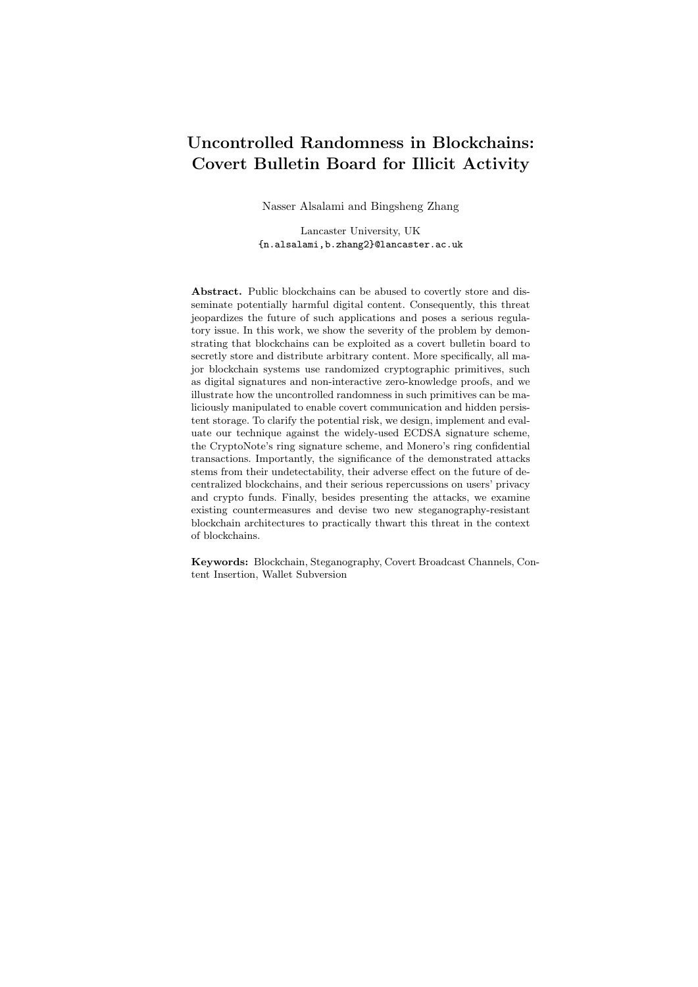$S^{sg}$ .KeyGen<sup>sg</sup> $(1^{\lambda})$ :  $-$  For  $i = 1 \ldots \lambda$ :  $(s k_i, p k_i)$   $\overset{\$}$   $S$ . Key Gen $(1^{\lambda});$  $- (sk^{sg}, pk^{sg}) := ((sk_1, \ldots, sk_{\lambda}), (pk_1, \ldots, pk_{\lambda}));$  $-$  Return  $(s k^{sg}, p k^{sg});$  $S^{sg}$ .Sample $(sk^{sg})$ : – Empty Q;  $-$  For  $i = 1 \ldots \lambda$ :  $m_{r,i}$ <sup>\$</sup>  $\textup{f0}, \lg^{\ell}; \sigma_{r,i} := S.\text{Sign}(sk_i,);$ Store  $(m_{r,i}, \sigma_{r,i})$  in  $Q$ ;  $-$  Return  $\mathcal{O}$ :  $S^{sg}$ . Sign<sup>sg</sup> $(sk^{sg}, m, Q)$ : – if  $Q$  is empty: Return  $\varphi$ ; – For  $i = 1 \ldots \lambda$ : Retrieve  $(m_{r,i}, \sigma_{r,i})$  from  $Q$ ;  $b_i \stackrel{\$}{=}$   $\tau$ 0, 1*g*; if  $(b = 0)$ :  $(m^0, m^1) := (m_{r,i}, m_{r,i} \quad [mj]\sigma_{r,i}$ ; else:  $(m^0, m^1) := (m_{r,i} \quad [mj]\sigma_{r,i}], m_{r,i});$  $\sigma^0:=\mathcal{S}.\mathsf{Sign}(sk_i,m^0);\, \sigma^1:=\mathcal{S}.\mathsf{Sign}(sk_i,m^1);$ if  $(\sigma^{b_i} \notin \sigma_{r,i})$ : Return ?;  $\sigma_i := \sigma^{(1-b_i)};$  $\sigma := (m_{r,1}, \sigma_{r,1}, \sigma_1, \ldots, m_{r,\lambda}, \sigma_{r,\lambda}, \sigma_\lambda);$ – Return σ;  $S^{sg}$ . Verify<sup>sg</sup> $(pk^{sg}, m, \sigma)$ :  $-$  result  $:=$  true; – For  $i = 1 \ldots \lambda$ : result := result  $\wedge S$ .Verify $(pk_i, m_{r,i}, \sigma_{r,i});$ result := result ^ S.Verify( $pk_i$ ,  $(m_{r,i} \quad [m/|\sigma_{r,i}|, \sigma_i);$ – Return result; S<sup>sg</sup>(KeyGen, Sample, Sign, Verify)

Fig. 23. Self-guarding signature  $S^{sg}$  based on a signature scheme  $S =$ (KeyGen, Sign, Verify).  $\mathcal Q$  represents a queue of pairs of random messages  $m_{r,i}$  and their honestly-generated signatures  $\sigma_{r,i}$ , and  $\ell$  is the message and signature space length. Other sanity checks have been omitted for simplicity. For more details refer to [48].

carried out by re-constructing the string  $(m_{r,i} \quad [mj]\sigma_{r,i}]$ ) for each  $i = 1, \ldots, \lambda$ , and calling the original verification algorithm S.Verify twice, to verify each  $\sigma_i$ and  $\sigma r$ , *i*. If all signatures are valid, return true, and false otherwise.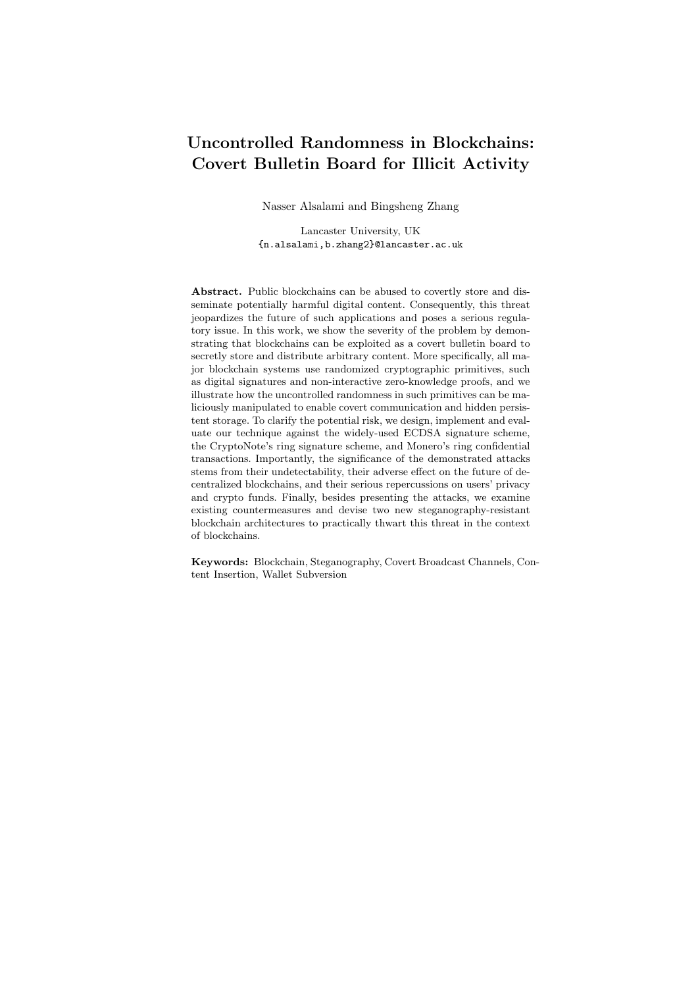#### G.3 Blockchain-based techniques

Light Blockchains. To solve issues related with blockchain size and scalability, new blockchain designs have emerged. For example, PascalCoin [49] is a cryptocurrency that does not keep the full history of transactions but rather stores the last 100 blocks in its ledger, and actual account balances are stored in a another cryptographic structure called the SafeBox. A very similar approach is used in the mini-blockchain scheme [50] that is implemented by Cryptonite [68] which stores the actual balances in a structure called the *account tree* which is updated by the transactions in the blockchain. Because new transactions reference the account tree and not previous transactions in the blockchain, transactions in older blocks can be discarded. Note, older block headers are still kept in the mini-blockchain. Although these solutions are mainly proposed solve scalability issues, these new designs can deter permanent storage of malicious content.

Redactable Blockchains. Redactable blockchains have been proposed in [5] to rewrite, remove, and insert new blocks in the blockchain. In their technique, which is based on the use of Chameleon hashes  $[69]$ , the redaction could be performed by a trusted central node, or a group of nodes who posses the Chameleon hash trapdoor. Similarly,  $\mu$ chain [4] proposes a mutable blockchain that is based on consensus. Hence, if malicious content is identified, mutable blockchains can effectively deter the persistent storage of such content on the blockchain.

Content Filters. Content Iters target human readable strings to detect and reject unwanted content, e.g. rejecting a transaction if its 20-Byte destination address has 18 printable characters [3].

Increasing Transaction Fees. Although increasing the transaction fees is not advisable for promoting blockchain among innocent users, and can unfairly penalize users who relay on large transactions, e.g. exchange services, minimum mandatory fees has been proposed as a countermeasure in [3] to render content insertion economically infeasible for large transactions.

Self-verifying Addresses. The goal of this technique is to deter content insertion in Bitcoin by using arbitrary addresses. The authors of [3] suggested that instead of sending an address a,  $c_a$  is sent in the transaction, where  $c_a$  =  $(G^a, r, \text{Sign}(G^a)jr, a)), r = \text{CRC32}(t_1jj \dots j/t_i), \text{ and } t_i \text{ is the transaction corresponding to the function } f$ sponding to the  $i^{th}$  input. A similar approach is to limit the address Space. For example, PascalCoin [49] has a finite address space, and accounts are limited but can be associated with any public key. Although may not be intended to stop content-insertion, this practice can deter the arbitrary manipulation of transactions' addresses.

## H Non-interactive Zero-knowledge

Here we briefly introduce non-interactive zero-knowledge (NIZK) schemes in the Random Oracle (RO) model. Let  $R$  be an efficiently computable binary relation.